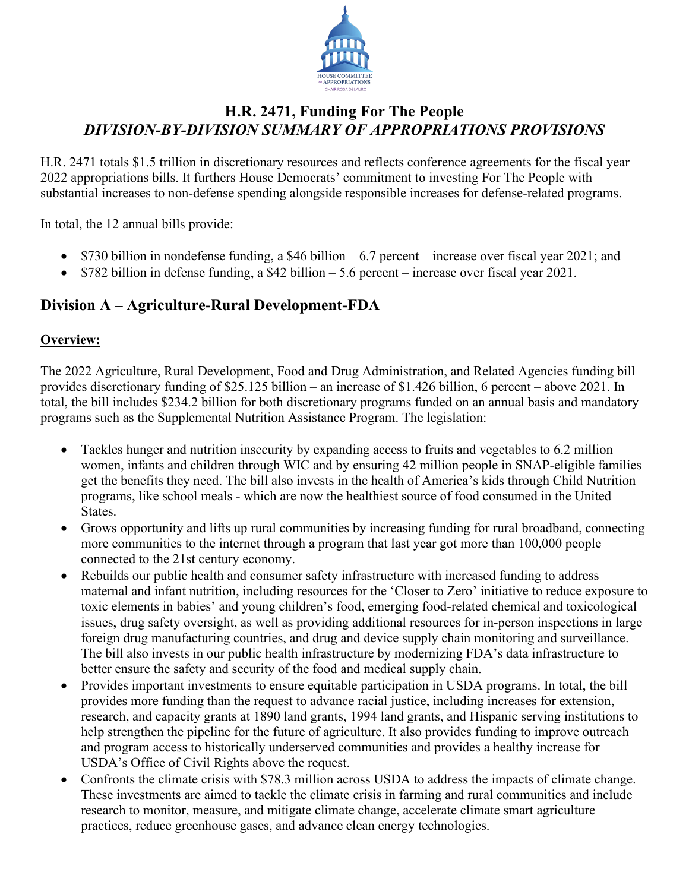

# **H.R. 2471, Funding For The People** *DIVISION-BY-DIVISION SUMMARY OF APPROPRIATIONS PROVISIONS*

H.R. 2471 totals \$1.5 trillion in discretionary resources and reflects conference agreements for the fiscal year 2022 appropriations bills. It furthers House Democrats' commitment to investing For The People with substantial increases to non-defense spending alongside responsible increases for defense-related programs.

In total, the 12 annual bills provide:

- \$730 billion in nondefense funding, a \$46 billion 6.7 percent increase over fiscal year 2021; and
- \$782 billion in defense funding, a \$42 billion 5.6 percent increase over fiscal year 2021.

# **Division A – Agriculture-Rural Development-FDA**

#### **Overview:**

The 2022 Agriculture, Rural Development, Food and Drug Administration, and Related Agencies funding bill provides discretionary funding of \$25.125 billion – an increase of \$1.426 billion, 6 percent – above 2021. In total, the bill includes \$234.2 billion for both discretionary programs funded on an annual basis and mandatory programs such as the Supplemental Nutrition Assistance Program. The legislation:

- Tackles hunger and nutrition insecurity by expanding access to fruits and vegetables to 6.2 million women, infants and children through WIC and by ensuring 42 million people in SNAP-eligible families get the benefits they need. The bill also invests in the health of America's kids through Child Nutrition programs, like school meals - which are now the healthiest source of food consumed in the United States.
- Grows opportunity and lifts up rural communities by increasing funding for rural broadband, connecting more communities to the internet through a program that last year got more than 100,000 people connected to the 21st century economy.
- Rebuilds our public health and consumer safety infrastructure with increased funding to address maternal and infant nutrition, including resources for the 'Closer to Zero' initiative to reduce exposure to toxic elements in babies' and young children's food, emerging food-related chemical and toxicological issues, drug safety oversight, as well as providing additional resources for in-person inspections in large foreign drug manufacturing countries, and drug and device supply chain monitoring and surveillance. The bill also invests in our public health infrastructure by modernizing FDA's data infrastructure to better ensure the safety and security of the food and medical supply chain.
- Provides important investments to ensure equitable participation in USDA programs. In total, the bill provides more funding than the request to advance racial justice, including increases for extension, research, and capacity grants at 1890 land grants, 1994 land grants, and Hispanic serving institutions to help strengthen the pipeline for the future of agriculture. It also provides funding to improve outreach and program access to historically underserved communities and provides a healthy increase for USDA's Office of Civil Rights above the request.
- Confronts the climate crisis with \$78.3 million across USDA to address the impacts of climate change. These investments are aimed to tackle the climate crisis in farming and rural communities and include research to monitor, measure, and mitigate climate change, accelerate climate smart agriculture practices, reduce greenhouse gases, and advance clean energy technologies.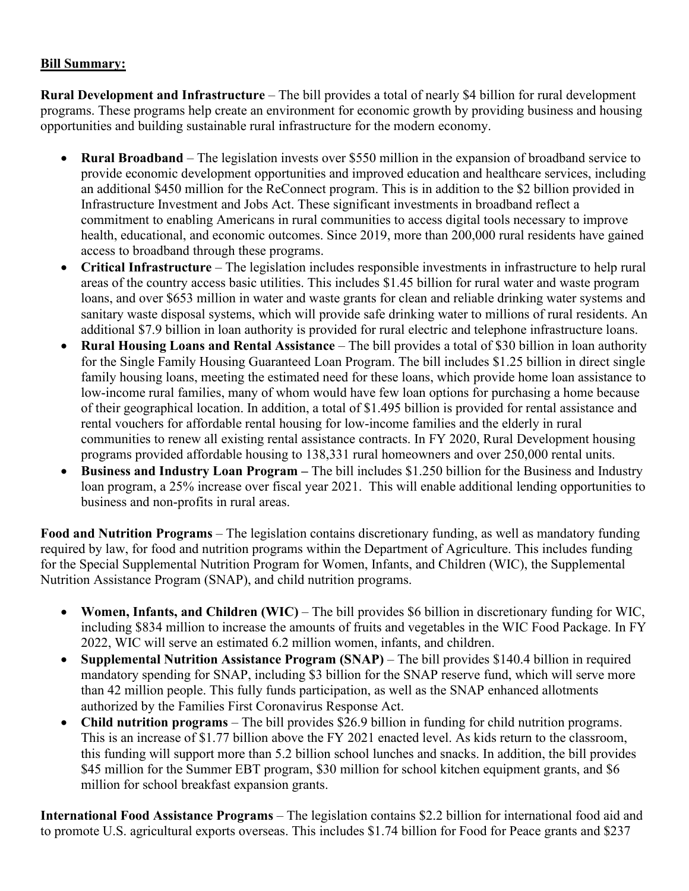#### **Bill Summary:**

**Rural Development and Infrastructure** – The bill provides a total of nearly \$4 billion for rural development programs. These programs help create an environment for economic growth by providing business and housing opportunities and building sustainable rural infrastructure for the modern economy.

- **Rural Broadband**  The legislation invests over \$550 million in the expansion of broadband service to provide economic development opportunities and improved education and healthcare services, including an additional \$450 million for the ReConnect program. This is in addition to the \$2 billion provided in Infrastructure Investment and Jobs Act. These significant investments in broadband reflect a commitment to enabling Americans in rural communities to access digital tools necessary to improve health, educational, and economic outcomes. Since 2019, more than 200,000 rural residents have gained access to broadband through these programs.
- **Critical Infrastructure**  The legislation includes responsible investments in infrastructure to help rural areas of the country access basic utilities. This includes \$1.45 billion for rural water and waste program loans, and over \$653 million in water and waste grants for clean and reliable drinking water systems and sanitary waste disposal systems, which will provide safe drinking water to millions of rural residents. An additional \$7.9 billion in loan authority is provided for rural electric and telephone infrastructure loans.
- **Rural Housing Loans and Rental Assistance**  The bill provides a total of \$30 billion in loan authority for the Single Family Housing Guaranteed Loan Program. The bill includes \$1.25 billion in direct single family housing loans, meeting the estimated need for these loans, which provide home loan assistance to low-income rural families, many of whom would have few loan options for purchasing a home because of their geographical location. In addition, a total of \$1.495 billion is provided for rental assistance and rental vouchers for affordable rental housing for low-income families and the elderly in rural communities to renew all existing rental assistance contracts. In FY 2020, Rural Development housing programs provided affordable housing to 138,331 rural homeowners and over 250,000 rental units.
- **Business and Industry Loan Program –** The bill includes \$1.250 billion for the Business and Industry loan program, a 25% increase over fiscal year 2021. This will enable additional lending opportunities to business and non-profits in rural areas.

**Food and Nutrition Programs** – The legislation contains discretionary funding, as well as mandatory funding required by law, for food and nutrition programs within the Department of Agriculture. This includes funding for the Special Supplemental Nutrition Program for Women, Infants, and Children (WIC), the Supplemental Nutrition Assistance Program (SNAP), and child nutrition programs.

- **Women, Infants, and Children (WIC)**  The bill provides \$6 billion in discretionary funding for WIC, including \$834 million to increase the amounts of fruits and vegetables in the WIC Food Package. In FY 2022, WIC will serve an estimated 6.2 million women, infants, and children.
- **Supplemental Nutrition Assistance Program (SNAP)** The bill provides \$140.4 billion in required mandatory spending for SNAP, including \$3 billion for the SNAP reserve fund, which will serve more than 42 million people. This fully funds participation, as well as the SNAP enhanced allotments authorized by the Families First Coronavirus Response Act.
- **Child nutrition programs**  The bill provides \$26.9 billion in funding for child nutrition programs. This is an increase of \$1.77 billion above the FY 2021 enacted level. As kids return to the classroom, this funding will support more than 5.2 billion school lunches and snacks. In addition, the bill provides \$45 million for the Summer EBT program, \$30 million for school kitchen equipment grants, and \$6 million for school breakfast expansion grants.

**International Food Assistance Programs** – The legislation contains \$2.2 billion for international food aid and to promote U.S. agricultural exports overseas. This includes \$1.74 billion for Food for Peace grants and \$237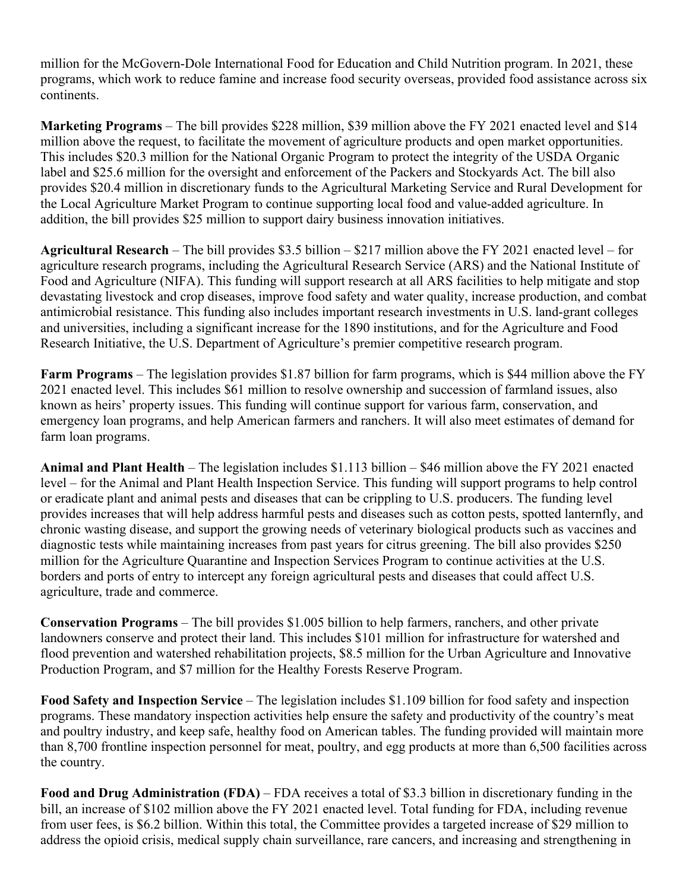million for the McGovern-Dole International Food for Education and Child Nutrition program. In 2021, these programs, which work to reduce famine and increase food security overseas, provided food assistance across six continents.

**Marketing Programs** – The bill provides \$228 million, \$39 million above the FY 2021 enacted level and \$14 million above the request, to facilitate the movement of agriculture products and open market opportunities. This includes \$20.3 million for the National Organic Program to protect the integrity of the USDA Organic label and \$25.6 million for the oversight and enforcement of the Packers and Stockyards Act. The bill also provides \$20.4 million in discretionary funds to the Agricultural Marketing Service and Rural Development for the Local Agriculture Market Program to continue supporting local food and value-added agriculture. In addition, the bill provides \$25 million to support dairy business innovation initiatives.

**Agricultural Research** – The bill provides \$3.5 billion – \$217 million above the FY 2021 enacted level – for agriculture research programs, including the Agricultural Research Service (ARS) and the National Institute of Food and Agriculture (NIFA). This funding will support research at all ARS facilities to help mitigate and stop devastating livestock and crop diseases, improve food safety and water quality, increase production, and combat antimicrobial resistance. This funding also includes important research investments in U.S. land-grant colleges and universities, including a significant increase for the 1890 institutions, and for the Agriculture and Food Research Initiative, the U.S. Department of Agriculture's premier competitive research program.

**Farm Programs** – The legislation provides \$1.87 billion for farm programs, which is \$44 million above the FY 2021 enacted level. This includes \$61 million to resolve ownership and succession of farmland issues, also known as heirs' property issues. This funding will continue support for various farm, conservation, and emergency loan programs, and help American farmers and ranchers. It will also meet estimates of demand for farm loan programs.

**Animal and Plant Health** – The legislation includes \$1.113 billion – \$46 million above the FY 2021 enacted level – for the Animal and Plant Health Inspection Service. This funding will support programs to help control or eradicate plant and animal pests and diseases that can be crippling to U.S. producers. The funding level provides increases that will help address harmful pests and diseases such as cotton pests, spotted lanternfly, and chronic wasting disease, and support the growing needs of veterinary biological products such as vaccines and diagnostic tests while maintaining increases from past years for citrus greening. The bill also provides \$250 million for the Agriculture Quarantine and Inspection Services Program to continue activities at the U.S. borders and ports of entry to intercept any foreign agricultural pests and diseases that could affect U.S. agriculture, trade and commerce.

**Conservation Programs** – The bill provides \$1.005 billion to help farmers, ranchers, and other private landowners conserve and protect their land. This includes \$101 million for infrastructure for watershed and flood prevention and watershed rehabilitation projects, \$8.5 million for the Urban Agriculture and Innovative Production Program, and \$7 million for the Healthy Forests Reserve Program.

**Food Safety and Inspection Service** – The legislation includes \$1.109 billion for food safety and inspection programs. These mandatory inspection activities help ensure the safety and productivity of the country's meat and poultry industry, and keep safe, healthy food on American tables. The funding provided will maintain more than 8,700 frontline inspection personnel for meat, poultry, and egg products at more than 6,500 facilities across the country.

**Food and Drug Administration (FDA)** – FDA receives a total of \$3.3 billion in discretionary funding in the bill, an increase of \$102 million above the FY 2021 enacted level. Total funding for FDA, including revenue from user fees, is \$6.2 billion. Within this total, the Committee provides a targeted increase of \$29 million to address the opioid crisis, medical supply chain surveillance, rare cancers, and increasing and strengthening in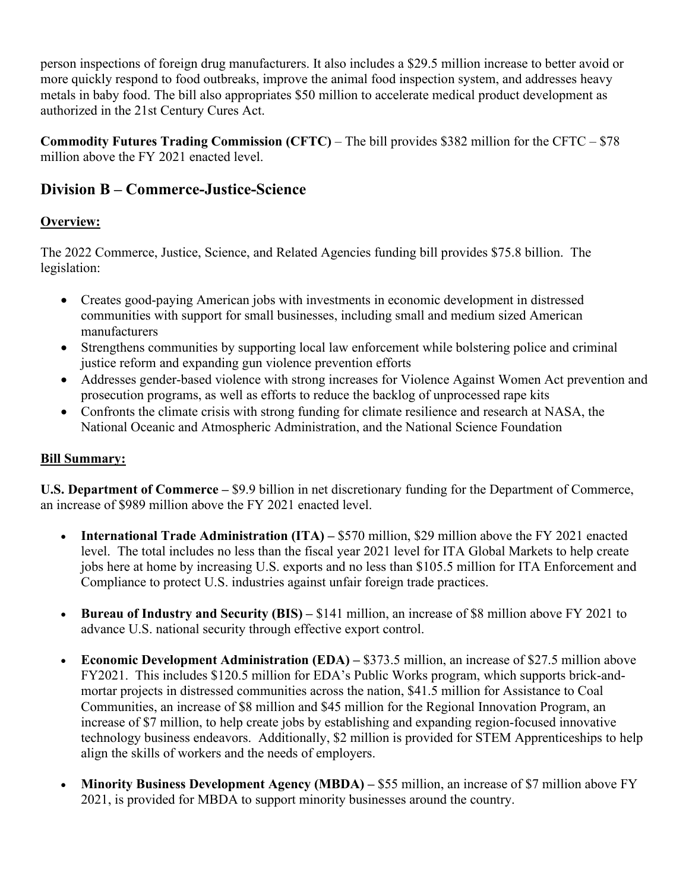person inspections of foreign drug manufacturers. It also includes a \$29.5 million increase to better avoid or more quickly respond to food outbreaks, improve the animal food inspection system, and addresses heavy metals in baby food. The bill also appropriates \$50 million to accelerate medical product development as authorized in the 21st Century Cures Act.

**Commodity Futures Trading Commission (CFTC)** – The bill provides \$382 million for the CFTC – \$78 million above the FY 2021 enacted level.

# **Division B – Commerce-Justice-Science**

## **Overview:**

The 2022 Commerce, Justice, Science, and Related Agencies funding bill provides \$75.8 billion. The legislation:

- Creates good-paying American jobs with investments in economic development in distressed communities with support for small businesses, including small and medium sized American manufacturers
- Strengthens communities by supporting local law enforcement while bolstering police and criminal justice reform and expanding gun violence prevention efforts
- Addresses gender-based violence with strong increases for Violence Against Women Act prevention and prosecution programs, as well as efforts to reduce the backlog of unprocessed rape kits
- Confronts the climate crisis with strong funding for climate resilience and research at NASA, the National Oceanic and Atmospheric Administration, and the National Science Foundation

## **Bill Summary:**

**U.S. Department of Commerce –** \$9.9 billion in net discretionary funding for the Department of Commerce, an increase of \$989 million above the FY 2021 enacted level.

- **International Trade Administration (ITA)** \$570 million, \$29 million above the FY 2021 enacted level. The total includes no less than the fiscal year 2021 level for ITA Global Markets to help create jobs here at home by increasing U.S. exports and no less than \$105.5 million for ITA Enforcement and Compliance to protect U.S. industries against unfair foreign trade practices.
- **Bureau of Industry and Security (BIS) –** \$141 million, an increase of \$8 million above FY 2021 to advance U.S. national security through effective export control.
- **Economic Development Administration (EDA)** \$373.5 million, an increase of \$27.5 million above FY2021. This includes \$120.5 million for EDA's Public Works program, which supports brick-andmortar projects in distressed communities across the nation, \$41.5 million for Assistance to Coal Communities, an increase of \$8 million and \$45 million for the Regional Innovation Program, an increase of \$7 million, to help create jobs by establishing and expanding region-focused innovative technology business endeavors. Additionally, \$2 million is provided for STEM Apprenticeships to help align the skills of workers and the needs of employers.
- Minority Business Development Agency (MBDA) \$55 million, an increase of \$7 million above FY 2021, is provided for MBDA to support minority businesses around the country.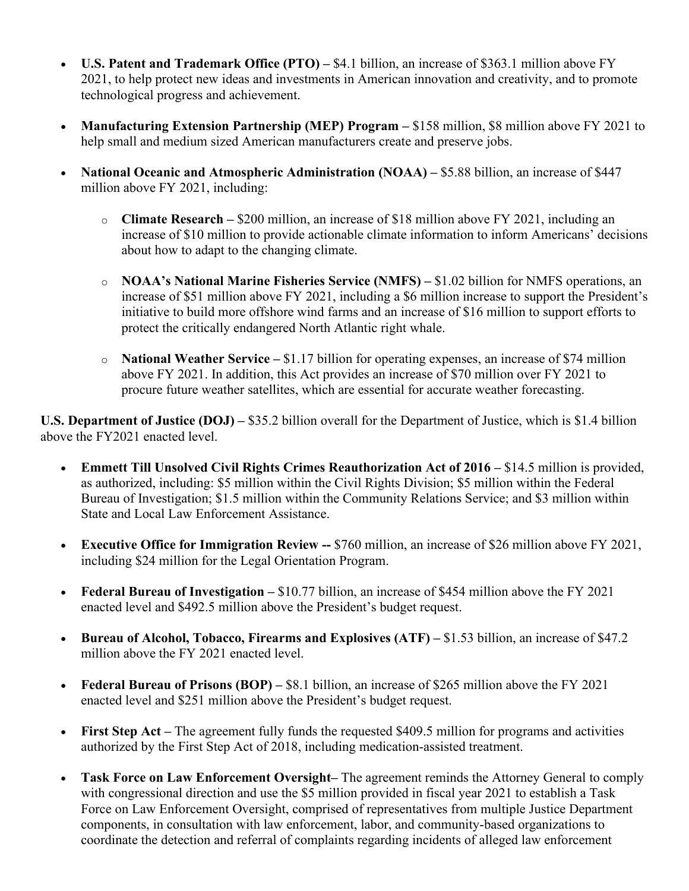- **U.S. Patent and Trademark Office (PTO) –** \$4.1 billion, an increase of \$363.1 million above FY 2021, to help protect new ideas and investments in American innovation and creativity, and to promote technological progress and achievement.
- **Manufacturing Extension Partnership (MEP) Program –** \$158 million, \$8 million above FY 2021 to help small and medium sized American manufacturers create and preserve jobs.
- **National Oceanic and Atmospheric Administration (NOAA)** \$5.88 billion, an increase of \$447 million above FY 2021, including:
	- o **Climate Research –** \$200 million, an increase of \$18 million above FY 2021, including an increase of \$10 million to provide actionable climate information to inform Americans' decisions about how to adapt to the changing climate.
	- o **NOAA's National Marine Fisheries Service (NMFS) –** \$1.02 billion for NMFS operations, an increase of \$51 million above FY 2021, including a \$6 million increase to support the President's initiative to build more offshore wind farms and an increase of \$16 million to support efforts to protect the critically endangered North Atlantic right whale.
	- o **National Weather Service –** \$1.17 billion for operating expenses, an increase of \$74 million above FY 2021. In addition, this Act provides an increase of \$70 million over FY 2021 to procure future weather satellites, which are essential for accurate weather forecasting.

**U.S. Department of Justice (DOJ) –** \$35.2 billion overall for the Department of Justice, which is \$1.4 billion above the FY2021 enacted level.

- **Emmett Till Unsolved Civil Rights Crimes Reauthorization Act of 2016 –** \$14.5 million is provided, as authorized, including: \$5 million within the Civil Rights Division; \$5 million within the Federal Bureau of Investigation; \$1.5 million within the Community Relations Service; and \$3 million within State and Local Law Enforcement Assistance.
- **Executive Office for Immigration Review --** \$760 million, an increase of \$26 million above FY 2021, including \$24 million for the Legal Orientation Program.
- **Federal Bureau of Investigation** \$10.77 billion, an increase of \$454 million above the FY 2021 enacted level and \$492.5 million above the President's budget request.
- **Bureau of Alcohol, Tobacco, Firearms and Explosives (ATF) –** \$1.53 billion, an increase of \$47.2 million above the FY 2021 enacted level.
- **Federal Bureau of Prisons (BOP)** \$8.1 billion, an increase of \$265 million above the FY 2021 enacted level and \$251 million above the President's budget request.
- **First Step Act** The agreement fully funds the requested \$409.5 million for programs and activities authorized by the First Step Act of 2018, including medication-assisted treatment.
- **Task Force on Law Enforcement Oversight–** The agreement reminds the Attorney General to comply with congressional direction and use the \$5 million provided in fiscal year 2021 to establish a Task Force on Law Enforcement Oversight, comprised of representatives from multiple Justice Department components, in consultation with law enforcement, labor, and community-based organizations to coordinate the detection and referral of complaints regarding incidents of alleged law enforcement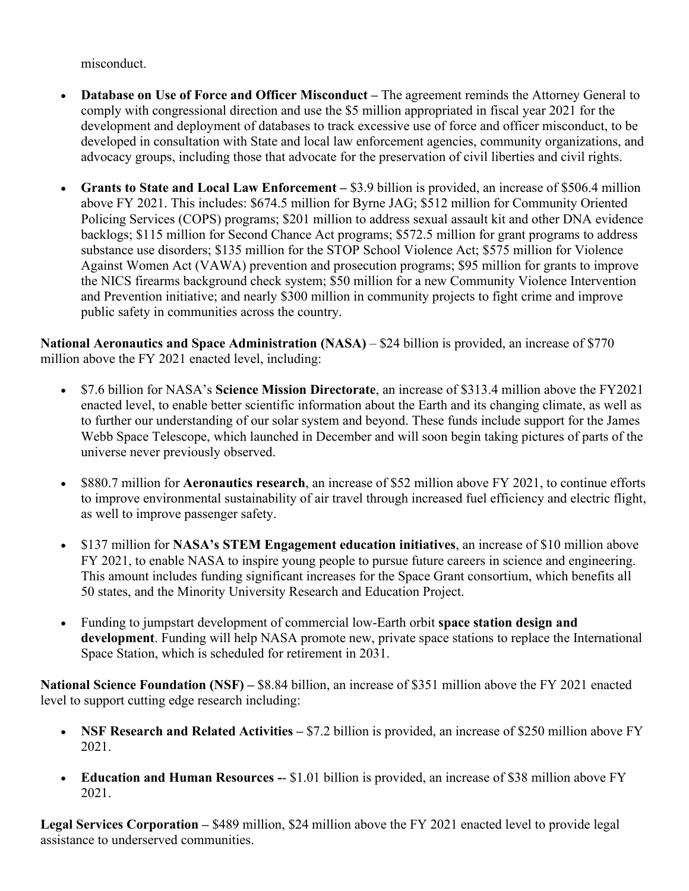misconduct.

- **Database on Use of Force and Officer Misconduct –** The agreement reminds the Attorney General to comply with congressional direction and use the \$5 million appropriated in fiscal year 2021 for the development and deployment of databases to track excessive use of force and officer misconduct, to be developed in consultation with State and local law enforcement agencies, community organizations, and advocacy groups, including those that advocate for the preservation of civil liberties and civil rights.
- **Grants to State and Local Law Enforcement –** \$3.9 billion is provided, an increase of \$506.4 million above FY 2021. This includes: \$674.5 million for Byrne JAG; \$512 million for Community Oriented Policing Services (COPS) programs; \$201 million to address sexual assault kit and other DNA evidence backlogs; \$115 million for Second Chance Act programs; \$572.5 million for grant programs to address substance use disorders; \$135 million for the STOP School Violence Act; \$575 million for Violence Against Women Act (VAWA) prevention and prosecution programs; \$95 million for grants to improve the NICS firearms background check system; \$50 million for a new Community Violence Intervention and Prevention initiative; and nearly \$300 million in community projects to fight crime and improve public safety in communities across the country.

**National Aeronautics and Space Administration (NASA)** – \$24 billion is provided, an increase of \$770 million above the FY 2021 enacted level, including:

- \$7.6 billion for NASA's **Science Mission Directorate**, an increase of \$313.4 million above the FY2021 enacted level, to enable better scientific information about the Earth and its changing climate, as well as to further our understanding of our solar system and beyond. These funds include support for the James Webb Space Telescope, which launched in December and will soon begin taking pictures of parts of the universe never previously observed.
- \$880.7 million for **Aeronautics research**, an increase of \$52 million above FY 2021, to continue efforts to improve environmental sustainability of air travel through increased fuel efficiency and electric flight, as well to improve passenger safety.
- \$137 million for **NASA's STEM Engagement education initiatives**, an increase of \$10 million above FY 2021, to enable NASA to inspire young people to pursue future careers in science and engineering. This amount includes funding significant increases for the Space Grant consortium, which benefits all 50 states, and the Minority University Research and Education Project.
- Funding to jumpstart development of commercial low-Earth orbit **space station design and development**. Funding will help NASA promote new, private space stations to replace the International Space Station, which is scheduled for retirement in 2031.

**National Science Foundation (NSF) –** \$8.84 billion, an increase of \$351 million above the FY 2021 enacted level to support cutting edge research including:

- **NSF Research and Related Activities –** \$7.2 billion is provided, an increase of \$250 million above FY 2021.
- **Education and Human Resources -- \$1.01 billion is provided, an increase of \$38 million above FY** 2021.

Legal Services Corporation – \$489 million, \$24 million above the FY 2021 enacted level to provide legal assistance to underserved communities.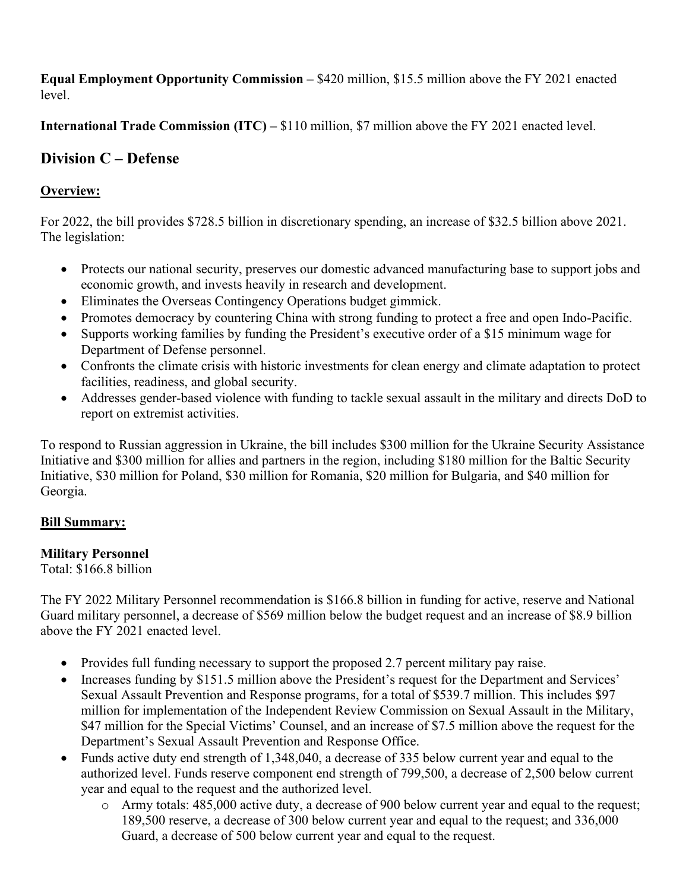**Equal Employment Opportunity Commission –** \$420 million, \$15.5 million above the FY 2021 enacted level.

**International Trade Commission (ITC) –** \$110 million, \$7 million above the FY 2021 enacted level.

# **Division C – Defense**

## **Overview:**

For 2022, the bill provides \$728.5 billion in discretionary spending, an increase of \$32.5 billion above 2021. The legislation:

- Protects our national security, preserves our domestic advanced manufacturing base to support jobs and economic growth, and invests heavily in research and development.
- Eliminates the Overseas Contingency Operations budget gimmick.
- Promotes democracy by countering China with strong funding to protect a free and open Indo-Pacific.
- Supports working families by funding the President's executive order of a \$15 minimum wage for Department of Defense personnel.
- Confronts the climate crisis with historic investments for clean energy and climate adaptation to protect facilities, readiness, and global security.
- Addresses gender-based violence with funding to tackle sexual assault in the military and directs DoD to report on extremist activities.

To respond to Russian aggression in Ukraine, the bill includes \$300 million for the Ukraine Security Assistance Initiative and \$300 million for allies and partners in the region, including \$180 million for the Baltic Security Initiative, \$30 million for Poland, \$30 million for Romania, \$20 million for Bulgaria, and \$40 million for Georgia.

## **Bill Summary:**

#### **Military Personnel**

Total: \$166.8 billion

The FY 2022 Military Personnel recommendation is \$166.8 billion in funding for active, reserve and National Guard military personnel, a decrease of \$569 million below the budget request and an increase of \$8.9 billion above the FY 2021 enacted level.

- Provides full funding necessary to support the proposed 2.7 percent military pay raise.
- Increases funding by \$151.5 million above the President's request for the Department and Services' Sexual Assault Prevention and Response programs, for a total of \$539.7 million. This includes \$97 million for implementation of the Independent Review Commission on Sexual Assault in the Military, \$47 million for the Special Victims' Counsel, and an increase of \$7.5 million above the request for the Department's Sexual Assault Prevention and Response Office.
- Funds active duty end strength of 1,348,040, a decrease of 335 below current year and equal to the authorized level. Funds reserve component end strength of 799,500, a decrease of 2,500 below current year and equal to the request and the authorized level.
	- o Army totals: 485,000 active duty, a decrease of 900 below current year and equal to the request; 189,500 reserve, a decrease of 300 below current year and equal to the request; and 336,000 Guard, a decrease of 500 below current year and equal to the request.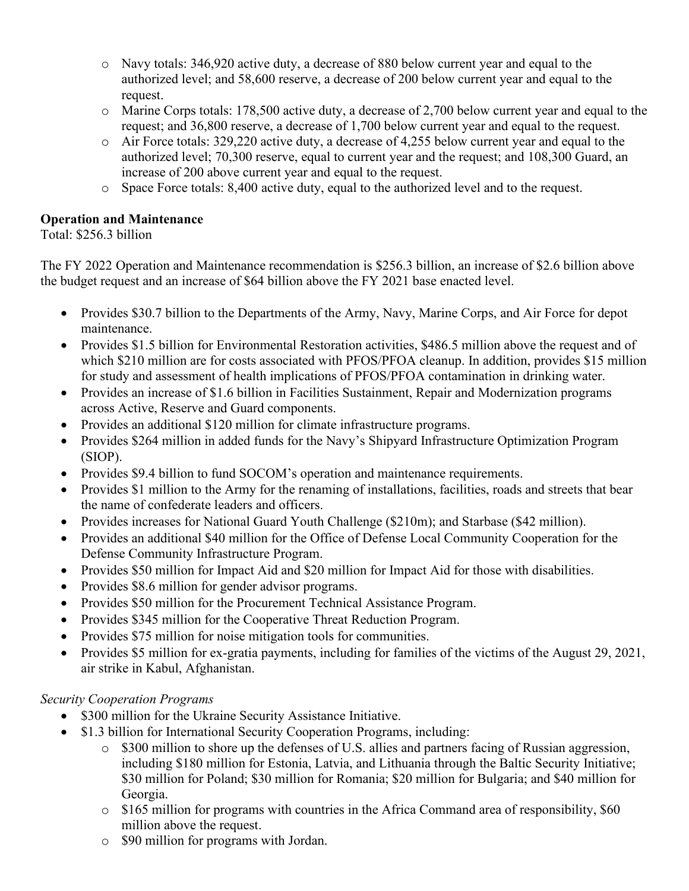- o Navy totals: 346,920 active duty, a decrease of 880 below current year and equal to the authorized level; and 58,600 reserve, a decrease of 200 below current year and equal to the request.
- $\circ$  Marine Corps totals: 178,500 active duty, a decrease of 2,700 below current year and equal to the request; and 36,800 reserve, a decrease of 1,700 below current year and equal to the request.
- o Air Force totals: 329,220 active duty, a decrease of 4,255 below current year and equal to the authorized level; 70,300 reserve, equal to current year and the request; and 108,300 Guard, an increase of 200 above current year and equal to the request.
- o Space Force totals: 8,400 active duty, equal to the authorized level and to the request.

### **Operation and Maintenance**

Total: \$256.3 billion

The FY 2022 Operation and Maintenance recommendation is \$256.3 billion, an increase of \$2.6 billion above the budget request and an increase of \$64 billion above the FY 2021 base enacted level.

- Provides \$30.7 billion to the Departments of the Army, Navy, Marine Corps, and Air Force for depot maintenance.
- Provides \$1.5 billion for Environmental Restoration activities, \$486.5 million above the request and of which \$210 million are for costs associated with PFOS/PFOA cleanup. In addition, provides \$15 million for study and assessment of health implications of PFOS/PFOA contamination in drinking water.
- Provides an increase of \$1.6 billion in Facilities Sustainment, Repair and Modernization programs across Active, Reserve and Guard components.
- Provides an additional \$120 million for climate infrastructure programs.
- Provides \$264 million in added funds for the Navy's Shipyard Infrastructure Optimization Program (SIOP).
- Provides \$9.4 billion to fund SOCOM's operation and maintenance requirements.
- Provides \$1 million to the Army for the renaming of installations, facilities, roads and streets that bear the name of confederate leaders and officers.
- Provides increases for National Guard Youth Challenge (\$210m); and Starbase (\$42 million).
- Provides an additional \$40 million for the Office of Defense Local Community Cooperation for the Defense Community Infrastructure Program.
- Provides \$50 million for Impact Aid and \$20 million for Impact Aid for those with disabilities.
- Provides \$8.6 million for gender advisor programs.
- Provides \$50 million for the Procurement Technical Assistance Program.
- Provides \$345 million for the Cooperative Threat Reduction Program.
- Provides \$75 million for noise mitigation tools for communities.
- Provides \$5 million for ex-gratia payments, including for families of the victims of the August 29, 2021, air strike in Kabul, Afghanistan.

## *Security Cooperation Programs*

- \$300 million for the Ukraine Security Assistance Initiative.
- \$1.3 billion for International Security Cooperation Programs, including:
	- o \$300 million to shore up the defenses of U.S. allies and partners facing of Russian aggression, including \$180 million for Estonia, Latvia, and Lithuania through the Baltic Security Initiative; \$30 million for Poland; \$30 million for Romania; \$20 million for Bulgaria; and \$40 million for Georgia.
	- o \$165 million for programs with countries in the Africa Command area of responsibility, \$60 million above the request.
	- o \$90 million for programs with Jordan.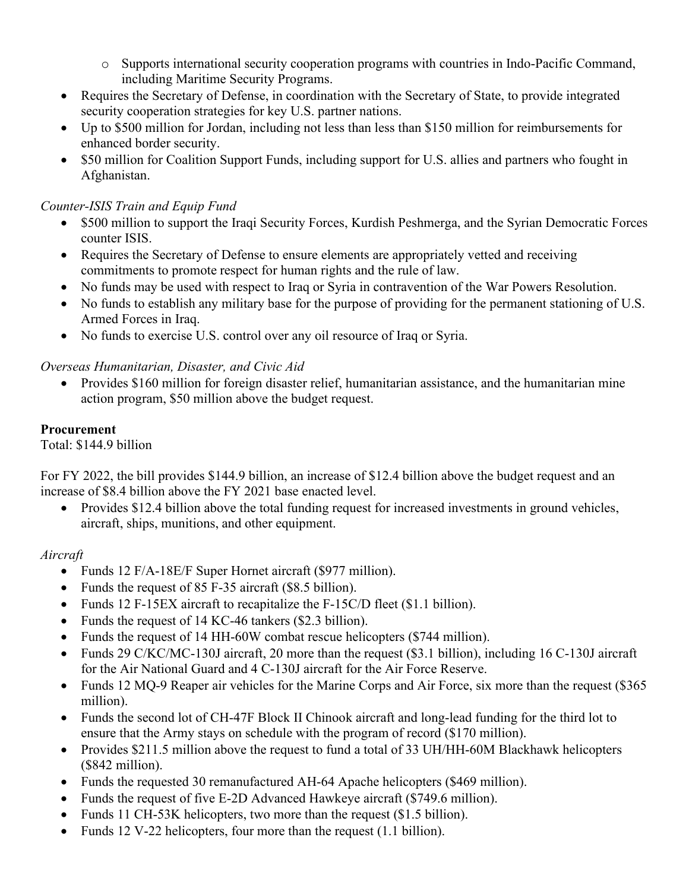- o Supports international security cooperation programs with countries in Indo-Pacific Command, including Maritime Security Programs.
- Requires the Secretary of Defense, in coordination with the Secretary of State, to provide integrated security cooperation strategies for key U.S. partner nations.
- Up to \$500 million for Jordan, including not less than less than \$150 million for reimbursements for enhanced border security.
- \$50 million for Coalition Support Funds, including support for U.S. allies and partners who fought in Afghanistan.

#### *Counter-ISIS Train and Equip Fund*

- \$500 million to support the Iraqi Security Forces, Kurdish Peshmerga, and the Syrian Democratic Forces counter ISIS.
- Requires the Secretary of Defense to ensure elements are appropriately vetted and receiving commitments to promote respect for human rights and the rule of law.
- No funds may be used with respect to Iraq or Syria in contravention of the War Powers Resolution.
- No funds to establish any military base for the purpose of providing for the permanent stationing of U.S. Armed Forces in Iraq.
- No funds to exercise U.S. control over any oil resource of Iraq or Syria.

## *Overseas Humanitarian, Disaster, and Civic Aid*

• Provides \$160 million for foreign disaster relief, humanitarian assistance, and the humanitarian mine action program, \$50 million above the budget request.

#### **Procurement**

Total: \$144.9 billion

For FY 2022, the bill provides \$144.9 billion, an increase of \$12.4 billion above the budget request and an increase of \$8.4 billion above the FY 2021 base enacted level.

• Provides \$12.4 billion above the total funding request for increased investments in ground vehicles, aircraft, ships, munitions, and other equipment.

#### *Aircraft*

- Funds 12 F/A-18E/F Super Hornet aircraft (\$977 million).
- Funds the request of 85 F-35 aircraft (\$8.5 billion).
- Funds 12 F-15EX aircraft to recapitalize the F-15C/D fleet (\$1.1 billion).
- Funds the request of 14 KC-46 tankers (\$2.3 billion).
- Funds the request of 14 HH-60W combat rescue helicopters (\$744 million).
- Funds 29 C/KC/MC-130J aircraft, 20 more than the request (\$3.1 billion), including 16 C-130J aircraft for the Air National Guard and 4 C-130J aircraft for the Air Force Reserve.
- Funds 12 MQ-9 Reaper air vehicles for the Marine Corps and Air Force, six more than the request (\$365) million).
- Funds the second lot of CH-47F Block II Chinook aircraft and long-lead funding for the third lot to ensure that the Army stays on schedule with the program of record (\$170 million).
- Provides \$211.5 million above the request to fund a total of 33 UH/HH-60M Blackhawk helicopters (\$842 million).
- Funds the requested 30 remanufactured AH-64 Apache helicopters (\$469 million).
- Funds the request of five E-2D Advanced Hawkeye aircraft (\$749.6 million).
- Funds 11 CH-53K helicopters, two more than the request (\$1.5 billion).
- Funds 12 V-22 helicopters, four more than the request (1.1 billion).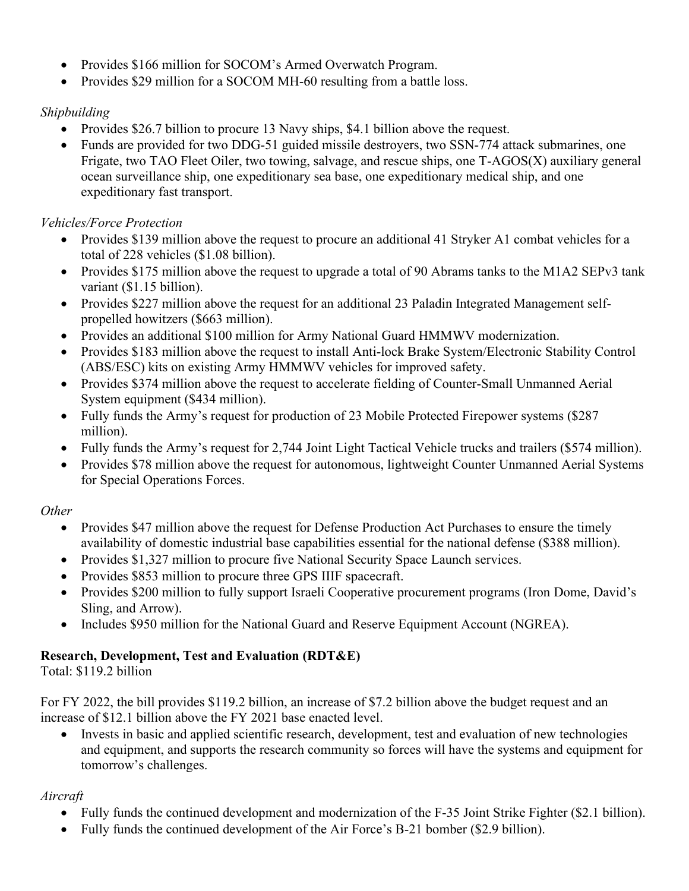- Provides \$166 million for SOCOM's Armed Overwatch Program.
- Provides \$29 million for a SOCOM MH-60 resulting from a battle loss.

## *Shipbuilding*

- Provides \$26.7 billion to procure 13 Navy ships, \$4.1 billion above the request.
- Funds are provided for two DDG-51 guided missile destroyers, two SSN-774 attack submarines, one Frigate, two TAO Fleet Oiler, two towing, salvage, and rescue ships, one T-AGOS(X) auxiliary general ocean surveillance ship, one expeditionary sea base, one expeditionary medical ship, and one expeditionary fast transport.

## *Vehicles/Force Protection*

- Provides \$139 million above the request to procure an additional 41 Stryker A1 combat vehicles for a total of 228 vehicles (\$1.08 billion).
- Provides \$175 million above the request to upgrade a total of 90 Abrams tanks to the M1A2 SEPv3 tank variant (\$1.15 billion).
- Provides \$227 million above the request for an additional 23 Paladin Integrated Management selfpropelled howitzers (\$663 million).
- Provides an additional \$100 million for Army National Guard HMMWV modernization.
- Provides \$183 million above the request to install Anti-lock Brake System/Electronic Stability Control (ABS/ESC) kits on existing Army HMMWV vehicles for improved safety.
- Provides \$374 million above the request to accelerate fielding of Counter-Small Unmanned Aerial System equipment (\$434 million).
- Fully funds the Army's request for production of 23 Mobile Protected Firepower systems (\$287) million).
- Fully funds the Army's request for 2,744 Joint Light Tactical Vehicle trucks and trailers (\$574 million).
- Provides \$78 million above the request for autonomous, lightweight Counter Unmanned Aerial Systems for Special Operations Forces.

# *Other*

- Provides \$47 million above the request for Defense Production Act Purchases to ensure the timely availability of domestic industrial base capabilities essential for the national defense (\$388 million).
- Provides \$1,327 million to procure five National Security Space Launch services.
- Provides \$853 million to procure three GPS IIIF spacecraft.
- Provides \$200 million to fully support Israeli Cooperative procurement programs (Iron Dome, David's Sling, and Arrow).
- Includes \$950 million for the National Guard and Reserve Equipment Account (NGREA).

# **Research, Development, Test and Evaluation (RDT&E)**

Total: \$119.2 billion

For FY 2022, the bill provides \$119.2 billion, an increase of \$7.2 billion above the budget request and an increase of \$12.1 billion above the FY 2021 base enacted level.

• Invests in basic and applied scientific research, development, test and evaluation of new technologies and equipment, and supports the research community so forces will have the systems and equipment for tomorrow's challenges.

# *Aircraft*

- Fully funds the continued development and modernization of the F-35 Joint Strike Fighter (\$2.1 billion).
- Fully funds the continued development of the Air Force's B-21 bomber (\$2.9 billion).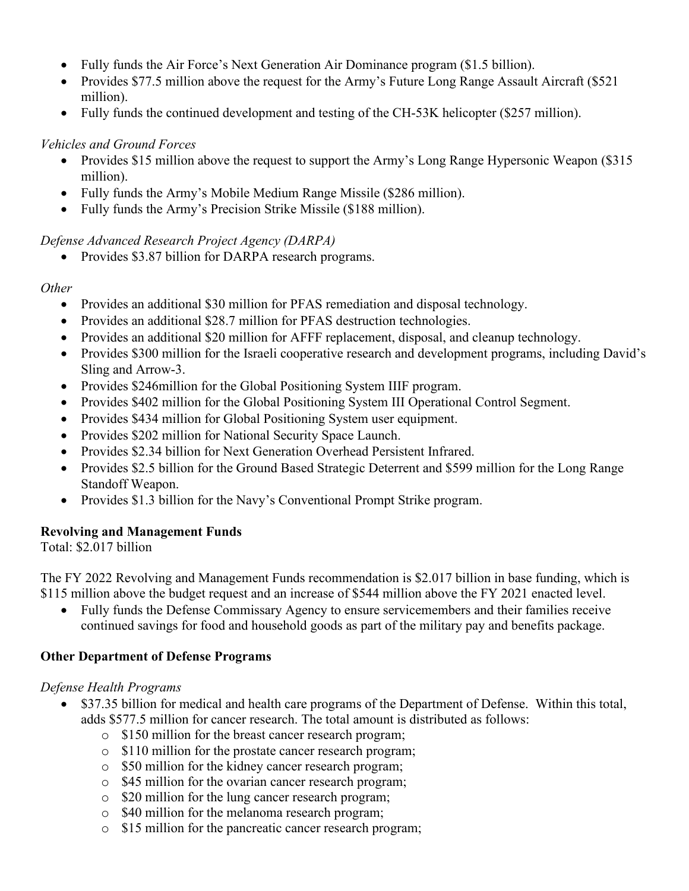- Fully funds the Air Force's Next Generation Air Dominance program (\$1.5 billion).
- Provides \$77.5 million above the request for the Army's Future Long Range Assault Aircraft (\$521) million).
- Fully funds the continued development and testing of the CH-53K helicopter (\$257 million).

#### *Vehicles and Ground Forces*

- Provides \$15 million above the request to support the Army's Long Range Hypersonic Weapon (\$315 million).
- Fully funds the Army's Mobile Medium Range Missile (\$286 million).
- Fully funds the Army's Precision Strike Missile (\$188 million).

#### *Defense Advanced Research Project Agency (DARPA)*

• Provides \$3.87 billion for DARPA research programs.

#### *Other*

- Provides an additional \$30 million for PFAS remediation and disposal technology.
- Provides an additional \$28.7 million for PFAS destruction technologies.
- Provides an additional \$20 million for AFFF replacement, disposal, and cleanup technology.
- Provides \$300 million for the Israeli cooperative research and development programs, including David's Sling and Arrow-3.
- Provides \$246million for the Global Positioning System IIIF program.
- Provides \$402 million for the Global Positioning System III Operational Control Segment.
- Provides \$434 million for Global Positioning System user equipment.
- Provides \$202 million for National Security Space Launch.
- Provides \$2.34 billion for Next Generation Overhead Persistent Infrared.
- Provides \$2.5 billion for the Ground Based Strategic Deterrent and \$599 million for the Long Range Standoff Weapon.
- Provides \$1.3 billion for the Navy's Conventional Prompt Strike program.

## **Revolving and Management Funds**

Total: \$2.017 billion

The FY 2022 Revolving and Management Funds recommendation is \$2.017 billion in base funding, which is \$115 million above the budget request and an increase of \$544 million above the FY 2021 enacted level.

• Fully funds the Defense Commissary Agency to ensure servicemembers and their families receive continued savings for food and household goods as part of the military pay and benefits package.

#### **Other Department of Defense Programs**

#### *Defense Health Programs*

- \$37.35 billion for medical and health care programs of the Department of Defense. Within this total, adds \$577.5 million for cancer research. The total amount is distributed as follows:
	- o \$150 million for the breast cancer research program;
	- o \$110 million for the prostate cancer research program;
	- o \$50 million for the kidney cancer research program;
	- o \$45 million for the ovarian cancer research program;
	- o \$20 million for the lung cancer research program;
	- o \$40 million for the melanoma research program;
	- o \$15 million for the pancreatic cancer research program;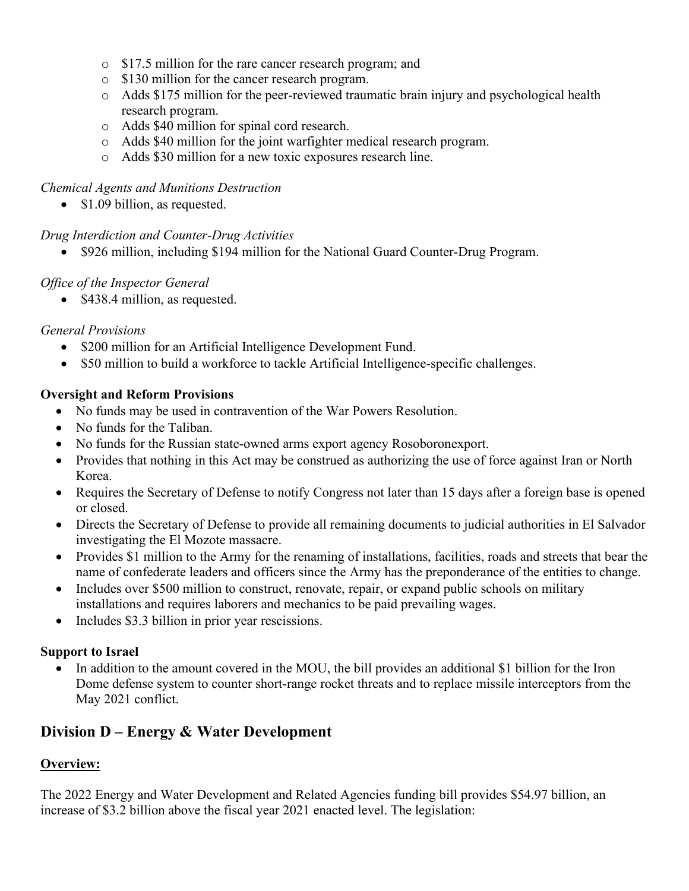- o \$17.5 million for the rare cancer research program; and
- o \$130 million for the cancer research program.
- $\circ$  Adds \$175 million for the peer-reviewed traumatic brain injury and psychological health research program.
- o Adds \$40 million for spinal cord research.
- o Adds \$40 million for the joint warfighter medical research program.
- o Adds \$30 million for a new toxic exposures research line.

#### *Chemical Agents and Munitions Destruction*

• \$1.09 billion, as requested.

#### *Drug Interdiction and Counter-Drug Activities*

• \$926 million, including \$194 million for the National Guard Counter-Drug Program.

#### *Office of the Inspector General*

• \$438.4 million, as requested.

#### *General Provisions*

- \$200 million for an Artificial Intelligence Development Fund.
- \$50 million to build a workforce to tackle Artificial Intelligence-specific challenges.

#### **Oversight and Reform Provisions**

- No funds may be used in contravention of the War Powers Resolution.
- No funds for the Taliban.
- No funds for the Russian state-owned arms export agency Rosoboronexport.
- Provides that nothing in this Act may be construed as authorizing the use of force against Iran or North Korea.
- Requires the Secretary of Defense to notify Congress not later than 15 days after a foreign base is opened or closed.
- Directs the Secretary of Defense to provide all remaining documents to judicial authorities in El Salvador investigating the El Mozote massacre.
- Provides \$1 million to the Army for the renaming of installations, facilities, roads and streets that bear the name of confederate leaders and officers since the Army has the preponderance of the entities to change.
- Includes over \$500 million to construct, renovate, repair, or expand public schools on military installations and requires laborers and mechanics to be paid prevailing wages.
- Includes \$3.3 billion in prior year rescissions.

#### **Support to Israel**

• In addition to the amount covered in the MOU, the bill provides an additional \$1 billion for the Iron Dome defense system to counter short-range rocket threats and to replace missile interceptors from the May 2021 conflict.

# **Division D – Energy & Water Development**

## **Overview:**

The 2022 Energy and Water Development and Related Agencies funding bill provides \$54.97 billion, an increase of \$3.2 billion above the fiscal year 2021 enacted level. The legislation: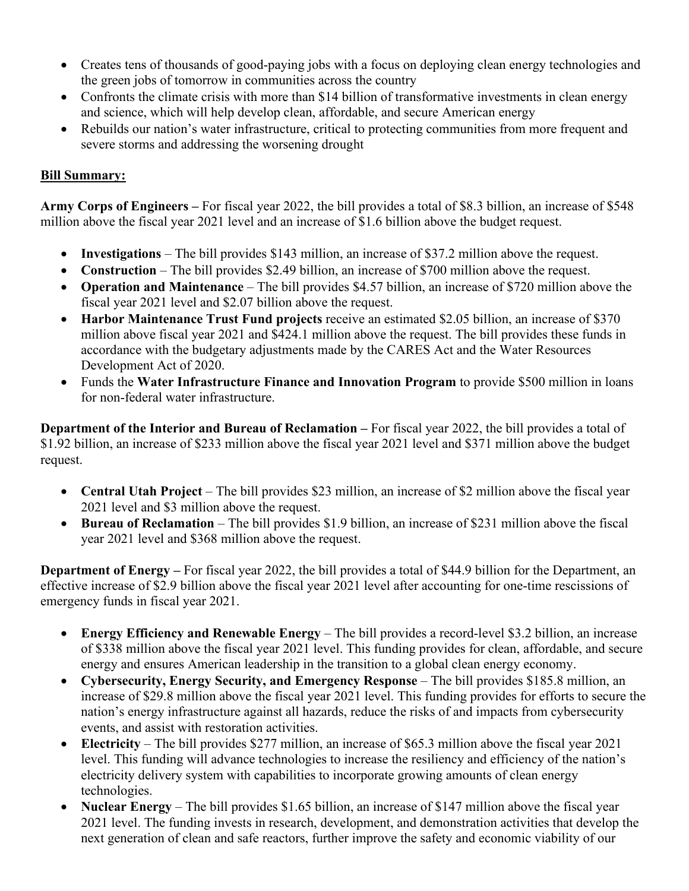- Creates tens of thousands of good-paying jobs with a focus on deploying clean energy technologies and the green jobs of tomorrow in communities across the country
- Confronts the climate crisis with more than \$14 billion of transformative investments in clean energy and science, which will help develop clean, affordable, and secure American energy
- Rebuilds our nation's water infrastructure, critical to protecting communities from more frequent and severe storms and addressing the worsening drought

#### **Bill Summary:**

**Army Corps of Engineers –** For fiscal year 2022, the bill provides a total of \$8.3 billion, an increase of \$548 million above the fiscal year 2021 level and an increase of \$1.6 billion above the budget request.

- **Investigations** The bill provides \$143 million, an increase of \$37.2 million above the request.
- **Construction** The bill provides \$2.49 billion, an increase of \$700 million above the request.
- **Operation and Maintenance** The bill provides \$4.57 billion, an increase of \$720 million above the fiscal year 2021 level and \$2.07 billion above the request.
- **Harbor Maintenance Trust Fund projects** receive an estimated \$2.05 billion, an increase of \$370 million above fiscal year 2021 and \$424.1 million above the request. The bill provides these funds in accordance with the budgetary adjustments made by the CARES Act and the Water Resources Development Act of 2020.
- Funds the **Water Infrastructure Finance and Innovation Program** to provide \$500 million in loans for non-federal water infrastructure.

**Department of the Interior and Bureau of Reclamation –** For fiscal year 2022, the bill provides a total of \$1.92 billion, an increase of \$233 million above the fiscal year 2021 level and \$371 million above the budget request.

- **Central Utah Project** The bill provides \$23 million, an increase of \$2 million above the fiscal year 2021 level and \$3 million above the request.
- **Bureau of Reclamation** The bill provides \$1.9 billion, an increase of \$231 million above the fiscal year 2021 level and \$368 million above the request.

**Department of Energy** – For fiscal year 2022, the bill provides a total of \$44.9 billion for the Department, an effective increase of \$2.9 billion above the fiscal year 2021 level after accounting for one-time rescissions of emergency funds in fiscal year 2021.

- **Energy Efficiency and Renewable Energy** The bill provides a record-level \$3.2 billion, an increase of \$338 million above the fiscal year 2021 level. This funding provides for clean, affordable, and secure energy and ensures American leadership in the transition to a global clean energy economy.
- **Cybersecurity, Energy Security, and Emergency Response** The bill provides \$185.8 million, an increase of \$29.8 million above the fiscal year 2021 level. This funding provides for efforts to secure the nation's energy infrastructure against all hazards, reduce the risks of and impacts from cybersecurity events, and assist with restoration activities.
- **Electricity** The bill provides \$277 million, an increase of \$65.3 million above the fiscal year 2021 level. This funding will advance technologies to increase the resiliency and efficiency of the nation's electricity delivery system with capabilities to incorporate growing amounts of clean energy technologies.
- **Nuclear Energy** The bill provides \$1.65 billion, an increase of \$147 million above the fiscal year 2021 level. The funding invests in research, development, and demonstration activities that develop the next generation of clean and safe reactors, further improve the safety and economic viability of our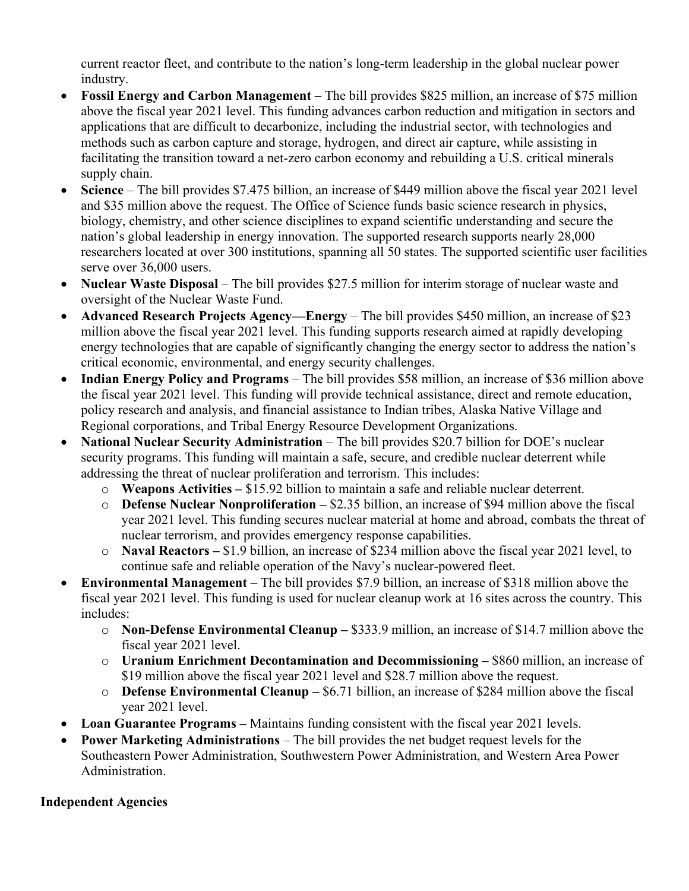current reactor fleet, and contribute to the nation's long-term leadership in the global nuclear power industry.

- **Fossil Energy and Carbon Management** The bill provides \$825 million, an increase of \$75 million above the fiscal year 2021 level. This funding advances carbon reduction and mitigation in sectors and applications that are difficult to decarbonize, including the industrial sector, with technologies and methods such as carbon capture and storage, hydrogen, and direct air capture, while assisting in facilitating the transition toward a net-zero carbon economy and rebuilding a U.S. critical minerals supply chain.
- **Science** The bill provides \$7.475 billion, an increase of \$449 million above the fiscal year 2021 level and \$35 million above the request. The Office of Science funds basic science research in physics, biology, chemistry, and other science disciplines to expand scientific understanding and secure the nation's global leadership in energy innovation. The supported research supports nearly 28,000 researchers located at over 300 institutions, spanning all 50 states. The supported scientific user facilities serve over 36,000 users.
- **Nuclear Waste Disposal** The bill provides \$27.5 million for interim storage of nuclear waste and oversight of the Nuclear Waste Fund.
- **Advanced Research Projects Agency—Energy** The bill provides \$450 million, an increase of \$23 million above the fiscal year 2021 level. This funding supports research aimed at rapidly developing energy technologies that are capable of significantly changing the energy sector to address the nation's critical economic, environmental, and energy security challenges.
- **Indian Energy Policy and Programs** The bill provides \$58 million, an increase of \$36 million above the fiscal year 2021 level. This funding will provide technical assistance, direct and remote education, policy research and analysis, and financial assistance to Indian tribes, Alaska Native Village and Regional corporations, and Tribal Energy Resource Development Organizations.
- **National Nuclear Security Administration** The bill provides \$20.7 billion for DOE's nuclear security programs. This funding will maintain a safe, secure, and credible nuclear deterrent while addressing the threat of nuclear proliferation and terrorism. This includes:
	- o **Weapons Activities –** \$15.92 billion to maintain a safe and reliable nuclear deterrent.
	- o **Defense Nuclear Nonproliferation –** \$2.35 billion, an increase of \$94 million above the fiscal year 2021 level. This funding secures nuclear material at home and abroad, combats the threat of nuclear terrorism, and provides emergency response capabilities.
	- o **Naval Reactors –** \$1.9 billion, an increase of \$234 million above the fiscal year 2021 level, to continue safe and reliable operation of the Navy's nuclear-powered fleet.
- **Environmental Management** The bill provides \$7.9 billion, an increase of \$318 million above the fiscal year 2021 level. This funding is used for nuclear cleanup work at 16 sites across the country. This includes:
	- o **Non-Defense Environmental Cleanup –** \$333.9 million, an increase of \$14.7 million above the fiscal year 2021 level.
	- o **Uranium Enrichment Decontamination and Decommissioning –** \$860 million, an increase of \$19 million above the fiscal year 2021 level and \$28.7 million above the request.
	- o **Defense Environmental Cleanup –** \$6.71 billion, an increase of \$284 million above the fiscal year 2021 level.
- **Loan Guarantee Programs –** Maintains funding consistent with the fiscal year 2021 levels.
- **Power Marketing Administrations** The bill provides the net budget request levels for the Southeastern Power Administration, Southwestern Power Administration, and Western Area Power Administration.

# **Independent Agencies**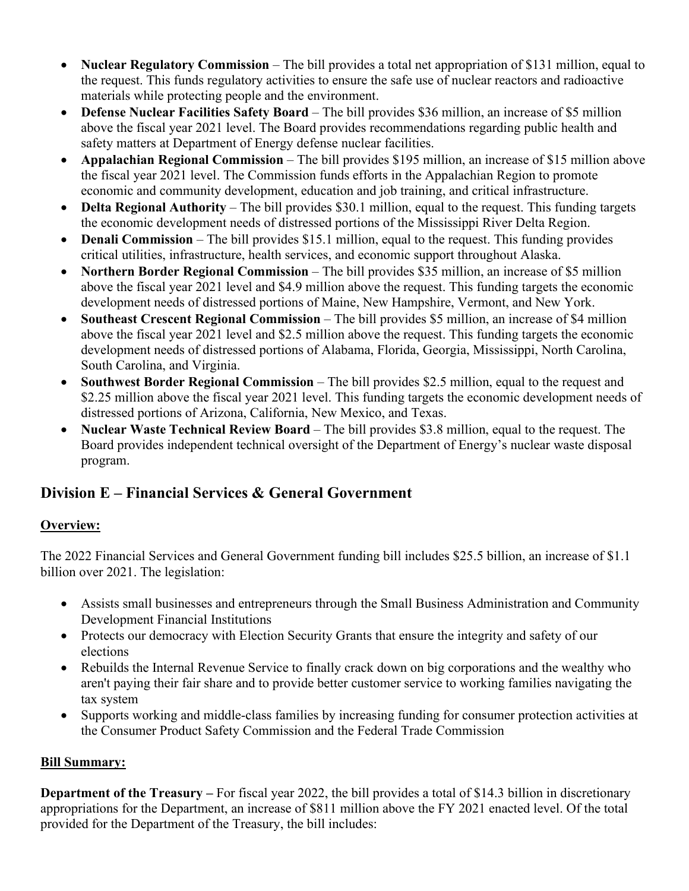- **Nuclear Regulatory Commission** The bill provides a total net appropriation of \$131 million, equal to the request. This funds regulatory activities to ensure the safe use of nuclear reactors and radioactive materials while protecting people and the environment.
- **Defense Nuclear Facilities Safety Board** The bill provides \$36 million, an increase of \$5 million above the fiscal year 2021 level. The Board provides recommendations regarding public health and safety matters at Department of Energy defense nuclear facilities.
- **Appalachian Regional Commission** The bill provides \$195 million, an increase of \$15 million above the fiscal year 2021 level. The Commission funds efforts in the Appalachian Region to promote economic and community development, education and job training, and critical infrastructure.
- **Delta Regional Authority** The bill provides \$30.1 million, equal to the request. This funding targets the economic development needs of distressed portions of the Mississippi River Delta Region.
- **Denali Commission** The bill provides \$15.1 million, equal to the request. This funding provides critical utilities, infrastructure, health services, and economic support throughout Alaska.
- **Northern Border Regional Commission** The bill provides \$35 million, an increase of \$5 million above the fiscal year 2021 level and \$4.9 million above the request. This funding targets the economic development needs of distressed portions of Maine, New Hampshire, Vermont, and New York.
- **Southeast Crescent Regional Commission** The bill provides \$5 million, an increase of \$4 million above the fiscal year 2021 level and \$2.5 million above the request. This funding targets the economic development needs of distressed portions of Alabama, Florida, Georgia, Mississippi, North Carolina, South Carolina, and Virginia.
- **Southwest Border Regional Commission** The bill provides \$2.5 million, equal to the request and \$2.25 million above the fiscal year 2021 level. This funding targets the economic development needs of distressed portions of Arizona, California, New Mexico, and Texas.
- **Nuclear Waste Technical Review Board** The bill provides \$3.8 million, equal to the request. The Board provides independent technical oversight of the Department of Energy's nuclear waste disposal program.

# **Division E – Financial Services & General Government**

## **Overview:**

The 2022 Financial Services and General Government funding bill includes \$25.5 billion, an increase of \$1.1 billion over 2021. The legislation:

- Assists small businesses and entrepreneurs through the Small Business Administration and Community Development Financial Institutions
- Protects our democracy with Election Security Grants that ensure the integrity and safety of our elections
- Rebuilds the Internal Revenue Service to finally crack down on big corporations and the wealthy who aren't paying their fair share and to provide better customer service to working families navigating the tax system
- Supports working and middle-class families by increasing funding for consumer protection activities at the Consumer Product Safety Commission and the Federal Trade Commission

# **Bill Summary:**

**Department of the Treasury** – For fiscal year 2022, the bill provides a total of \$14.3 billion in discretionary appropriations for the Department, an increase of \$811 million above the FY 2021 enacted level. Of the total provided for the Department of the Treasury, the bill includes: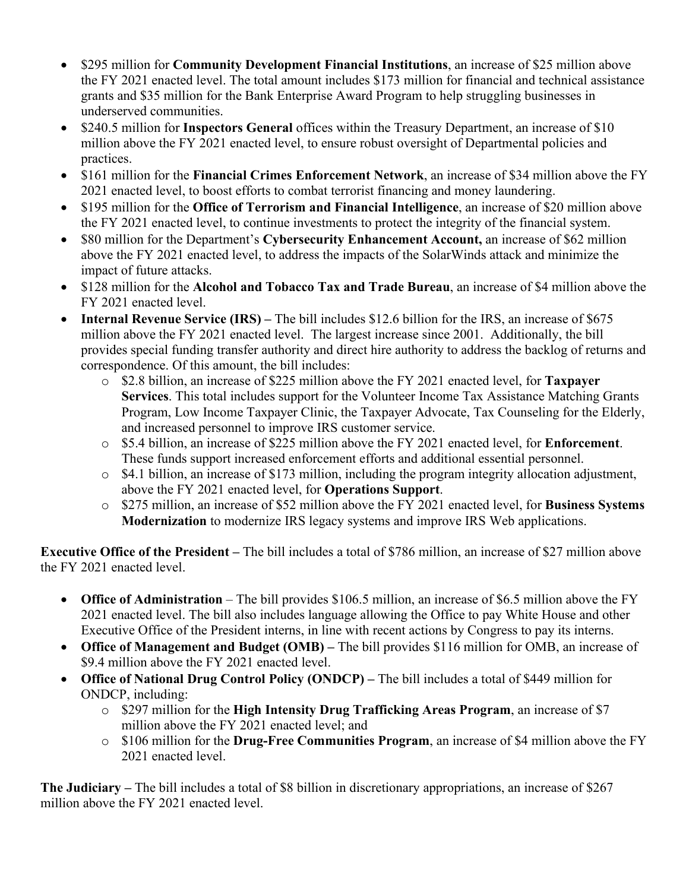- \$295 million for **Community Development Financial Institutions**, an increase of \$25 million above the FY 2021 enacted level. The total amount includes \$173 million for financial and technical assistance grants and \$35 million for the Bank Enterprise Award Program to help struggling businesses in underserved communities.
- \$240.5 million for **Inspectors General** offices within the Treasury Department, an increase of \$10 million above the FY 2021 enacted level, to ensure robust oversight of Departmental policies and practices.
- \$161 million for the **Financial Crimes Enforcement Network**, an increase of \$34 million above the FY 2021 enacted level, to boost efforts to combat terrorist financing and money laundering.
- \$195 million for the **Office of Terrorism and Financial Intelligence**, an increase of \$20 million above the FY 2021 enacted level, to continue investments to protect the integrity of the financial system.
- \$80 million for the Department's Cybersecurity Enhancement Account, an increase of \$62 million above the FY 2021 enacted level, to address the impacts of the SolarWinds attack and minimize the impact of future attacks.
- \$128 million for the **Alcohol and Tobacco Tax and Trade Bureau**, an increase of \$4 million above the FY 2021 enacted level.
- **Internal Revenue Service (IRS)** The bill includes \$12.6 billion for the IRS, an increase of \$675 million above the FY 2021 enacted level. The largest increase since 2001. Additionally, the bill provides special funding transfer authority and direct hire authority to address the backlog of returns and correspondence. Of this amount, the bill includes:
	- o \$2.8 billion, an increase of \$225 million above the FY 2021 enacted level, for **Taxpayer Services**. This total includes support for the Volunteer Income Tax Assistance Matching Grants Program, Low Income Taxpayer Clinic, the Taxpayer Advocate, Tax Counseling for the Elderly, and increased personnel to improve IRS customer service.
	- o \$5.4 billion, an increase of \$225 million above the FY 2021 enacted level, for **Enforcement**. These funds support increased enforcement efforts and additional essential personnel.
	- $\circ$  \$4.1 billion, an increase of \$173 million, including the program integrity allocation adjustment, above the FY 2021 enacted level, for **Operations Support**.
	- o \$275 million, an increase of \$52 million above the FY 2021 enacted level, for **Business Systems Modernization** to modernize IRS legacy systems and improve IRS Web applications.

**Executive Office of the President –** The bill includes a total of \$786 million, an increase of \$27 million above the FY 2021 enacted level.

- **Office of Administration** The bill provides \$106.5 million, an increase of \$6.5 million above the FY 2021 enacted level. The bill also includes language allowing the Office to pay White House and other Executive Office of the President interns, in line with recent actions by Congress to pay its interns.
- **Office of Management and Budget (OMB) –** The bill provides \$116 million for OMB, an increase of \$9.4 million above the FY 2021 enacted level.
- **Office of National Drug Control Policy (ONDCP) –** The bill includes a total of \$449 million for ONDCP, including:
	- o \$297 million for the **High Intensity Drug Trafficking Areas Program**, an increase of \$7 million above the FY 2021 enacted level; and
	- o \$106 million for the **Drug-Free Communities Program**, an increase of \$4 million above the FY 2021 enacted level.

**The Judiciary –** The bill includes a total of \$8 billion in discretionary appropriations, an increase of \$267 million above the FY 2021 enacted level.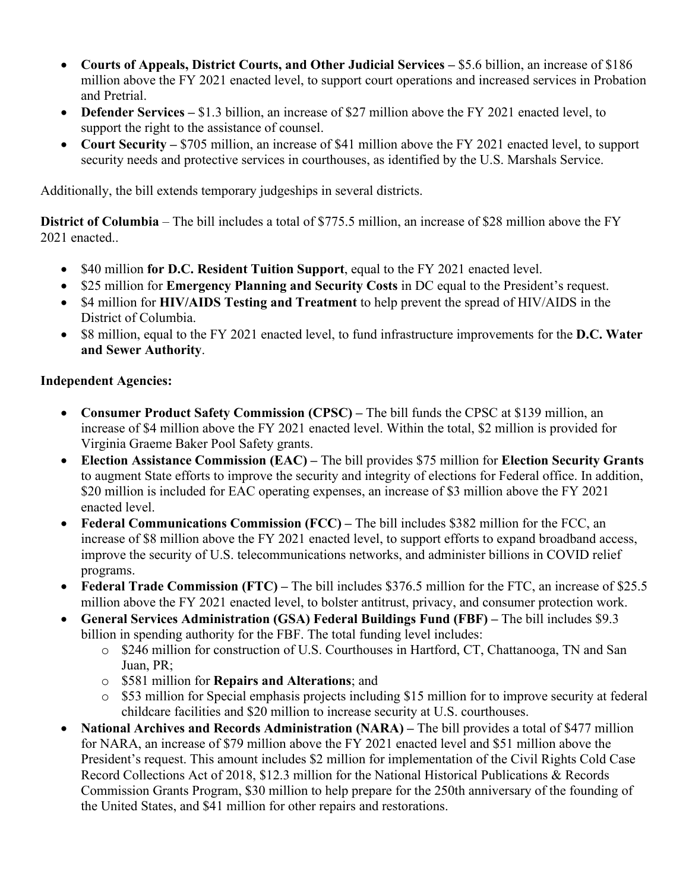- **Courts of Appeals, District Courts, and Other Judicial Services –** \$5.6 billion, an increase of \$186 million above the FY 2021 enacted level, to support court operations and increased services in Probation and Pretrial.
- **Defender Services** \$1.3 billion, an increase of \$27 million above the FY 2021 enacted level, to support the right to the assistance of counsel.
- **Court Security** \$705 million, an increase of \$41 million above the FY 2021 enacted level, to support security needs and protective services in courthouses, as identified by the U.S. Marshals Service.

Additionally, the bill extends temporary judgeships in several districts.

**District of Columbia** – The bill includes a total of \$775.5 million, an increase of \$28 million above the FY 2021 enacted..

- \$40 million **for D.C. Resident Tuition Support**, equal to the FY 2021 enacted level.
- \$25 million for **Emergency Planning and Security Costs** in DC equal to the President's request.
- \$4 million for **HIV/AIDS Testing and Treatment** to help prevent the spread of HIV/AIDS in the District of Columbia.
- \$8 million, equal to the FY 2021 enacted level, to fund infrastructure improvements for the **D.C. Water and Sewer Authority**.

#### **Independent Agencies:**

- **Consumer Product Safety Commission (CPSC)** The bill funds the CPSC at \$139 million, an increase of \$4 million above the FY 2021 enacted level. Within the total, \$2 million is provided for Virginia Graeme Baker Pool Safety grants.
- **Election Assistance Commission (EAC) –** The bill provides \$75 million for **Election Security Grants**  to augment State efforts to improve the security and integrity of elections for Federal office. In addition, \$20 million is included for EAC operating expenses, an increase of \$3 million above the FY 2021 enacted level.
- **Federal Communications Commission (FCC)** The bill includes \$382 million for the FCC, an increase of \$8 million above the FY 2021 enacted level, to support efforts to expand broadband access, improve the security of U.S. telecommunications networks, and administer billions in COVID relief programs.
- **Federal Trade Commission (FTC)** The bill includes \$376.5 million for the FTC, an increase of \$25.5 million above the FY 2021 enacted level, to bolster antitrust, privacy, and consumer protection work.
- **General Services Administration (GSA) Federal Buildings Fund (FBF) –** The bill includes \$9.3 billion in spending authority for the FBF. The total funding level includes:
	- o \$246 million for construction of U.S. Courthouses in Hartford, CT, Chattanooga, TN and San Juan, PR;
	- o \$581 million for **Repairs and Alterations**; and
	- o \$53 million for Special emphasis projects including \$15 million for to improve security at federal childcare facilities and \$20 million to increase security at U.S. courthouses.
- **National Archives and Records Administration (NARA) The bill provides a total of \$477 million** for NARA, an increase of \$79 million above the FY 2021 enacted level and \$51 million above the President's request. This amount includes \$2 million for implementation of the Civil Rights Cold Case Record Collections Act of 2018, \$12.3 million for the National Historical Publications & Records Commission Grants Program, \$30 million to help prepare for the 250th anniversary of the founding of the United States, and \$41 million for other repairs and restorations.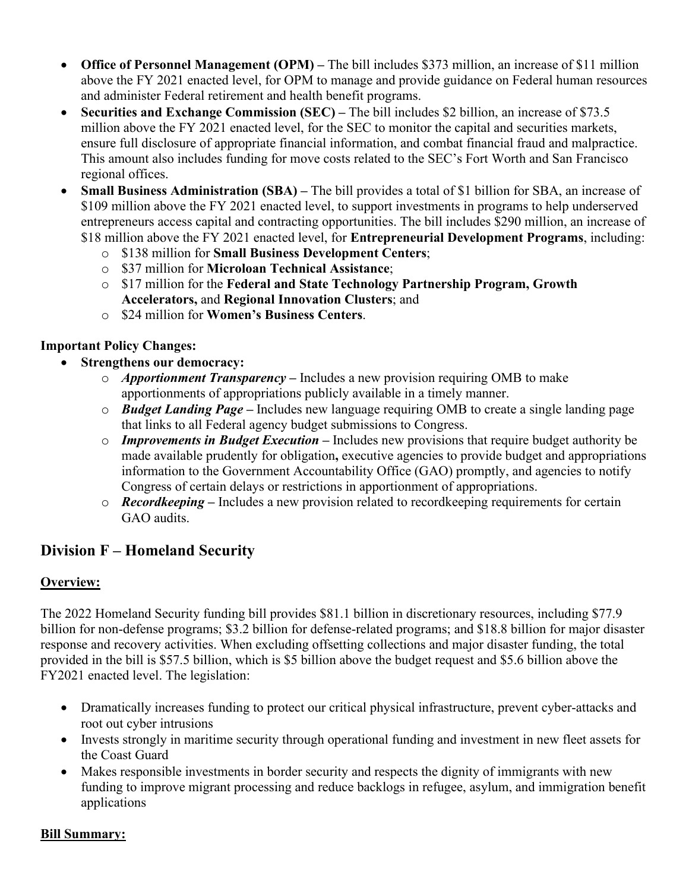- **Office of Personnel Management (OPM)** The bill includes \$373 million, an increase of \$11 million above the FY 2021 enacted level, for OPM to manage and provide guidance on Federal human resources and administer Federal retirement and health benefit programs.
- **Securities and Exchange Commission (SEC)** The bill includes \$2 billion, an increase of \$73.5 million above the FY 2021 enacted level, for the SEC to monitor the capital and securities markets, ensure full disclosure of appropriate financial information, and combat financial fraud and malpractice. This amount also includes funding for move costs related to the SEC's Fort Worth and San Francisco regional offices.
- **Small Business Administration (SBA) –** The bill provides a total of \$1 billion for SBA, an increase of \$109 million above the FY 2021 enacted level, to support investments in programs to help underserved entrepreneurs access capital and contracting opportunities. The bill includes \$290 million, an increase of \$18 million above the FY 2021 enacted level, for **Entrepreneurial Development Programs**, including:
	- o \$138 million for **Small Business Development Centers**;
	- o \$37 million for **Microloan Technical Assistance**;
	- o \$17 million for the **Federal and State Technology Partnership Program, Growth Accelerators,** and **Regional Innovation Clusters**; and
	- o \$24 million for **Women's Business Centers**.

#### **Important Policy Changes:**

- **Strengthens our democracy:**
	- o *Apportionment Transparency* **–** Includes a new provision requiring OMB to make apportionments of appropriations publicly available in a timely manner.
	- o *Budget Landing Page –* Includes new language requiring OMB to create a single landing page that links to all Federal agency budget submissions to Congress.
	- o *Improvements in Budget Execution* **–** Includes new provisions that require budget authority be made available prudently for obligation**,** executive agencies to provide budget and appropriations information to the Government Accountability Office (GAO) promptly, and agencies to notify Congress of certain delays or restrictions in apportionment of appropriations.
	- o *Recordkeeping* **–** Includes a new provision related to recordkeeping requirements for certain GAO audits.

# **Division F – Homeland Security**

#### **Overview:**

The 2022 Homeland Security funding bill provides \$81.1 billion in discretionary resources, including \$77.9 billion for non-defense programs; \$3.2 billion for defense-related programs; and \$18.8 billion for major disaster response and recovery activities. When excluding offsetting collections and major disaster funding, the total provided in the bill is \$57.5 billion, which is \$5 billion above the budget request and \$5.6 billion above the FY2021 enacted level. The legislation:

- Dramatically increases funding to protect our critical physical infrastructure, prevent cyber-attacks and root out cyber intrusions
- Invests strongly in maritime security through operational funding and investment in new fleet assets for the Coast Guard
- Makes responsible investments in border security and respects the dignity of immigrants with new funding to improve migrant processing and reduce backlogs in refugee, asylum, and immigration benefit applications

#### **Bill Summary:**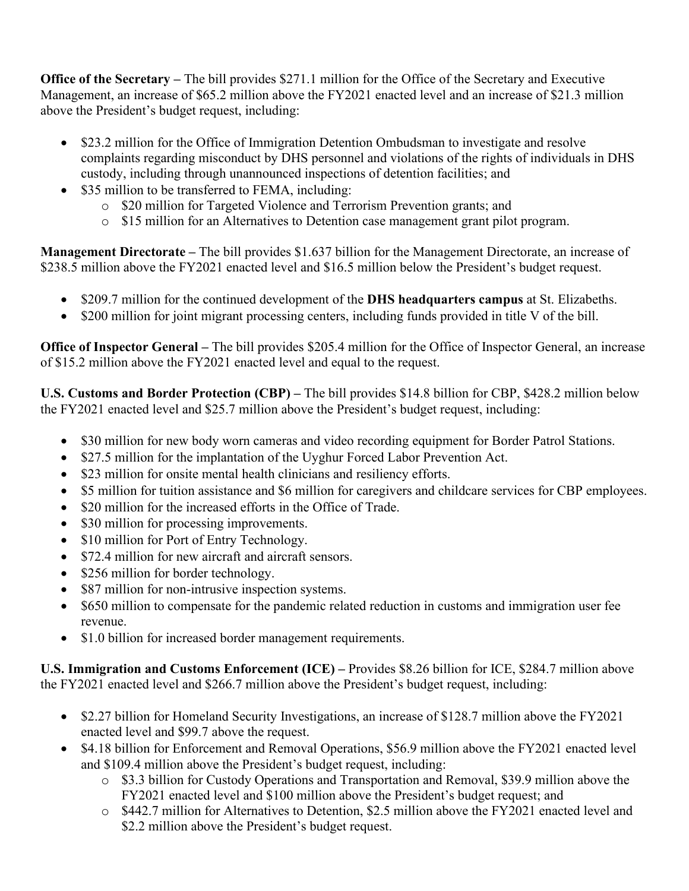**Office of the Secretary –** The bill provides \$271.1 million for the Office of the Secretary and Executive Management, an increase of \$65.2 million above the FY2021 enacted level and an increase of \$21.3 million above the President's budget request, including:

- \$23.2 million for the Office of Immigration Detention Ombudsman to investigate and resolve complaints regarding misconduct by DHS personnel and violations of the rights of individuals in DHS custody, including through unannounced inspections of detention facilities; and
- \$35 million to be transferred to FEMA, including:
	- o \$20 million for Targeted Violence and Terrorism Prevention grants; and
	- o \$15 million for an Alternatives to Detention case management grant pilot program.

**Management Directorate –** The bill provides \$1.637 billion for the Management Directorate, an increase of \$238.5 million above the FY2021 enacted level and \$16.5 million below the President's budget request.

- \$209.7 million for the continued development of the **DHS headquarters campus** at St. Elizabeths.
- \$200 million for joint migrant processing centers, including funds provided in title V of the bill.

**Office of Inspector General –** The bill provides \$205.4 million for the Office of Inspector General, an increase of \$15.2 million above the FY2021 enacted level and equal to the request.

**U.S. Customs and Border Protection (CBP) –** The bill provides \$14.8 billion for CBP, \$428.2 million below the FY2021 enacted level and \$25.7 million above the President's budget request, including:

- \$30 million for new body worn cameras and video recording equipment for Border Patrol Stations.
- \$27.5 million for the implantation of the Uyghur Forced Labor Prevention Act.
- \$23 million for onsite mental health clinicians and resiliency efforts.
- \$5 million for tuition assistance and \$6 million for caregivers and childcare services for CBP employees.
- \$20 million for the increased efforts in the Office of Trade.
- \$30 million for processing improvements.
- \$10 million for Port of Entry Technology.
- \$72.4 million for new aircraft and aircraft sensors.
- \$256 million for border technology.
- \$87 million for non-intrusive inspection systems.
- \$650 million to compensate for the pandemic related reduction in customs and immigration user fee revenue.
- \$1.0 billion for increased border management requirements.

**U.S. Immigration and Customs Enforcement (ICE) –** Provides \$8.26 billion for ICE, \$284.7 million above the FY2021 enacted level and \$266.7 million above the President's budget request, including:

- \$2.27 billion for Homeland Security Investigations, an increase of \$128.7 million above the FY2021 enacted level and \$99.7 above the request.
- \$4.18 billion for Enforcement and Removal Operations, \$56.9 million above the FY2021 enacted level and \$109.4 million above the President's budget request, including:
	- o \$3.3 billion for Custody Operations and Transportation and Removal, \$39.9 million above the FY2021 enacted level and \$100 million above the President's budget request; and
	- o \$442.7 million for Alternatives to Detention, \$2.5 million above the FY2021 enacted level and \$2.2 million above the President's budget request.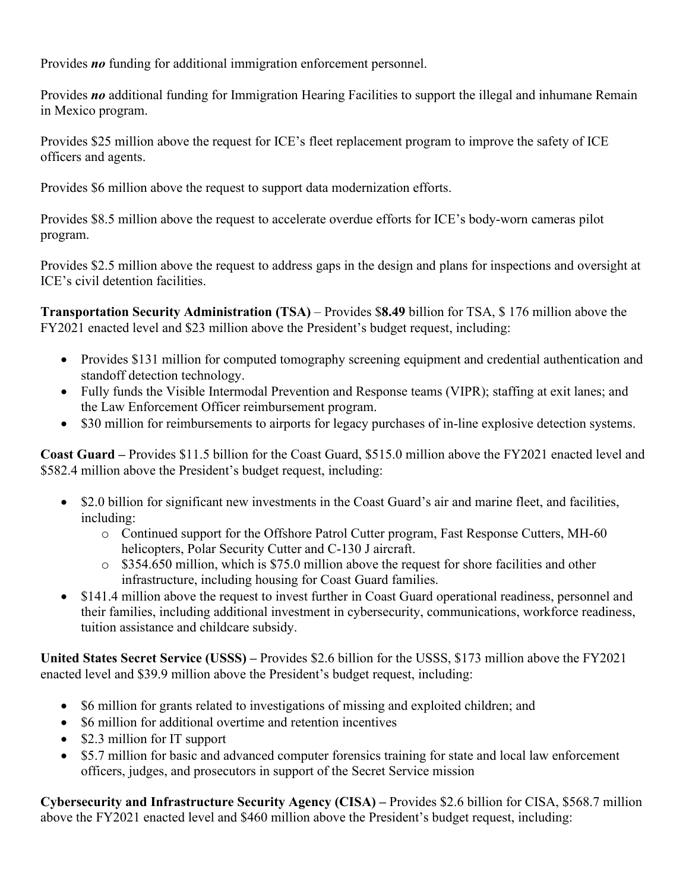Provides *no* funding for additional immigration enforcement personnel.

Provides *no* additional funding for Immigration Hearing Facilities to support the illegal and inhumane Remain in Mexico program.

Provides \$25 million above the request for ICE's fleet replacement program to improve the safety of ICE officers and agents.

Provides \$6 million above the request to support data modernization efforts.

Provides \$8.5 million above the request to accelerate overdue efforts for ICE's body-worn cameras pilot program.

Provides \$2.5 million above the request to address gaps in the design and plans for inspections and oversight at ICE's civil detention facilities.

**Transportation Security Administration (TSA)** – Provides \$**8.49** billion for TSA, \$ 176 million above the FY2021 enacted level and \$23 million above the President's budget request, including:

- Provides \$131 million for computed tomography screening equipment and credential authentication and standoff detection technology.
- Fully funds the Visible Intermodal Prevention and Response teams (VIPR); staffing at exit lanes; and the Law Enforcement Officer reimbursement program.
- \$30 million for reimbursements to airports for legacy purchases of in-line explosive detection systems.

**Coast Guard –** Provides \$11.5 billion for the Coast Guard, \$515.0 million above the FY2021 enacted level and \$582.4 million above the President's budget request, including:

- \$2.0 billion for significant new investments in the Coast Guard's air and marine fleet, and facilities, including:
	- o Continued support for the Offshore Patrol Cutter program, Fast Response Cutters, MH-60 helicopters, Polar Security Cutter and C-130 J aircraft.
	- $\circ$  \$354.650 million, which is \$75.0 million above the request for shore facilities and other infrastructure, including housing for Coast Guard families.
- \$141.4 million above the request to invest further in Coast Guard operational readiness, personnel and their families, including additional investment in cybersecurity, communications, workforce readiness, tuition assistance and childcare subsidy.

**United States Secret Service (USSS) –** Provides \$2.6 billion for the USSS, \$173 million above the FY2021 enacted level and \$39.9 million above the President's budget request, including:

- S6 million for grants related to investigations of missing and exploited children; and
- \$6 million for additional overtime and retention incentives
- \$2.3 million for IT support
- \$5.7 million for basic and advanced computer forensics training for state and local law enforcement officers, judges, and prosecutors in support of the Secret Service mission

**Cybersecurity and Infrastructure Security Agency (CISA) –** Provides \$2.6 billion for CISA, \$568.7 million above the FY2021 enacted level and \$460 million above the President's budget request, including: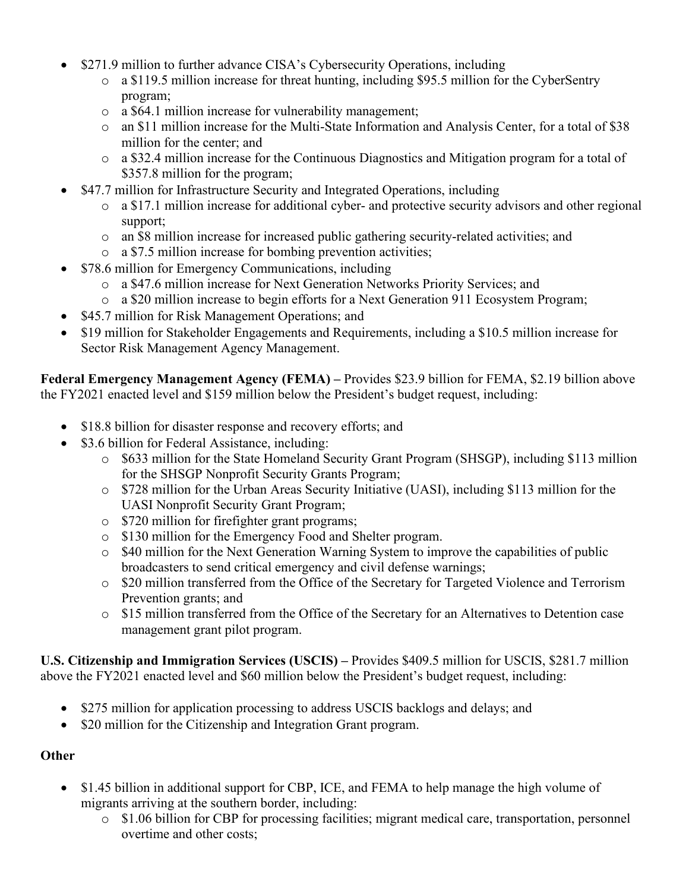- \$271.9 million to further advance CISA's Cybersecurity Operations, including
	- o a \$119.5 million increase for threat hunting, including \$95.5 million for the CyberSentry program;
	- o a \$64.1 million increase for vulnerability management;
	- o an \$11 million increase for the Multi-State Information and Analysis Center, for a total of \$38 million for the center; and
	- $\circ$  a \$32.4 million increase for the Continuous Diagnostics and Mitigation program for a total of \$357.8 million for the program;
- \$47.7 million for Infrastructure Security and Integrated Operations, including
	- o a \$17.1 million increase for additional cyber- and protective security advisors and other regional support;
	- o an \$8 million increase for increased public gathering security-related activities; and
	- o a \$7.5 million increase for bombing prevention activities;
- \$78.6 million for Emergency Communications, including
	- o a \$47.6 million increase for Next Generation Networks Priority Services; and
	- o a \$20 million increase to begin efforts for a Next Generation 911 Ecosystem Program;
- \$45.7 million for Risk Management Operations; and
- \$19 million for Stakeholder Engagements and Requirements, including a \$10.5 million increase for Sector Risk Management Agency Management.

**Federal Emergency Management Agency (FEMA) –** Provides \$23.9 billion for FEMA, \$2.19 billion above the FY2021 enacted level and \$159 million below the President's budget request, including:

- \$18.8 billion for disaster response and recovery efforts; and
- \$3.6 billion for Federal Assistance, including:
	- o \$633 million for the State Homeland Security Grant Program (SHSGP), including \$113 million for the SHSGP Nonprofit Security Grants Program;
	- o \$728 million for the Urban Areas Security Initiative (UASI), including \$113 million for the UASI Nonprofit Security Grant Program;
	- o \$720 million for firefighter grant programs;
	- o \$130 million for the Emergency Food and Shelter program.
	- o \$40 million for the Next Generation Warning System to improve the capabilities of public broadcasters to send critical emergency and civil defense warnings;
	- o \$20 million transferred from the Office of the Secretary for Targeted Violence and Terrorism Prevention grants; and
	- o \$15 million transferred from the Office of the Secretary for an Alternatives to Detention case management grant pilot program.

**U.S. Citizenship and Immigration Services (USCIS) –** Provides \$409.5 million for USCIS, \$281.7 million above the FY2021 enacted level and \$60 million below the President's budget request, including:

- \$275 million for application processing to address USCIS backlogs and delays; and
- \$20 million for the Citizenship and Integration Grant program.

## **Other**

- \$1.45 billion in additional support for CBP, ICE, and FEMA to help manage the high volume of migrants arriving at the southern border, including:
	- o \$1.06 billion for CBP for processing facilities; migrant medical care, transportation, personnel overtime and other costs;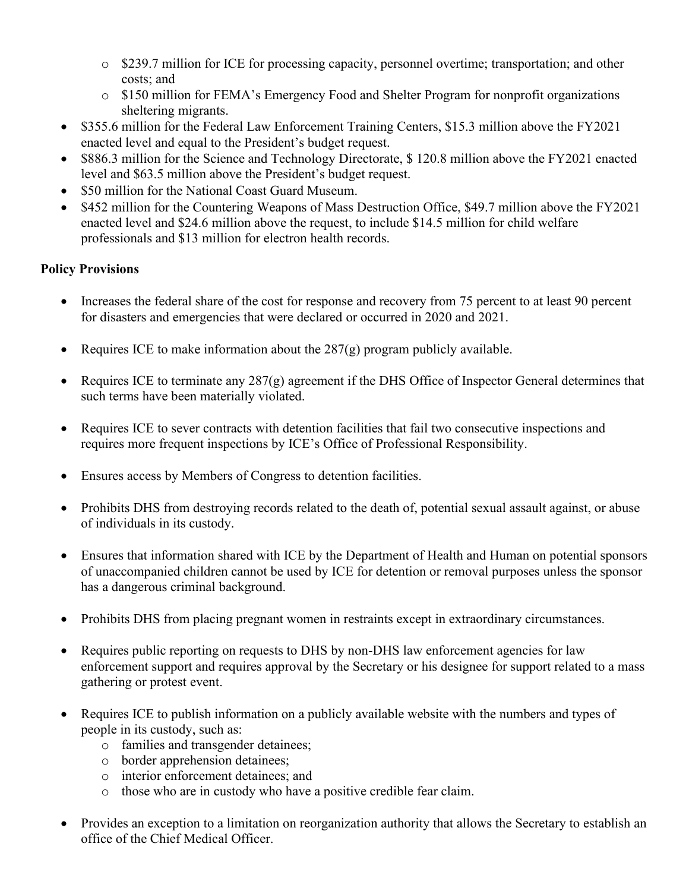- o \$239.7 million for ICE for processing capacity, personnel overtime; transportation; and other costs; and
- o \$150 million for FEMA's Emergency Food and Shelter Program for nonprofit organizations sheltering migrants.
- \$355.6 million for the Federal Law Enforcement Training Centers, \$15.3 million above the FY2021 enacted level and equal to the President's budget request.
- \$886.3 million for the Science and Technology Directorate, \$120.8 million above the FY2021 enacted level and \$63.5 million above the President's budget request.
- \$50 million for the National Coast Guard Museum.
- \$452 million for the Countering Weapons of Mass Destruction Office, \$49.7 million above the FY2021 enacted level and \$24.6 million above the request, to include \$14.5 million for child welfare professionals and \$13 million for electron health records.

## **Policy Provisions**

- Increases the federal share of the cost for response and recovery from 75 percent to at least 90 percent for disasters and emergencies that were declared or occurred in 2020 and 2021.
- Requires ICE to make information about the  $287(g)$  program publicly available.
- Requires ICE to terminate any 287(g) agreement if the DHS Office of Inspector General determines that such terms have been materially violated.
- Requires ICE to sever contracts with detention facilities that fail two consecutive inspections and requires more frequent inspections by ICE's Office of Professional Responsibility.
- Ensures access by Members of Congress to detention facilities.
- Prohibits DHS from destroying records related to the death of, potential sexual assault against, or abuse of individuals in its custody.
- Ensures that information shared with ICE by the Department of Health and Human on potential sponsors of unaccompanied children cannot be used by ICE for detention or removal purposes unless the sponsor has a dangerous criminal background.
- Prohibits DHS from placing pregnant women in restraints except in extraordinary circumstances.
- Requires public reporting on requests to DHS by non-DHS law enforcement agencies for law enforcement support and requires approval by the Secretary or his designee for support related to a mass gathering or protest event.
- Requires ICE to publish information on a publicly available website with the numbers and types of people in its custody, such as:
	- o families and transgender detainees;
	- o border apprehension detainees;
	- o interior enforcement detainees; and
	- o those who are in custody who have a positive credible fear claim.
- Provides an exception to a limitation on reorganization authority that allows the Secretary to establish an office of the Chief Medical Officer.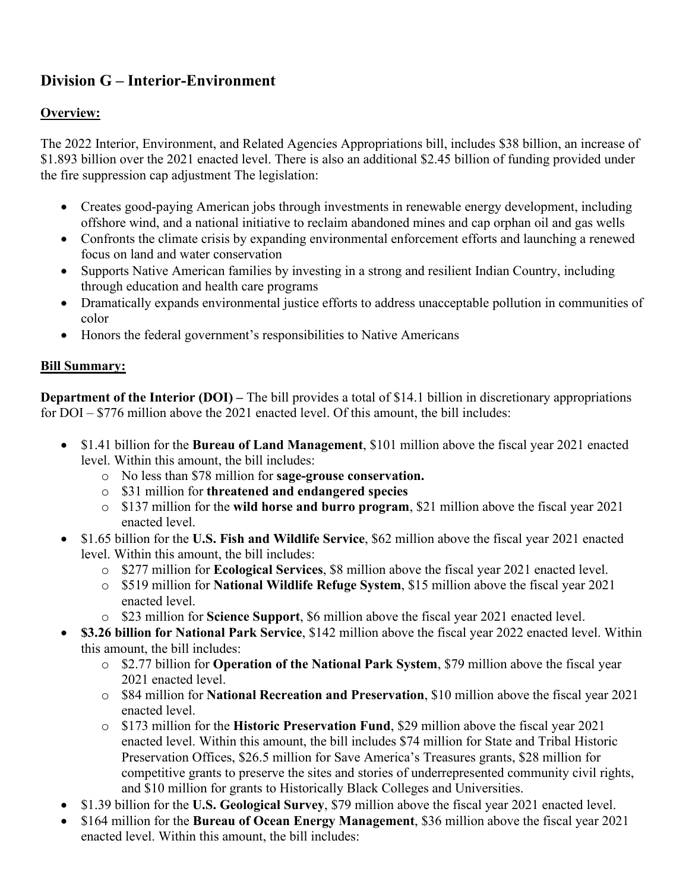# **Division G – Interior-Environment**

## **Overview:**

The 2022 Interior, Environment, and Related Agencies Appropriations bill, includes \$38 billion, an increase of \$1.893 billion over the 2021 enacted level. There is also an additional \$2.45 billion of funding provided under the fire suppression cap adjustment The legislation:

- Creates good-paying American jobs through investments in renewable energy development, including offshore wind, and a national initiative to reclaim abandoned mines and cap orphan oil and gas wells
- Confronts the climate crisis by expanding environmental enforcement efforts and launching a renewed focus on land and water conservation
- Supports Native American families by investing in a strong and resilient Indian Country, including through education and health care programs
- Dramatically expands environmental justice efforts to address unacceptable pollution in communities of color
- Honors the federal government's responsibilities to Native Americans

#### **Bill Summary:**

**Department of the Interior (DOI)** – The bill provides a total of \$14.1 billion in discretionary appropriations for DOI – \$776 million above the 2021 enacted level. Of this amount, the bill includes:

- \$1.41 billion for the **Bureau of Land Management**, \$101 million above the fiscal year 2021 enacted level. Within this amount, the bill includes:
	- o No less than \$78 million for **sage-grouse conservation.**
	- o \$31 million for **threatened and endangered species**
	- o \$137 million for the **wild horse and burro program**, \$21 million above the fiscal year 2021 enacted level.
- \$1.65 billion for the **U.S. Fish and Wildlife Service**, \$62 million above the fiscal year 2021 enacted level. Within this amount, the bill includes:
	- o \$277 million for **Ecological Services**, \$8 million above the fiscal year 2021 enacted level.
	- o \$519 million for **National Wildlife Refuge System**, \$15 million above the fiscal year 2021 enacted level.
	- o \$23 million for **Science Support**, \$6 million above the fiscal year 2021 enacted level.
- **\$3.26 billion for National Park Service**, \$142 million above the fiscal year 2022 enacted level. Within this amount, the bill includes:
	- o \$2.77 billion for **Operation of the National Park System**, \$79 million above the fiscal year 2021 enacted level.
	- o \$84 million for **National Recreation and Preservation**, \$10 million above the fiscal year 2021 enacted level.
	- o \$173 million for the **Historic Preservation Fund**, \$29 million above the fiscal year 2021 enacted level. Within this amount, the bill includes \$74 million for State and Tribal Historic Preservation Offices, \$26.5 million for Save America's Treasures grants, \$28 million for competitive grants to preserve the sites and stories of underrepresented community civil rights, and \$10 million for grants to Historically Black Colleges and Universities.
- \$1.39 billion for the **U.S. Geological Survey**, \$79 million above the fiscal year 2021 enacted level.
- \$164 million for the **Bureau of Ocean Energy Management**, \$36 million above the fiscal year 2021 enacted level. Within this amount, the bill includes: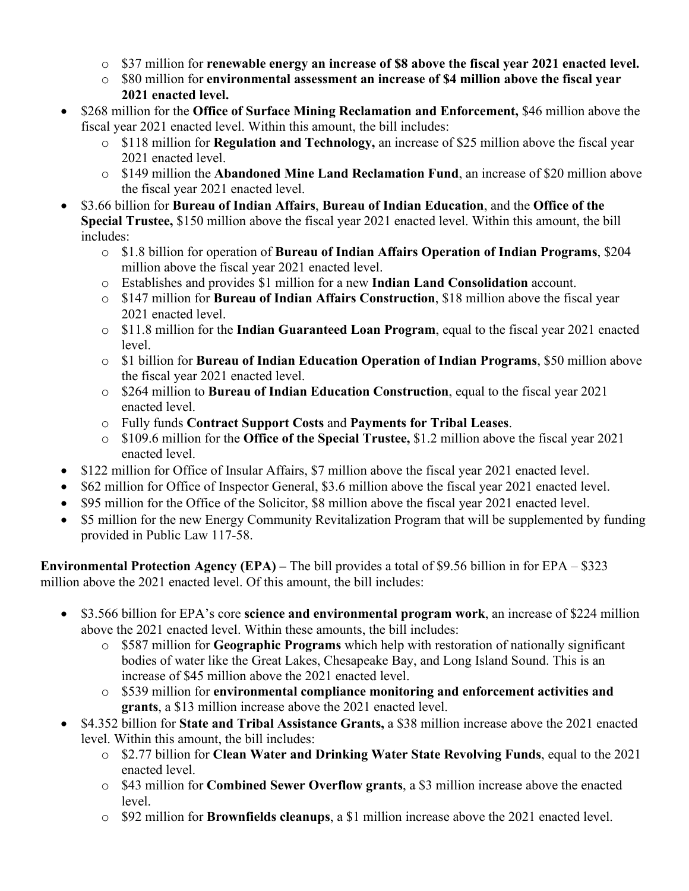- o \$37 million for **renewable energy an increase of \$8 above the fiscal year 2021 enacted level.**
- o \$80 million for **environmental assessment an increase of \$4 million above the fiscal year 2021 enacted level.**
- \$268 million for the **Office of Surface Mining Reclamation and Enforcement,** \$46 million above the fiscal year 2021 enacted level. Within this amount, the bill includes:
	- o \$118 million for **Regulation and Technology,** an increase of \$25 million above the fiscal year 2021 enacted level.
	- o \$149 million the **Abandoned Mine Land Reclamation Fund**, an increase of \$20 million above the fiscal year 2021 enacted level.
- \$3.66 billion for **Bureau of Indian Affairs**, **Bureau of Indian Education**, and the **Office of the Special Trustee,** \$150 million above the fiscal year 2021 enacted level. Within this amount, the bill includes:
	- o \$1.8 billion for operation of **Bureau of Indian Affairs Operation of Indian Programs**, \$204 million above the fiscal year 2021 enacted level.
	- o Establishes and provides \$1 million for a new **Indian Land Consolidation** account.
	- o \$147 million for **Bureau of Indian Affairs Construction**, \$18 million above the fiscal year 2021 enacted level.
	- o \$11.8 million for the **Indian Guaranteed Loan Program**, equal to the fiscal year 2021 enacted level.
	- o \$1 billion for **Bureau of Indian Education Operation of Indian Programs**, \$50 million above the fiscal year 2021 enacted level.
	- o \$264 million to **Bureau of Indian Education Construction**, equal to the fiscal year 2021 enacted level.
	- o Fully funds **Contract Support Costs** and **Payments for Tribal Leases**.
	- o \$109.6 million for the **Office of the Special Trustee,** \$1.2 million above the fiscal year 2021 enacted level.
- \$122 million for Office of Insular Affairs, \$7 million above the fiscal year 2021 enacted level.
- \$62 million for Office of Inspector General, \$3.6 million above the fiscal year 2021 enacted level.
- \$95 million for the Office of the Solicitor, \$8 million above the fiscal year 2021 enacted level.
- \$5 million for the new Energy Community Revitalization Program that will be supplemented by funding provided in Public Law 117-58.

**Environmental Protection Agency (EPA) –** The bill provides a total of \$9.56 billion in for EPA – \$323 million above the 2021 enacted level. Of this amount, the bill includes:

- \$3.566 billion for EPA's core **science and environmental program work**, an increase of \$224 million above the 2021 enacted level. Within these amounts, the bill includes:
	- o \$587 million for **Geographic Programs** which help with restoration of nationally significant bodies of water like the Great Lakes, Chesapeake Bay, and Long Island Sound. This is an increase of \$45 million above the 2021 enacted level.
	- o \$539 million for **environmental compliance monitoring and enforcement activities and grants**, a \$13 million increase above the 2021 enacted level.
- \$4.352 billion for **State and Tribal Assistance Grants,** a \$38 million increase above the 2021 enacted level. Within this amount, the bill includes:
	- o \$2.77 billion for **Clean Water and Drinking Water State Revolving Funds**, equal to the 2021 enacted level.
	- o \$43 million for **Combined Sewer Overflow grants**, a \$3 million increase above the enacted level.
	- o \$92 million for **Brownfields cleanups**, a \$1 million increase above the 2021 enacted level.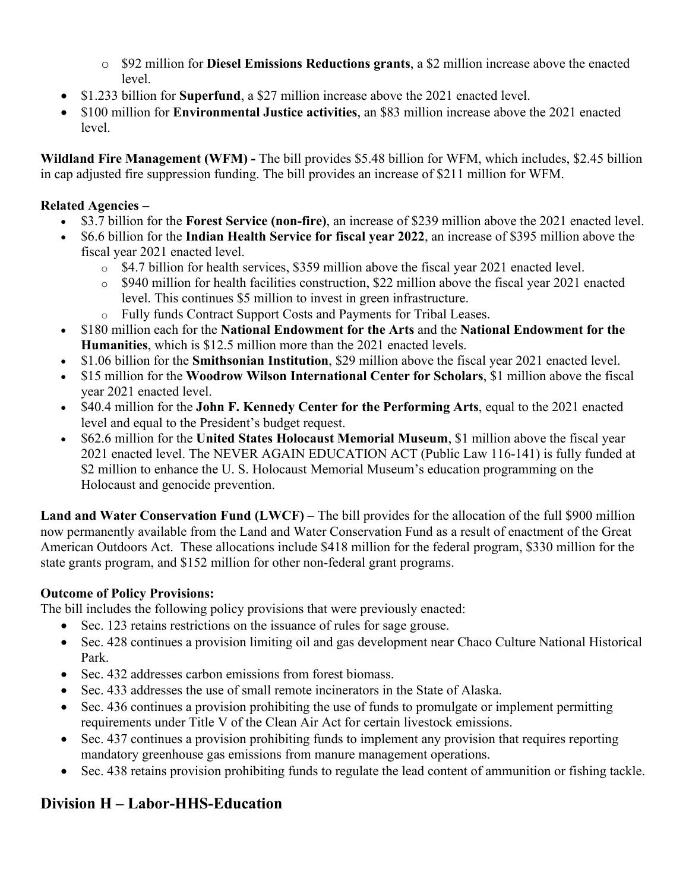- o \$92 million for **Diesel Emissions Reductions grants**, a \$2 million increase above the enacted level.
- \$1.233 billion for **Superfund**, a \$27 million increase above the 2021 enacted level.
- \$100 million for **Environmental Justice activities**, an \$83 million increase above the 2021 enacted level.

**Wildland Fire Management (WFM) -** The bill provides \$5.48 billion for WFM, which includes, \$2.45 billion in cap adjusted fire suppression funding. The bill provides an increase of \$211 million for WFM.

## **Related Agencies –**

- \$3.7 billion for the **Forest Service (non-fire)**, an increase of \$239 million above the 2021 enacted level.
- \$6.6 billion for the **Indian Health Service for fiscal year 2022**, an increase of \$395 million above the fiscal year 2021 enacted level.
	- o \$4.7 billion for health services, \$359 million above the fiscal year 2021 enacted level.
	- o \$940 million for health facilities construction, \$22 million above the fiscal year 2021 enacted level. This continues \$5 million to invest in green infrastructure.
	- o Fully funds Contract Support Costs and Payments for Tribal Leases.
- \$180 million each for the **National Endowment for the Arts** and the **National Endowment for the Humanities**, which is \$12.5 million more than the 2021 enacted levels.
- \$1.06 billion for the **Smithsonian Institution**, \$29 million above the fiscal year 2021 enacted level.
- \$15 million for the **Woodrow Wilson International Center for Scholars**, \$1 million above the fiscal year 2021 enacted level.
- \$40.4 million for the **John F. Kennedy Center for the Performing Arts**, equal to the 2021 enacted level and equal to the President's budget request.
- \$62.6 million for the **United States Holocaust Memorial Museum**, \$1 million above the fiscal year 2021 enacted level. The NEVER AGAIN EDUCATION ACT (Public Law 116-141) is fully funded at \$2 million to enhance the U.S. Holocaust Memorial Museum's education programming on the Holocaust and genocide prevention.

Land and Water Conservation Fund (LWCF) – The bill provides for the allocation of the full \$900 million now permanently available from the Land and Water Conservation Fund as a result of enactment of the Great American Outdoors Act. These allocations include \$418 million for the federal program, \$330 million for the state grants program, and \$152 million for other non-federal grant programs.

# **Outcome of Policy Provisions:**

The bill includes the following policy provisions that were previously enacted:

- Sec. 123 retains restrictions on the issuance of rules for sage grouse.
- Sec. 428 continues a provision limiting oil and gas development near Chaco Culture National Historical Park.
- Sec. 432 addresses carbon emissions from forest biomass.
- Sec. 433 addresses the use of small remote incinerators in the State of Alaska.
- Sec. 436 continues a provision prohibiting the use of funds to promulgate or implement permitting requirements under Title V of the Clean Air Act for certain livestock emissions.
- Sec. 437 continues a provision prohibiting funds to implement any provision that requires reporting mandatory greenhouse gas emissions from manure management operations.
- Sec. 438 retains provision prohibiting funds to regulate the lead content of ammunition or fishing tackle.

# **Division H – Labor-HHS-Education**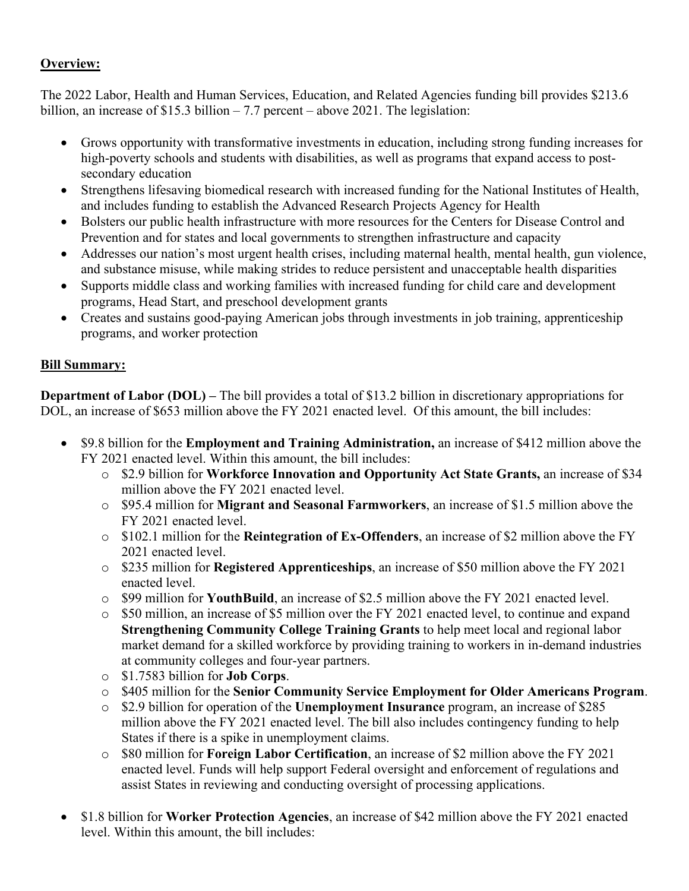#### **Overview:**

The 2022 Labor, Health and Human Services, Education, and Related Agencies funding bill provides \$213.6 billion, an increase of \$15.3 billion – 7.7 percent – above 2021. The legislation:

- Grows opportunity with transformative investments in education, including strong funding increases for high-poverty schools and students with disabilities, as well as programs that expand access to postsecondary education
- Strengthens lifesaving biomedical research with increased funding for the National Institutes of Health, and includes funding to establish the Advanced Research Projects Agency for Health
- Bolsters our public health infrastructure with more resources for the Centers for Disease Control and Prevention and for states and local governments to strengthen infrastructure and capacity
- Addresses our nation's most urgent health crises, including maternal health, mental health, gun violence, and substance misuse, while making strides to reduce persistent and unacceptable health disparities
- Supports middle class and working families with increased funding for child care and development programs, Head Start, and preschool development grants
- Creates and sustains good-paying American jobs through investments in job training, apprenticeship programs, and worker protection

#### **Bill Summary:**

**Department of Labor (DOL) –** The bill provides a total of \$13.2 billion in discretionary appropriations for DOL, an increase of \$653 million above the FY 2021 enacted level. Of this amount, the bill includes:

- \$9.8 billion for the **Employment and Training Administration,** an increase of \$412 million above the FY 2021 enacted level. Within this amount, the bill includes:
	- o \$2.9 billion for **Workforce Innovation and Opportunity Act State Grants,** an increase of \$34 million above the FY 2021 enacted level.
	- o \$95.4 million for **Migrant and Seasonal Farmworkers**, an increase of \$1.5 million above the FY 2021 enacted level.
	- o \$102.1 million for the **Reintegration of Ex-Offenders**, an increase of \$2 million above the FY 2021 enacted level.
	- o \$235 million for **Registered Apprenticeships**, an increase of \$50 million above the FY 2021 enacted level.
	- o \$99 million for **YouthBuild**, an increase of \$2.5 million above the FY 2021 enacted level.
	- o \$50 million, an increase of \$5 million over the FY 2021 enacted level, to continue and expand **Strengthening Community College Training Grants** to help meet local and regional labor market demand for a skilled workforce by providing training to workers in in-demand industries at community colleges and four-year partners.
	- o \$1.7583 billion for **Job Corps**.
	- o \$405 million for the **Senior Community Service Employment for Older Americans Program**.
	- o \$2.9 billion for operation of the **Unemployment Insurance** program, an increase of \$285 million above the FY 2021 enacted level. The bill also includes contingency funding to help States if there is a spike in unemployment claims.
	- o \$80 million for **Foreign Labor Certification**, an increase of \$2 million above the FY 2021 enacted level. Funds will help support Federal oversight and enforcement of regulations and assist States in reviewing and conducting oversight of processing applications.
- \$1.8 billion for **Worker Protection Agencies**, an increase of \$42 million above the FY 2021 enacted level. Within this amount, the bill includes: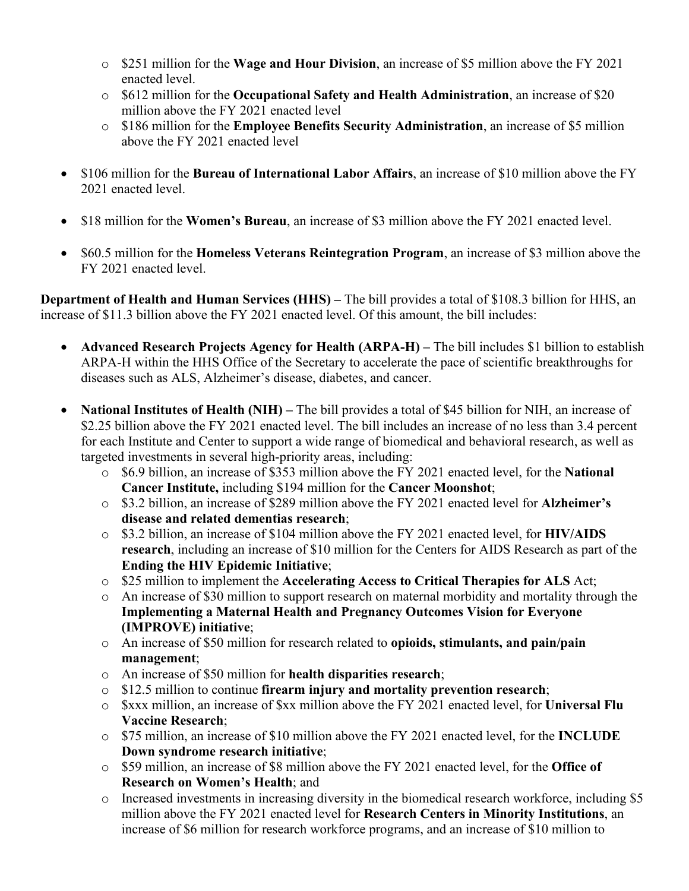- o \$251 million for the **Wage and Hour Division**, an increase of \$5 million above the FY 2021 enacted level.
- o \$612 million for the **Occupational Safety and Health Administration**, an increase of \$20 million above the FY 2021 enacted level
- o \$186 million for the **Employee Benefits Security Administration**, an increase of \$5 million above the FY 2021 enacted level
- \$106 million for the **Bureau of International Labor Affairs**, an increase of \$10 million above the FY 2021 enacted level.
- \$18 million for the **Women's Bureau**, an increase of \$3 million above the FY 2021 enacted level.
- \$60.5 million for the **Homeless Veterans Reintegration Program**, an increase of \$3 million above the FY 2021 enacted level.

**Department of Health and Human Services (HHS) –** The bill provides a total of \$108.3 billion for HHS, an increase of \$11.3 billion above the FY 2021 enacted level. Of this amount, the bill includes:

- **Advanced Research Projects Agency for Health (ARPA-H)** The bill includes \$1 billion to establish ARPA-H within the HHS Office of the Secretary to accelerate the pace of scientific breakthroughs for diseases such as ALS, Alzheimer's disease, diabetes, and cancer.
- **National Institutes of Health (NIH)** The bill provides a total of \$45 billion for NIH, an increase of \$2.25 billion above the FY 2021 enacted level. The bill includes an increase of no less than 3.4 percent for each Institute and Center to support a wide range of biomedical and behavioral research, as well as targeted investments in several high-priority areas, including:
	- o \$6.9 billion, an increase of \$353 million above the FY 2021 enacted level, for the **National Cancer Institute,** including \$194 million for the **Cancer Moonshot**;
	- o \$3.2 billion, an increase of \$289 million above the FY 2021 enacted level for **Alzheimer's disease and related dementias research**;
	- o \$3.2 billion, an increase of \$104 million above the FY 2021 enacted level, for **HIV/AIDS research**, including an increase of \$10 million for the Centers for AIDS Research as part of the **Ending the HIV Epidemic Initiative**;
	- o \$25 million to implement the **Accelerating Access to Critical Therapies for ALS** Act;
	- o An increase of \$30 million to support research on maternal morbidity and mortality through the **Implementing a Maternal Health and Pregnancy Outcomes Vision for Everyone (IMPROVE) initiative**;
	- o An increase of \$50 million for research related to **opioids, stimulants, and pain/pain management**;
	- o An increase of \$50 million for **health disparities research**;
	- o \$12.5 million to continue **firearm injury and mortality prevention research**;
	- o \$xxx million, an increase of \$xx million above the FY 2021 enacted level, for **Universal Flu Vaccine Research**;
	- o \$75 million, an increase of \$10 million above the FY 2021 enacted level, for the **INCLUDE Down syndrome research initiative**;
	- o \$59 million, an increase of \$8 million above the FY 2021 enacted level, for the **Office of Research on Women's Health**; and
	- o Increased investments in increasing diversity in the biomedical research workforce, including \$5 million above the FY 2021 enacted level for **Research Centers in Minority Institutions**, an increase of \$6 million for research workforce programs, and an increase of \$10 million to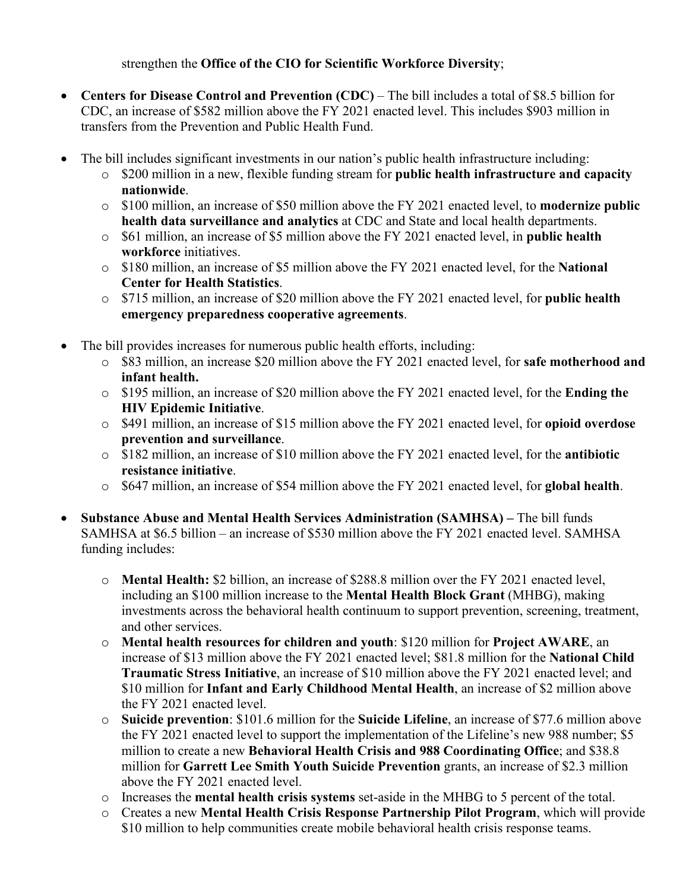#### strengthen the **Office of the CIO for Scientific Workforce Diversity**;

- **Centers for Disease Control and Prevention (CDC)** The bill includes a total of \$8.5 billion for CDC, an increase of \$582 million above the FY 2021 enacted level. This includes \$903 million in transfers from the Prevention and Public Health Fund.
- The bill includes significant investments in our nation's public health infrastructure including:
	- o \$200 million in a new, flexible funding stream for **public health infrastructure and capacity nationwide**.
	- o \$100 million, an increase of \$50 million above the FY 2021 enacted level, to **modernize public health data surveillance and analytics** at CDC and State and local health departments.
	- o \$61 million, an increase of \$5 million above the FY 2021 enacted level, in **public health workforce** initiatives.
	- o \$180 million, an increase of \$5 million above the FY 2021 enacted level, for the **National Center for Health Statistics**.
	- o \$715 million, an increase of \$20 million above the FY 2021 enacted level, for **public health emergency preparedness cooperative agreements**.
- The bill provides increases for numerous public health efforts, including:
	- o \$83 million, an increase \$20 million above the FY 2021 enacted level, for **safe motherhood and infant health.**
	- o \$195 million, an increase of \$20 million above the FY 2021 enacted level, for the **Ending the HIV Epidemic Initiative**.
	- o \$491 million, an increase of \$15 million above the FY 2021 enacted level, for **opioid overdose prevention and surveillance**.
	- o \$182 million, an increase of \$10 million above the FY 2021 enacted level, for the **antibiotic resistance initiative**.
	- o \$647 million, an increase of \$54 million above the FY 2021 enacted level, for **global health**.
- **Substance Abuse and Mental Health Services Administration (SAMHSA) –** The bill funds SAMHSA at \$6.5 billion – an increase of \$530 million above the FY 2021 enacted level. SAMHSA funding includes:
	- o **Mental Health:** \$2 billion, an increase of \$288.8 million over the FY 2021 enacted level, including an \$100 million increase to the **Mental Health Block Grant** (MHBG), making investments across the behavioral health continuum to support prevention, screening, treatment, and other services.
	- o **Mental health resources for children and youth**: \$120 million for **Project AWARE**, an increase of \$13 million above the FY 2021 enacted level; \$81.8 million for the **National Child Traumatic Stress Initiative**, an increase of \$10 million above the FY 2021 enacted level; and \$10 million for **Infant and Early Childhood Mental Health**, an increase of \$2 million above the FY 2021 enacted level.
	- o **Suicide prevention**: \$101.6 million for the **Suicide Lifeline**, an increase of \$77.6 million above the FY 2021 enacted level to support the implementation of the Lifeline's new 988 number; \$5 million to create a new **Behavioral Health Crisis and 988 Coordinating Office**; and \$38.8 million for **Garrett Lee Smith Youth Suicide Prevention** grants, an increase of \$2.3 million above the FY 2021 enacted level.
	- o Increases the **mental health crisis systems** set-aside in the MHBG to 5 percent of the total.
	- o Creates a new **Mental Health Crisis Response Partnership Pilot Program**, which will provide \$10 million to help communities create mobile behavioral health crisis response teams.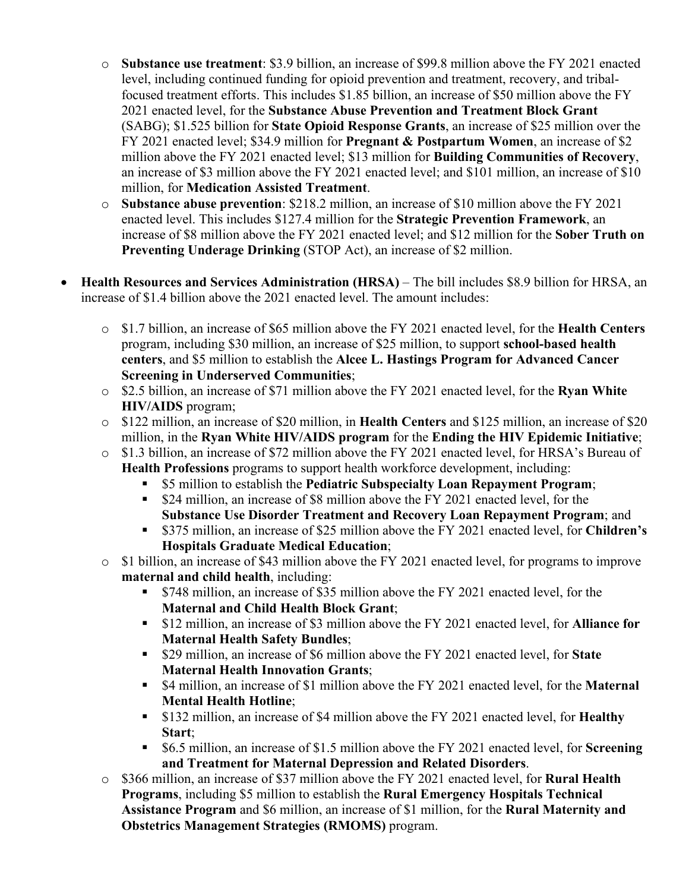- o **Substance use treatment**: \$3.9 billion, an increase of \$99.8 million above the FY 2021 enacted level, including continued funding for opioid prevention and treatment, recovery, and tribalfocused treatment efforts. This includes \$1.85 billion, an increase of \$50 million above the FY 2021 enacted level, for the **Substance Abuse Prevention and Treatment Block Grant** (SABG); \$1.525 billion for **State Opioid Response Grants**, an increase of \$25 million over the FY 2021 enacted level; \$34.9 million for **Pregnant & Postpartum Women**, an increase of \$2 million above the FY 2021 enacted level; \$13 million for **Building Communities of Recovery**, an increase of \$3 million above the FY 2021 enacted level; and \$101 million, an increase of \$10 million, for **Medication Assisted Treatment**.
- o **Substance abuse prevention**: \$218.2 million, an increase of \$10 million above the FY 2021 enacted level. This includes \$127.4 million for the **Strategic Prevention Framework**, an increase of \$8 million above the FY 2021 enacted level; and \$12 million for the **Sober Truth on Preventing Underage Drinking** (STOP Act), an increase of \$2 million.
- **Health Resources and Services Administration (HRSA)** The bill includes \$8.9 billion for HRSA, an increase of \$1.4 billion above the 2021 enacted level. The amount includes:
	- o \$1.7 billion, an increase of \$65 million above the FY 2021 enacted level, for the **Health Centers** program, including \$30 million, an increase of \$25 million, to support **school-based health centers**, and \$5 million to establish the **Alcee L. Hastings Program for Advanced Cancer Screening in Underserved Communities**;
	- o \$2.5 billion, an increase of \$71 million above the FY 2021 enacted level, for the **Ryan White HIV/AIDS** program;
	- o \$122 million, an increase of \$20 million, in **Health Centers** and \$125 million, an increase of \$20 million, in the **Ryan White HIV/AIDS program** for the **Ending the HIV Epidemic Initiative**;
	- o \$1.3 billion, an increase of \$72 million above the FY 2021 enacted level, for HRSA's Bureau of **Health Professions** programs to support health workforce development, including:
		- \$5 million to establish the **Pediatric Subspecialty Loan Repayment Program**;
		- \$24 million, an increase of \$8 million above the FY 2021 enacted level, for the **Substance Use Disorder Treatment and Recovery Loan Repayment Program**; and
		- \$375 million, an increase of \$25 million above the FY 2021 enacted level, for **Children's Hospitals Graduate Medical Education**;
	- o \$1 billion, an increase of \$43 million above the FY 2021 enacted level, for programs to improve **maternal and child health**, including:
		- \$748 million, an increase of \$35 million above the FY 2021 enacted level, for the **Maternal and Child Health Block Grant**;
		- \$12 million, an increase of \$3 million above the FY 2021 enacted level, for **Alliance for Maternal Health Safety Bundles**;
		- \$29 million, an increase of \$6 million above the FY 2021 enacted level, for **State Maternal Health Innovation Grants**;
		- \$4 million, an increase of \$1 million above the FY 2021 enacted level, for the **Maternal Mental Health Hotline**;
		- \$132 million, an increase of \$4 million above the FY 2021 enacted level, for **Healthy Start**;
		- \$6.5 million, an increase of \$1.5 million above the FY 2021 enacted level, for **Screening and Treatment for Maternal Depression and Related Disorders**.
	- o \$366 million, an increase of \$37 million above the FY 2021 enacted level, for **Rural Health Programs**, including \$5 million to establish the **Rural Emergency Hospitals Technical Assistance Program** and \$6 million, an increase of \$1 million, for the **Rural Maternity and Obstetrics Management Strategies (RMOMS)** program.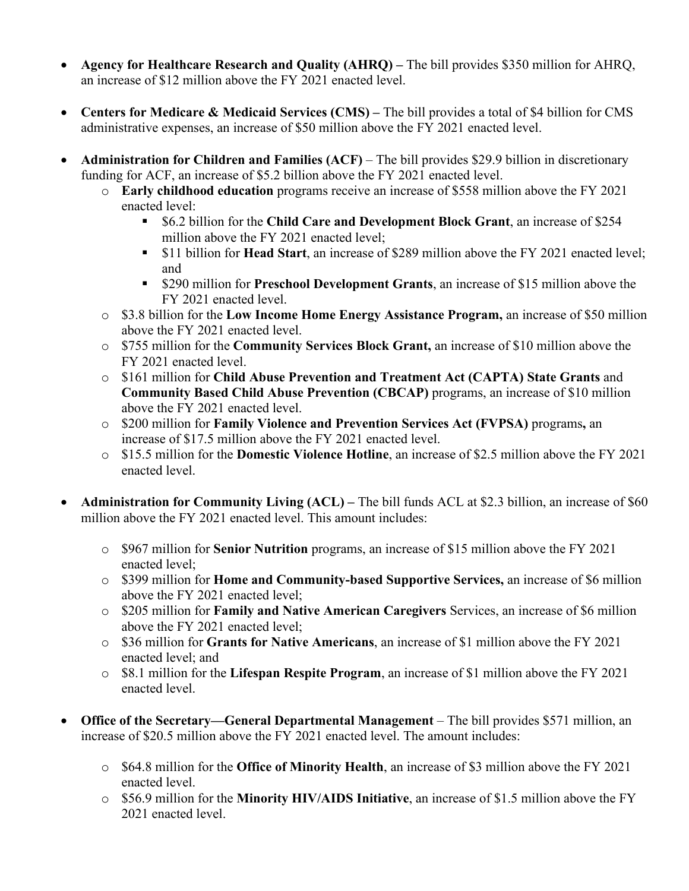- **Agency for Healthcare Research and Quality (AHRQ) –** The bill provides \$350 million for AHRQ, an increase of \$12 million above the FY 2021 enacted level.
- **Centers for Medicare & Medicaid Services (CMS)** The bill provides a total of \$4 billion for CMS administrative expenses, an increase of \$50 million above the FY 2021 enacted level.
- **Administration for Children and Families (ACF)** The bill provides \$29.9 billion in discretionary funding for ACF, an increase of \$5.2 billion above the FY 2021 enacted level.
	- o **Early childhood education** programs receive an increase of \$558 million above the FY 2021 enacted level:
		- \$6.2 billion for the **Child Care and Development Block Grant**, an increase of \$254 million above the FY 2021 enacted level;
		- \$11 billion for **Head Start**, an increase of \$289 million above the FY 2021 enacted level; and
		- \$290 million for **Preschool Development Grants**, an increase of \$15 million above the FY 2021 enacted level.
	- o \$3.8 billion for the **Low Income Home Energy Assistance Program,** an increase of \$50 million above the FY 2021 enacted level.
	- o \$755 million for the **Community Services Block Grant,** an increase of \$10 million above the FY 2021 enacted level.
	- o \$161 million for **Child Abuse Prevention and Treatment Act (CAPTA) State Grants** and **Community Based Child Abuse Prevention (CBCAP)** programs, an increase of \$10 million above the FY 2021 enacted level.
	- o \$200 million for **Family Violence and Prevention Services Act (FVPSA)** programs**,** an increase of \$17.5 million above the FY 2021 enacted level.
	- o \$15.5 million for the **Domestic Violence Hotline**, an increase of \$2.5 million above the FY 2021 enacted level.
- **Administration for Community Living (ACL) –** The bill funds ACL at \$2.3 billion, an increase of \$60 million above the FY 2021 enacted level. This amount includes:
	- o \$967 million for **Senior Nutrition** programs, an increase of \$15 million above the FY 2021 enacted level;
	- o \$399 million for **Home and Community-based Supportive Services,** an increase of \$6 million above the FY 2021 enacted level;
	- o \$205 million for **Family and Native American Caregivers** Services, an increase of \$6 million above the FY 2021 enacted level;
	- o \$36 million for **Grants for Native Americans**, an increase of \$1 million above the FY 2021 enacted level; and
	- o \$8.1 million for the **Lifespan Respite Program**, an increase of \$1 million above the FY 2021 enacted level.
- **Office of the Secretary—General Departmental Management** The bill provides \$571 million, an increase of \$20.5 million above the FY 2021 enacted level. The amount includes:
	- o \$64.8 million for the **Office of Minority Health**, an increase of \$3 million above the FY 2021 enacted level.
	- o \$56.9 million for the **Minority HIV/AIDS Initiative**, an increase of \$1.5 million above the FY 2021 enacted level.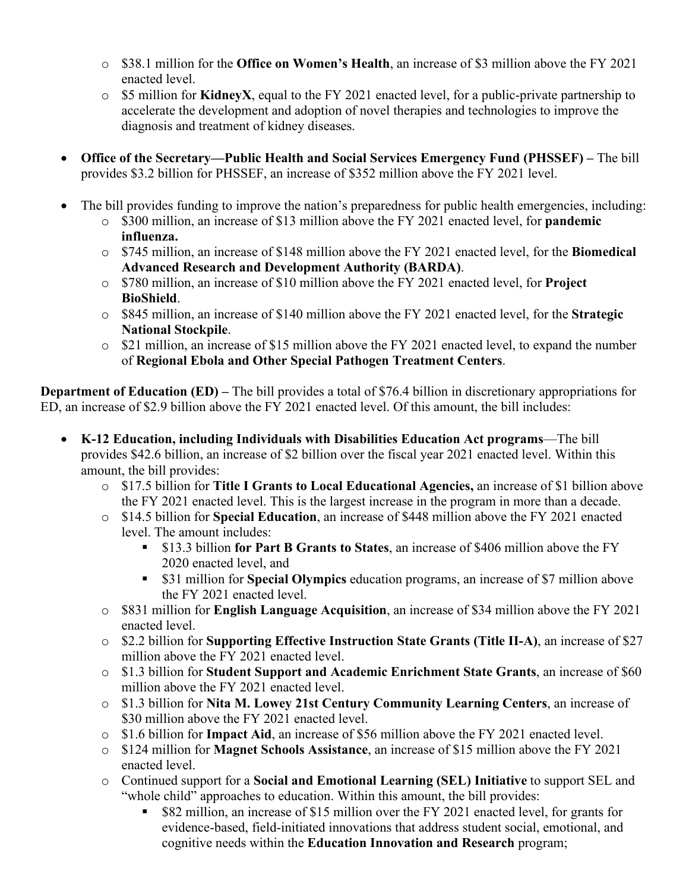- o \$38.1 million for the **Office on Women's Health**, an increase of \$3 million above the FY 2021 enacted level.
- o \$5 million for **KidneyX**, equal to the FY 2021 enacted level, for a public-private partnership to accelerate the development and adoption of novel therapies and technologies to improve the diagnosis and treatment of kidney diseases.
- **Office of the Secretary—Public Health and Social Services Emergency Fund (PHSSEF) –** The bill provides \$3.2 billion for PHSSEF, an increase of \$352 million above the FY 2021 level.
- The bill provides funding to improve the nation's preparedness for public health emergencies, including:
	- o \$300 million, an increase of \$13 million above the FY 2021 enacted level, for **pandemic influenza.**
	- o \$745 million, an increase of \$148 million above the FY 2021 enacted level, for the **Biomedical Advanced Research and Development Authority (BARDA)**.
	- o \$780 million, an increase of \$10 million above the FY 2021 enacted level, for **Project BioShield**.
	- o \$845 million, an increase of \$140 million above the FY 2021 enacted level, for the **Strategic National Stockpile**.
	- o \$21 million, an increase of \$15 million above the FY 2021 enacted level, to expand the number of **Regional Ebola and Other Special Pathogen Treatment Centers**.

**Department of Education (ED)** – The bill provides a total of \$76.4 billion in discretionary appropriations for ED, an increase of \$2.9 billion above the FY 2021 enacted level. Of this amount, the bill includes:

- **K-12 Education, including Individuals with Disabilities Education Act programs**—The bill provides \$42.6 billion, an increase of \$2 billion over the fiscal year 2021 enacted level. Within this amount, the bill provides:
	- o \$17.5 billion for **Title I Grants to Local Educational Agencies,** an increase of \$1 billion above the FY 2021 enacted level. This is the largest increase in the program in more than a decade.
	- o \$14.5 billion for **Special Education**, an increase of \$448 million above the FY 2021 enacted level. The amount includes:
		- \$13.3 billion **for Part B Grants to States**, an increase of \$406 million above the FY 2020 enacted level, and
		- \$31 million for **Special Olympics** education programs, an increase of \$7 million above the FY 2021 enacted level.
	- o \$831 million for **English Language Acquisition**, an increase of \$34 million above the FY 2021 enacted level.
	- o \$2.2 billion for **Supporting Effective Instruction State Grants (Title II-A)**, an increase of \$27 million above the FY 2021 enacted level.
	- o \$1.3 billion for **Student Support and Academic Enrichment State Grants**, an increase of \$60 million above the FY 2021 enacted level.
	- o \$1.3 billion for **Nita M. Lowey 21st Century Community Learning Centers**, an increase of \$30 million above the FY 2021 enacted level.
	- o \$1.6 billion for **Impact Aid**, an increase of \$56 million above the FY 2021 enacted level.
	- o \$124 million for **Magnet Schools Assistance**, an increase of \$15 million above the FY 2021 enacted level.
	- o Continued support for a **Social and Emotional Learning (SEL) Initiative** to support SEL and "whole child" approaches to education. Within this amount, the bill provides:
		- \$82 million, an increase of \$15 million over the FY 2021 enacted level, for grants for evidence-based, field-initiated innovations that address student social, emotional, and cognitive needs within the **Education Innovation and Research** program;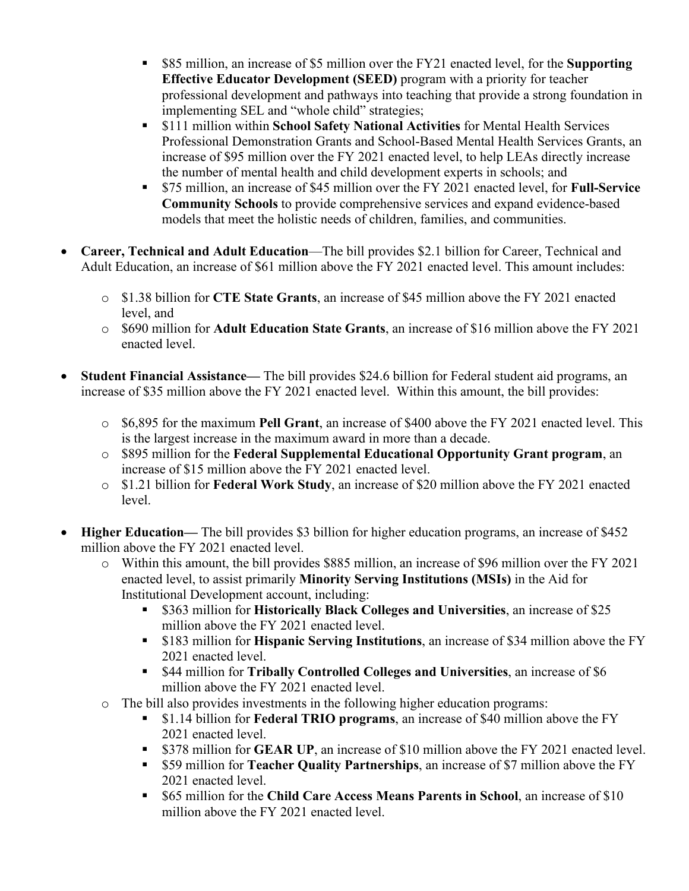- \$85 million, an increase of \$5 million over the FY21 enacted level, for the **Supporting Effective Educator Development (SEED)** program with a priority for teacher professional development and pathways into teaching that provide a strong foundation in implementing SEL and "whole child" strategies;
- \$111 million within **School Safety National Activities** for Mental Health Services Professional Demonstration Grants and School-Based Mental Health Services Grants, an increase of \$95 million over the FY 2021 enacted level, to help LEAs directly increase the number of mental health and child development experts in schools; and
- \$75 million, an increase of \$45 million over the FY 2021 enacted level, for **Full-Service Community Schools** to provide comprehensive services and expand evidence-based models that meet the holistic needs of children, families, and communities.
- **Career, Technical and Adult Education**—The bill provides \$2.1 billion for Career, Technical and Adult Education, an increase of \$61 million above the FY 2021 enacted level. This amount includes:
	- o \$1.38 billion for **CTE State Grants**, an increase of \$45 million above the FY 2021 enacted level, and
	- o \$690 million for **Adult Education State Grants**, an increase of \$16 million above the FY 2021 enacted level.
- **Student Financial Assistance—** The bill provides \$24.6 billion for Federal student aid programs, an increase of \$35 million above the FY 2021 enacted level. Within this amount, the bill provides:
	- o \$6,895 for the maximum **Pell Grant**, an increase of \$400 above the FY 2021 enacted level. This is the largest increase in the maximum award in more than a decade.
	- o \$895 million for the **Federal Supplemental Educational Opportunity Grant program**, an increase of \$15 million above the FY 2021 enacted level.
	- o \$1.21 billion for **Federal Work Study**, an increase of \$20 million above the FY 2021 enacted level.
- **Higher Education—** The bill provides \$3 billion for higher education programs, an increase of \$452 million above the FY 2021 enacted level.
	- o Within this amount, the bill provides \$885 million, an increase of \$96 million over the FY 2021 enacted level, to assist primarily **Minority Serving Institutions (MSIs)** in the Aid for Institutional Development account, including:
		- \$363 million for **Historically Black Colleges and Universities**, an increase of \$25 million above the FY 2021 enacted level.
		- \$183 million for **Hispanic Serving Institutions**, an increase of \$34 million above the FY 2021 enacted level.
		- \$44 million for **Tribally Controlled Colleges and Universities**, an increase of \$6 million above the FY 2021 enacted level.
	- The bill also provides investments in the following higher education programs:<br>■ \$1.14 billion for **Federal TRIO** programs, an increase of \$40 million a
		- \$1.14 billion for **Federal TRIO programs**, an increase of \$40 million above the FY 2021 enacted level.
		- **S378 million for GEAR UP**, an increase of \$10 million above the FY 2021 enacted level.
		- \$59 million for **Teacher Quality Partnerships**, an increase of \$7 million above the FY 2021 enacted level.
		- \$65 million for the **Child Care Access Means Parents in School**, an increase of \$10 million above the FY 2021 enacted level.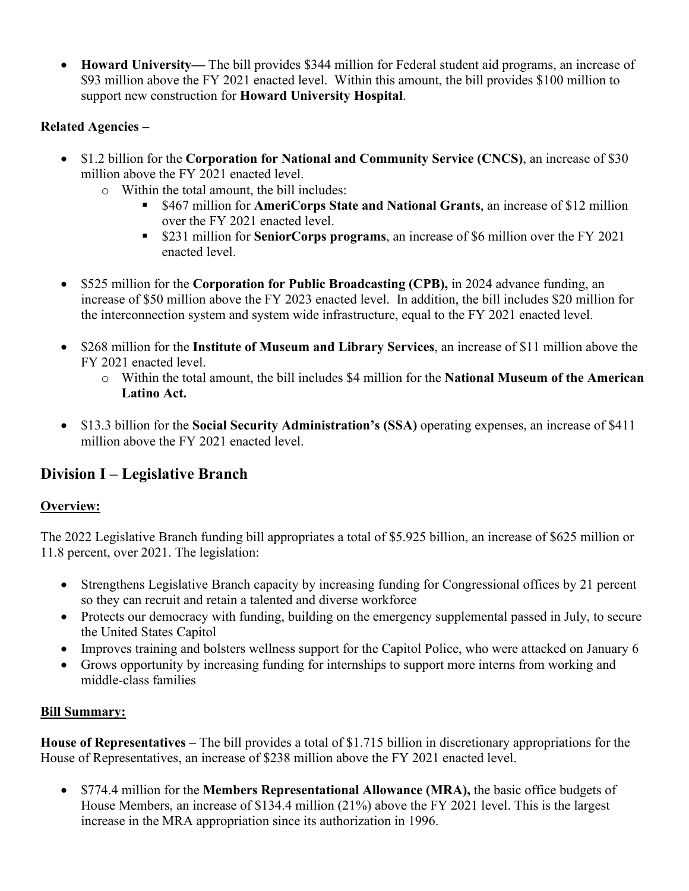• **Howard University—** The bill provides \$344 million for Federal student aid programs, an increase of \$93 million above the FY 2021 enacted level. Within this amount, the bill provides \$100 million to support new construction for **Howard University Hospital**.

## **Related Agencies –**

- \$1.2 billion for the **Corporation for National and Community Service (CNCS)**, an increase of \$30 million above the FY 2021 enacted level.
	- o Within the total amount, the bill includes:
		- \$467 million for **AmeriCorps State and National Grants**, an increase of \$12 million over the FY 2021 enacted level.
		- \$231 million for **SeniorCorps programs**, an increase of \$6 million over the FY 2021 enacted level.
- \$525 million for the **Corporation for Public Broadcasting (CPB),** in 2024 advance funding, an increase of \$50 million above the FY 2023 enacted level. In addition, the bill includes \$20 million for the interconnection system and system wide infrastructure, equal to the FY 2021 enacted level.
- \$268 million for the **Institute of Museum and Library Services**, an increase of \$11 million above the FY 2021 enacted level.
	- o Within the total amount, the bill includes \$4 million for the **National Museum of the American Latino Act.**
- \$13.3 billion for the **Social Security Administration's (SSA)** operating expenses, an increase of \$411 million above the FY 2021 enacted level.

# **Division I – Legislative Branch**

## **Overview:**

The 2022 Legislative Branch funding bill appropriates a total of \$5.925 billion, an increase of \$625 million or 11.8 percent, over 2021. The legislation:

- Strengthens Legislative Branch capacity by increasing funding for Congressional offices by 21 percent so they can recruit and retain a talented and diverse workforce
- Protects our democracy with funding, building on the emergency supplemental passed in July, to secure the United States Capitol
- Improves training and bolsters wellness support for the Capitol Police, who were attacked on January 6
- Grows opportunity by increasing funding for internships to support more interns from working and middle-class families

# **Bill Summary:**

**House of Representatives** – The bill provides a total of \$1.715 billion in discretionary appropriations for the House of Representatives, an increase of \$238 million above the FY 2021 enacted level.

• \$774.4 million for the **Members Representational Allowance (MRA),** the basic office budgets of House Members, an increase of \$134.4 million (21%) above the FY 2021 level. This is the largest increase in the MRA appropriation since its authorization in 1996.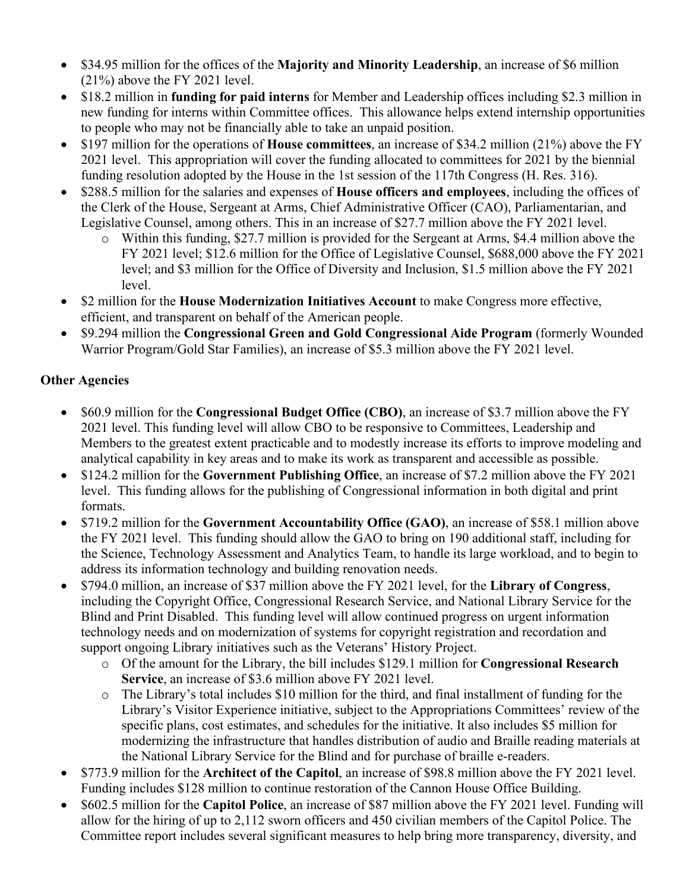- \$34.95 million for the offices of the **Majority and Minority Leadership**, an increase of \$6 million (21%) above the FY 2021 level.
- \$18.2 million in **funding for paid interns** for Member and Leadership offices including \$2.3 million in new funding for interns within Committee offices. This allowance helps extend internship opportunities to people who may not be financially able to take an unpaid position.
- \$197 million for the operations of **House committees**, an increase of \$34.2 million (21%) above the FY 2021 level. This appropriation will cover the funding allocated to committees for 2021 by the biennial funding resolution adopted by the House in the 1st session of the 117th Congress (H. Res. 316).
- \$288.5 million for the salaries and expenses of **House officers and employees**, including the offices of the Clerk of the House, Sergeant at Arms, Chief Administrative Officer (CAO), Parliamentarian, and Legislative Counsel, among others. This in an increase of \$27.7 million above the FY 2021 level.
	- o Within this funding, \$27.7 million is provided for the Sergeant at Arms, \$4.4 million above the FY 2021 level; \$12.6 million for the Office of Legislative Counsel, \$688,000 above the FY 2021 level; and \$3 million for the Office of Diversity and Inclusion, \$1.5 million above the FY 2021 level.
- \$2 million for the **House Modernization Initiatives Account** to make Congress more effective, efficient, and transparent on behalf of the American people.
- \$9.294 million the **Congressional Green and Gold Congressional Aide Program** (formerly Wounded Warrior Program/Gold Star Families), an increase of \$5.3 million above the FY 2021 level.

## **Other Agencies**

- \$60.9 million for the **Congressional Budget Office (CBO)**, an increase of \$3.7 million above the FY 2021 level. This funding level will allow CBO to be responsive to Committees, Leadership and Members to the greatest extent practicable and to modestly increase its efforts to improve modeling and analytical capability in key areas and to make its work as transparent and accessible as possible.
- \$124.2 million for the **Government Publishing Office**, an increase of \$7.2 million above the FY 2021 level. This funding allows for the publishing of Congressional information in both digital and print formats.
- \$719.2 million for the **Government Accountability Office (GAO)**, an increase of \$58.1 million above the FY 2021 level. This funding should allow the GAO to bring on 190 additional staff, including for the Science, Technology Assessment and Analytics Team, to handle its large workload, and to begin to address its information technology and building renovation needs.
- \$794.0 million, an increase of \$37 million above the FY 2021 level, for the **Library of Congress**, including the Copyright Office, Congressional Research Service, and National Library Service for the Blind and Print Disabled. This funding level will allow continued progress on urgent information technology needs and on modernization of systems for copyright registration and recordation and support ongoing Library initiatives such as the Veterans' History Project.
	- o Of the amount for the Library, the bill includes \$129.1 million for **Congressional Research Service**, an increase of \$3.6 million above FY 2021 level.
	- o The Library's total includes \$10 million for the third, and final installment of funding for the Library's Visitor Experience initiative, subject to the Appropriations Committees' review of the specific plans, cost estimates, and schedules for the initiative. It also includes \$5 million for modernizing the infrastructure that handles distribution of audio and Braille reading materials at the National Library Service for the Blind and for purchase of braille e-readers.
- \$773.9 million for the **Architect of the Capitol**, an increase of \$98.8 million above the FY 2021 level. Funding includes \$128 million to continue restoration of the Cannon House Office Building.
- \$602.5 million for the **Capitol Police**, an increase of \$87 million above the FY 2021 level. Funding will allow for the hiring of up to 2,112 sworn officers and 450 civilian members of the Capitol Police. The Committee report includes several significant measures to help bring more transparency, diversity, and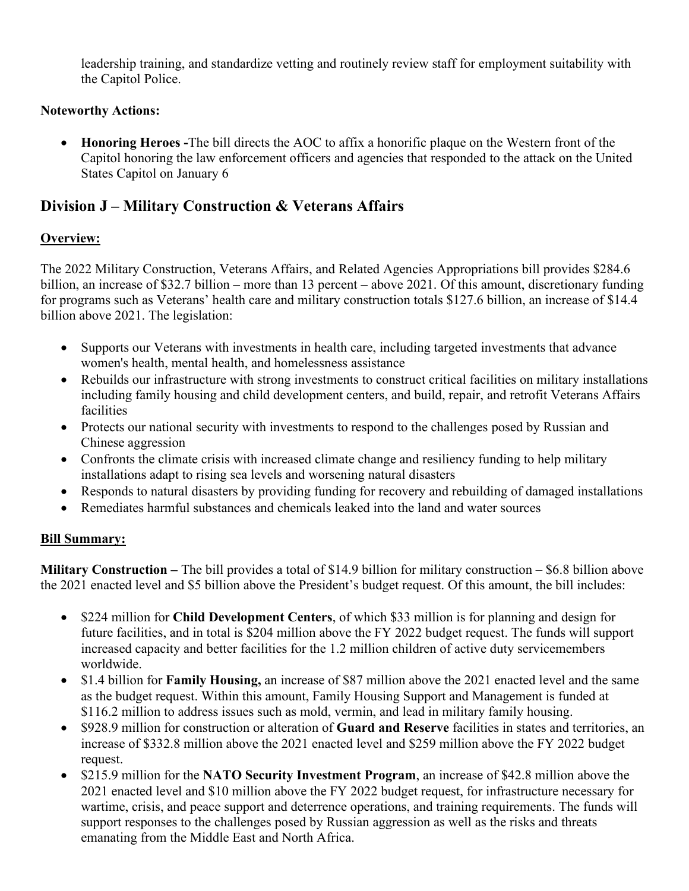leadership training, and standardize vetting and routinely review staff for employment suitability with the Capitol Police.

### **Noteworthy Actions:**

• **Honoring Heroes -**The bill directs the AOC to affix a honorific plaque on the Western front of the Capitol honoring the law enforcement officers and agencies that responded to the attack on the United States Capitol on January 6

# **Division J – Military Construction & Veterans Affairs**

#### **Overview:**

The 2022 Military Construction, Veterans Affairs, and Related Agencies Appropriations bill provides \$284.6 billion, an increase of \$32.7 billion – more than 13 percent – above 2021. Of this amount, discretionary funding for programs such as Veterans' health care and military construction totals \$127.6 billion, an increase of \$14.4 billion above 2021. The legislation:

- Supports our Veterans with investments in health care, including targeted investments that advance women's health, mental health, and homelessness assistance
- Rebuilds our infrastructure with strong investments to construct critical facilities on military installations including family housing and child development centers, and build, repair, and retrofit Veterans Affairs facilities
- Protects our national security with investments to respond to the challenges posed by Russian and Chinese aggression
- Confronts the climate crisis with increased climate change and resiliency funding to help military installations adapt to rising sea levels and worsening natural disasters
- Responds to natural disasters by providing funding for recovery and rebuilding of damaged installations
- Remediates harmful substances and chemicals leaked into the land and water sources

#### **Bill Summary:**

**Military Construction –** The bill provides a total of \$14.9 billion for military construction – \$6.8 billion above the 2021 enacted level and \$5 billion above the President's budget request. Of this amount, the bill includes:

- \$224 million for **Child Development Centers**, of which \$33 million is for planning and design for future facilities, and in total is \$204 million above the FY 2022 budget request. The funds will support increased capacity and better facilities for the 1.2 million children of active duty servicemembers worldwide.
- \$1.4 billion for **Family Housing,** an increase of \$87 million above the 2021 enacted level and the same as the budget request. Within this amount, Family Housing Support and Management is funded at \$116.2 million to address issues such as mold, vermin, and lead in military family housing.
- \$928.9 million for construction or alteration of **Guard and Reserve** facilities in states and territories, an increase of \$332.8 million above the 2021 enacted level and \$259 million above the FY 2022 budget request.
- \$215.9 million for the **NATO Security Investment Program**, an increase of \$42.8 million above the 2021 enacted level and \$10 million above the FY 2022 budget request, for infrastructure necessary for wartime, crisis, and peace support and deterrence operations, and training requirements. The funds will support responses to the challenges posed by Russian aggression as well as the risks and threats emanating from the Middle East and North Africa.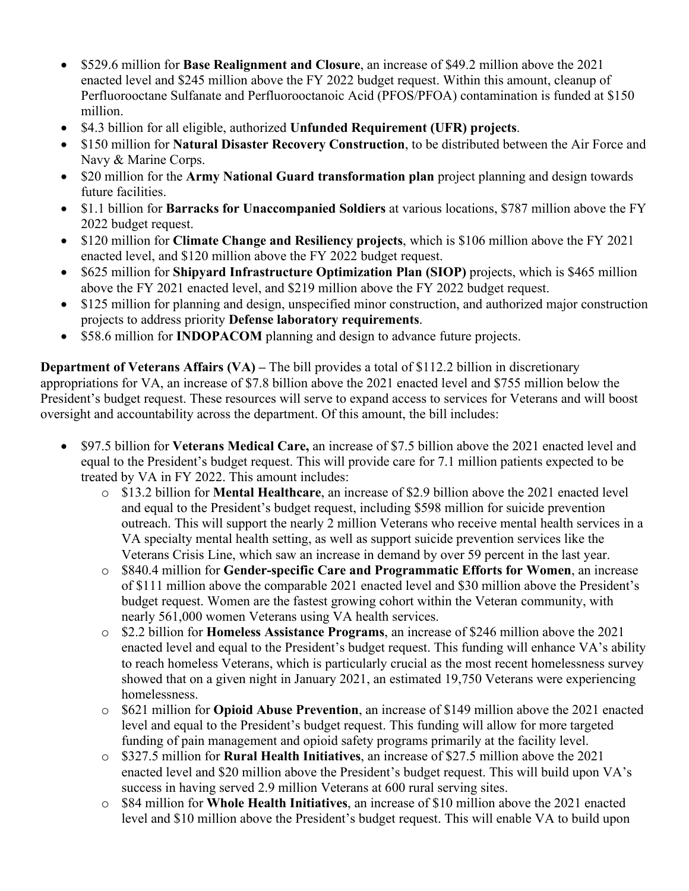- \$529.6 million for **Base Realignment and Closure**, an increase of \$49.2 million above the 2021 enacted level and \$245 million above the FY 2022 budget request. Within this amount, cleanup of Perfluorooctane Sulfanate and Perfluorooctanoic Acid (PFOS/PFOA) contamination is funded at \$150 million.
- \$4.3 billion for all eligible, authorized **Unfunded Requirement (UFR) projects**.
- \$150 million for **Natural Disaster Recovery Construction**, to be distributed between the Air Force and Navy & Marine Corps.
- \$20 million for the **Army National Guard transformation plan** project planning and design towards future facilities.
- \$1.1 billion for **Barracks for Unaccompanied Soldiers** at various locations, \$787 million above the FY 2022 budget request.
- \$120 million for **Climate Change and Resiliency projects**, which is \$106 million above the FY 2021 enacted level, and \$120 million above the FY 2022 budget request.
- \$625 million for **Shipyard Infrastructure Optimization Plan (SIOP)** projects, which is \$465 million above the FY 2021 enacted level, and \$219 million above the FY 2022 budget request.
- \$125 million for planning and design, unspecified minor construction, and authorized major construction projects to address priority **Defense laboratory requirements**.
- \$58.6 million for **INDOPACOM** planning and design to advance future projects.

**Department of Veterans Affairs (VA) – The bill provides a total of \$112.2 billion in discretionary** appropriations for VA, an increase of \$7.8 billion above the 2021 enacted level and \$755 million below the President's budget request. These resources will serve to expand access to services for Veterans and will boost oversight and accountability across the department. Of this amount, the bill includes:

- \$97.5 billion for **Veterans Medical Care,** an increase of \$7.5 billion above the 2021 enacted level and equal to the President's budget request. This will provide care for 7.1 million patients expected to be treated by VA in FY 2022. This amount includes:
	- o \$13.2 billion for **Mental Healthcare**, an increase of \$2.9 billion above the 2021 enacted level and equal to the President's budget request, including \$598 million for suicide prevention outreach. This will support the nearly 2 million Veterans who receive mental health services in a VA specialty mental health setting, as well as support suicide prevention services like the Veterans Crisis Line, which saw an increase in demand by over 59 percent in the last year.
	- o \$840.4 million for **Gender-specific Care and Programmatic Efforts for Women**, an increase of \$111 million above the comparable 2021 enacted level and \$30 million above the President's budget request. Women are the fastest growing cohort within the Veteran community, with nearly 561,000 women Veterans using VA health services.
	- o \$2.2 billion for **Homeless Assistance Programs**, an increase of \$246 million above the 2021 enacted level and equal to the President's budget request. This funding will enhance VA's ability to reach homeless Veterans, which is particularly crucial as the most recent homelessness survey showed that on a given night in January 2021, an estimated 19,750 Veterans were experiencing homelessness.
	- o \$621 million for **Opioid Abuse Prevention**, an increase of \$149 million above the 2021 enacted level and equal to the President's budget request. This funding will allow for more targeted funding of pain management and opioid safety programs primarily at the facility level.
	- o \$327.5 million for **Rural Health Initiatives**, an increase of \$27.5 million above the 2021 enacted level and \$20 million above the President's budget request. This will build upon VA's success in having served 2.9 million Veterans at 600 rural serving sites.
	- o \$84 million for **Whole Health Initiatives**, an increase of \$10 million above the 2021 enacted level and \$10 million above the President's budget request. This will enable VA to build upon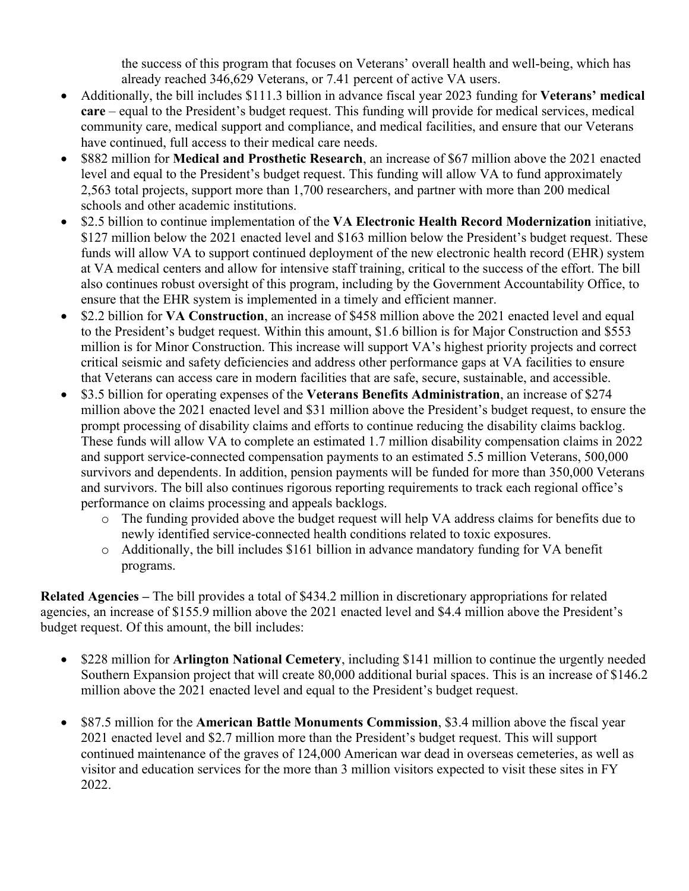the success of this program that focuses on Veterans' overall health and well-being, which has already reached 346,629 Veterans, or 7.41 percent of active VA users.

- Additionally, the bill includes \$111.3 billion in advance fiscal year 2023 funding for **Veterans' medical care** – equal to the President's budget request. This funding will provide for medical services, medical community care, medical support and compliance, and medical facilities, and ensure that our Veterans have continued, full access to their medical care needs.
- \$882 million for **Medical and Prosthetic Research**, an increase of \$67 million above the 2021 enacted level and equal to the President's budget request. This funding will allow VA to fund approximately 2,563 total projects, support more than 1,700 researchers, and partner with more than 200 medical schools and other academic institutions.
- \$2.5 billion to continue implementation of the **VA Electronic Health Record Modernization** initiative, \$127 million below the 2021 enacted level and \$163 million below the President's budget request. These funds will allow VA to support continued deployment of the new electronic health record (EHR) system at VA medical centers and allow for intensive staff training, critical to the success of the effort. The bill also continues robust oversight of this program, including by the Government Accountability Office, to ensure that the EHR system is implemented in a timely and efficient manner.
- \$2.2 billion for **VA Construction**, an increase of \$458 million above the 2021 enacted level and equal to the President's budget request. Within this amount, \$1.6 billion is for Major Construction and \$553 million is for Minor Construction. This increase will support VA's highest priority projects and correct critical seismic and safety deficiencies and address other performance gaps at VA facilities to ensure that Veterans can access care in modern facilities that are safe, secure, sustainable, and accessible.
- \$3.5 billion for operating expenses of the **Veterans Benefits Administration**, an increase of \$274 million above the 2021 enacted level and \$31 million above the President's budget request, to ensure the prompt processing of disability claims and efforts to continue reducing the disability claims backlog. These funds will allow VA to complete an estimated 1.7 million disability compensation claims in 2022 and support service-connected compensation payments to an estimated 5.5 million Veterans, 500,000 survivors and dependents. In addition, pension payments will be funded for more than 350,000 Veterans and survivors. The bill also continues rigorous reporting requirements to track each regional office's performance on claims processing and appeals backlogs.
	- o The funding provided above the budget request will help VA address claims for benefits due to newly identified service-connected health conditions related to toxic exposures.
	- o Additionally, the bill includes \$161 billion in advance mandatory funding for VA benefit programs.

**Related Agencies –** The bill provides a total of \$434.2 million in discretionary appropriations for related agencies, an increase of \$155.9 million above the 2021 enacted level and \$4.4 million above the President's budget request. Of this amount, the bill includes:

- \$228 million for **Arlington National Cemetery**, including \$141 million to continue the urgently needed Southern Expansion project that will create 80,000 additional burial spaces. This is an increase of \$146.2 million above the 2021 enacted level and equal to the President's budget request.
- \$87.5 million for the **American Battle Monuments Commission**, \$3.4 million above the fiscal year 2021 enacted level and \$2.7 million more than the President's budget request. This will support continued maintenance of the graves of 124,000 American war dead in overseas cemeteries, as well as visitor and education services for the more than 3 million visitors expected to visit these sites in FY 2022.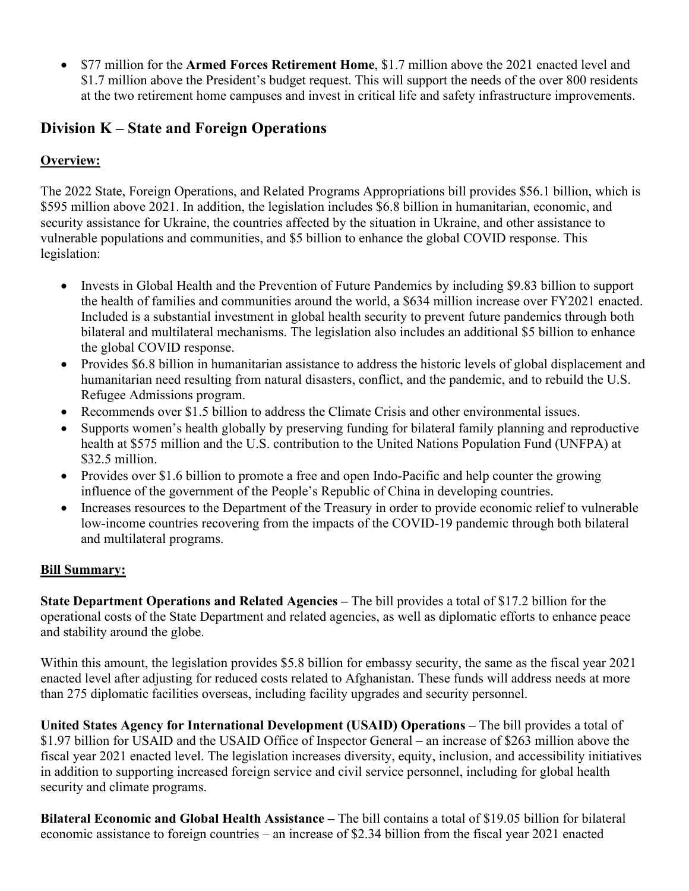• \$77 million for the **Armed Forces Retirement Home**, \$1.7 million above the 2021 enacted level and \$1.7 million above the President's budget request. This will support the needs of the over 800 residents at the two retirement home campuses and invest in critical life and safety infrastructure improvements.

# **Division K – State and Foreign Operations**

# **Overview:**

The 2022 State, Foreign Operations, and Related Programs Appropriations bill provides \$56.1 billion, which is \$595 million above 2021. In addition, the legislation includes \$6.8 billion in humanitarian, economic, and security assistance for Ukraine, the countries affected by the situation in Ukraine, and other assistance to vulnerable populations and communities, and \$5 billion to enhance the global COVID response. This legislation:

- Invests in Global Health and the Prevention of Future Pandemics by including \$9.83 billion to support the health of families and communities around the world, a \$634 million increase over FY2021 enacted. Included is a substantial investment in global health security to prevent future pandemics through both bilateral and multilateral mechanisms. The legislation also includes an additional \$5 billion to enhance the global COVID response.
- Provides \$6.8 billion in humanitarian assistance to address the historic levels of global displacement and humanitarian need resulting from natural disasters, conflict, and the pandemic, and to rebuild the U.S. Refugee Admissions program.
- Recommends over \$1.5 billion to address the Climate Crisis and other environmental issues.
- Supports women's health globally by preserving funding for bilateral family planning and reproductive health at \$575 million and the U.S. contribution to the United Nations Population Fund (UNFPA) at \$32.5 million.
- Provides over \$1.6 billion to promote a free and open Indo-Pacific and help counter the growing influence of the government of the People's Republic of China in developing countries.
- Increases resources to the Department of the Treasury in order to provide economic relief to vulnerable low-income countries recovering from the impacts of the COVID-19 pandemic through both bilateral and multilateral programs.

## **Bill Summary:**

**State Department Operations and Related Agencies –** The bill provides a total of \$17.2 billion for the operational costs of the State Department and related agencies, as well as diplomatic efforts to enhance peace and stability around the globe.

Within this amount, the legislation provides \$5.8 billion for embassy security, the same as the fiscal year 2021 enacted level after adjusting for reduced costs related to Afghanistan. These funds will address needs at more than 275 diplomatic facilities overseas, including facility upgrades and security personnel.

**United States Agency for International Development (USAID) Operations –** The bill provides a total of \$1.97 billion for USAID and the USAID Office of Inspector General – an increase of \$263 million above the fiscal year 2021 enacted level. The legislation increases diversity, equity, inclusion, and accessibility initiatives in addition to supporting increased foreign service and civil service personnel, including for global health security and climate programs.

**Bilateral Economic and Global Health Assistance –** The bill contains a total of \$19.05 billion for bilateral economic assistance to foreign countries – an increase of \$2.34 billion from the fiscal year 2021 enacted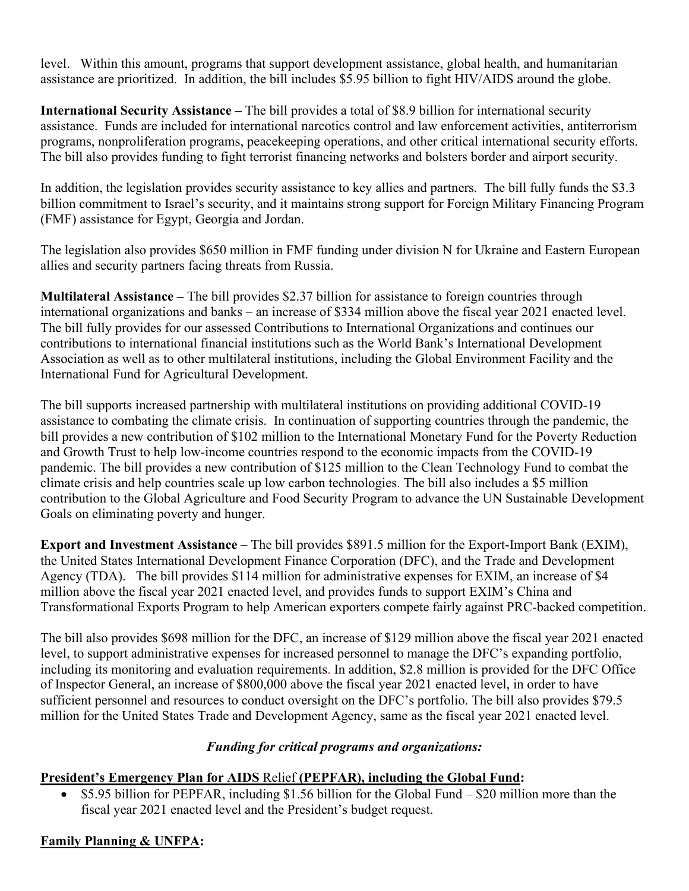level. Within this amount, programs that support development assistance, global health, and humanitarian assistance are prioritized. In addition, the bill includes \$5.95 billion to fight HIV/AIDS around the globe.

**International Security Assistance –** The bill provides a total of \$8.9 billion for international security assistance. Funds are included for international narcotics control and law enforcement activities, antiterrorism programs, nonproliferation programs, peacekeeping operations, and other critical international security efforts. The bill also provides funding to fight terrorist financing networks and bolsters border and airport security.

In addition, the legislation provides security assistance to key allies and partners. The bill fully funds the \$3.3 billion commitment to Israel's security, and it maintains strong support for Foreign Military Financing Program (FMF) assistance for Egypt, Georgia and Jordan.

The legislation also provides \$650 million in FMF funding under division N for Ukraine and Eastern European allies and security partners facing threats from Russia.

**Multilateral Assistance –** The bill provides \$2.37 billion for assistance to foreign countries through international organizations and banks – an increase of \$334 million above the fiscal year 2021 enacted level. The bill fully provides for our assessed Contributions to International Organizations and continues our contributions to international financial institutions such as the World Bank's International Development Association as well as to other multilateral institutions, including the Global Environment Facility and the International Fund for Agricultural Development.

The bill supports increased partnership with multilateral institutions on providing additional COVID-19 assistance to combating the climate crisis. In continuation of supporting countries through the pandemic, the bill provides a new contribution of \$102 million to the International Monetary Fund for the Poverty Reduction and Growth Trust to help low-income countries respond to the economic impacts from the COVID-19 pandemic. The bill provides a new contribution of \$125 million to the Clean Technology Fund to combat the climate crisis and help countries scale up low carbon technologies. The bill also includes a \$5 million contribution to the Global Agriculture and Food Security Program to advance the UN Sustainable Development Goals on eliminating poverty and hunger.

**Export and Investment Assistance** – The bill provides \$891.5 million for the Export-Import Bank (EXIM), the United States International Development Finance Corporation (DFC), and the Trade and Development Agency (TDA). The bill provides \$114 million for administrative expenses for EXIM, an increase of \$4 million above the fiscal year 2021 enacted level, and provides funds to support EXIM's China and Transformational Exports Program to help American exporters compete fairly against PRC-backed competition.

The bill also provides \$698 million for the DFC, an increase of \$129 million above the fiscal year 2021 enacted level, to support administrative expenses for increased personnel to manage the DFC's expanding portfolio, including its monitoring and evaluation requirements. In addition, \$2.8 million is provided for the DFC Office of Inspector General, an increase of \$800,000 above the fiscal year 2021 enacted level, in order to have sufficient personnel and resources to conduct oversight on the DFC's portfolio. The bill also provides \$79.5 million for the United States Trade and Development Agency, same as the fiscal year 2021 enacted level.

## *Funding for critical programs and organizations:*

## **President's Emergency Plan for AIDS** Relief **(PEPFAR), including the Global Fund:**

• \$5.95 billion for PEPFAR, including \$1.56 billion for the Global Fund – \$20 million more than the fiscal year 2021 enacted level and the President's budget request.

## **Family Planning & UNFPA:**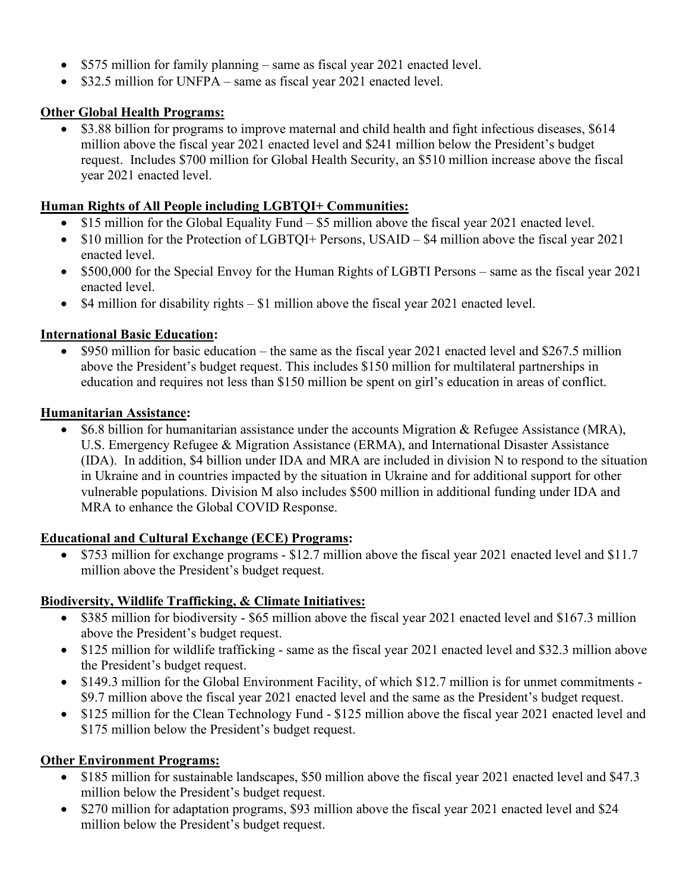- \$575 million for family planning same as fiscal year 2021 enacted level.
- \$32.5 million for UNFPA same as fiscal year 2021 enacted level.

### **Other Global Health Programs:**

• \$3.88 billion for programs to improve maternal and child health and fight infectious diseases, \$614 million above the fiscal year 2021 enacted level and \$241 million below the President's budget request. Includes \$700 million for Global Health Security, an \$510 million increase above the fiscal year 2021 enacted level.

#### **Human Rights of All People including LGBTQI+ Communities:**

- \$15 million for the Global Equality Fund \$5 million above the fiscal year 2021 enacted level.
- \$10 million for the Protection of LGBTQI+ Persons, USAID \$4 million above the fiscal year 2021 enacted level.
- \$500,000 for the Special Envoy for the Human Rights of LGBTI Persons same as the fiscal year 2021 enacted level.
- \$4 million for disability rights \$1 million above the fiscal year 2021 enacted level.

#### **International Basic Education:**

• \$950 million for basic education – the same as the fiscal year 2021 enacted level and \$267.5 million above the President's budget request. This includes \$150 million for multilateral partnerships in education and requires not less than \$150 million be spent on girl's education in areas of conflict.

#### **Humanitarian Assistance:**

• \$6.8 billion for humanitarian assistance under the accounts Migration & Refugee Assistance (MRA), U.S. Emergency Refugee & Migration Assistance (ERMA), and International Disaster Assistance (IDA). In addition, \$4 billion under IDA and MRA are included in division N to respond to the situation in Ukraine and in countries impacted by the situation in Ukraine and for additional support for other vulnerable populations. Division M also includes \$500 million in additional funding under IDA and MRA to enhance the Global COVID Response.

#### **Educational and Cultural Exchange (ECE) Programs:**

• \$753 million for exchange programs - \$12.7 million above the fiscal year 2021 enacted level and \$11.7 million above the President's budget request.

## **Biodiversity, Wildlife Trafficking, & Climate Initiatives:**

- \$385 million for biodiversity \$65 million above the fiscal year 2021 enacted level and \$167.3 million above the President's budget request.
- \$125 million for wildlife trafficking same as the fiscal year 2021 enacted level and \$32.3 million above the President's budget request.
- \$149.3 million for the Global Environment Facility, of which \$12.7 million is for unmet commitments \$9.7 million above the fiscal year 2021 enacted level and the same as the President's budget request.
- \$125 million for the Clean Technology Fund \$125 million above the fiscal year 2021 enacted level and \$175 million below the President's budget request.

## **Other Environment Programs:**

- \$185 million for sustainable landscapes, \$50 million above the fiscal year 2021 enacted level and \$47.3 million below the President's budget request.
- \$270 million for adaptation programs, \$93 million above the fiscal year 2021 enacted level and \$24 million below the President's budget request.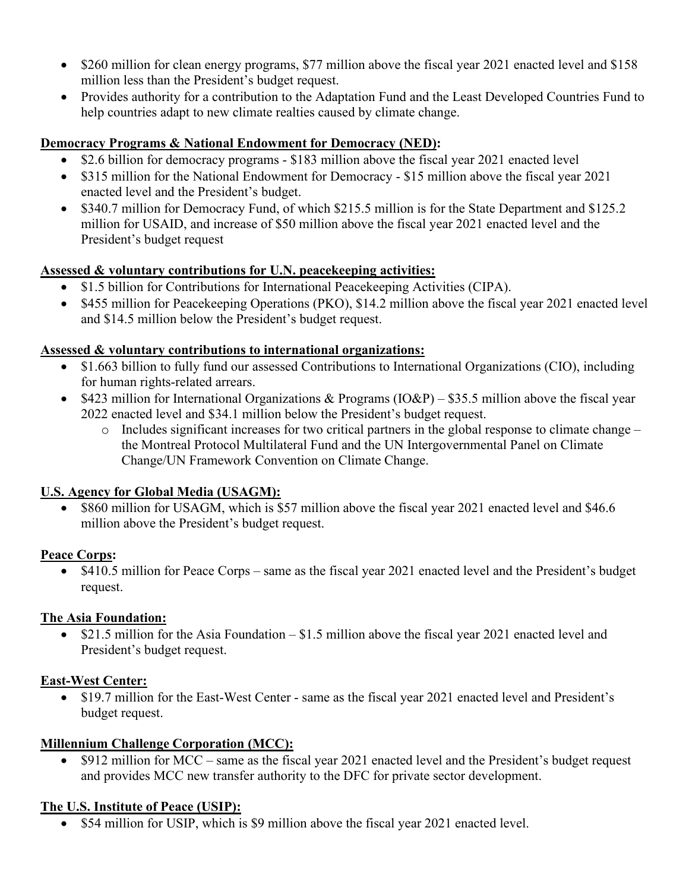- \$260 million for clean energy programs, \$77 million above the fiscal year 2021 enacted level and \$158 million less than the President's budget request.
- Provides authority for a contribution to the Adaptation Fund and the Least Developed Countries Fund to help countries adapt to new climate realties caused by climate change.

## **Democracy Programs & National Endowment for Democracy (NED):**

- \$2.6 billion for democracy programs \$183 million above the fiscal year 2021 enacted level
- \$315 million for the National Endowment for Democracy \$15 million above the fiscal year 2021 enacted level and the President's budget.
- \$340.7 million for Democracy Fund, of which \$215.5 million is for the State Department and \$125.2 million for USAID, and increase of \$50 million above the fiscal year 2021 enacted level and the President's budget request

## **Assessed & voluntary contributions for U.N. peacekeeping activities:**

- \$1.5 billion for Contributions for International Peacekeeping Activities (CIPA).
- \$455 million for Peacekeeping Operations (PKO), \$14.2 million above the fiscal year 2021 enacted level and \$14.5 million below the President's budget request.

## **Assessed & voluntary contributions to international organizations:**

- \$1.663 billion to fully fund our assessed Contributions to International Organizations (CIO), including for human rights-related arrears.
- \$423 million for International Organizations & Programs  $(IO\&P) $35.5$  million above the fiscal year 2022 enacted level and \$34.1 million below the President's budget request.
	- $\circ$  Includes significant increases for two critical partners in the global response to climate change the Montreal Protocol Multilateral Fund and the UN Intergovernmental Panel on Climate Change/UN Framework Convention on Climate Change.

## **U.S. Agency for Global Media (USAGM):**

• \$860 million for USAGM, which is \$57 million above the fiscal year 2021 enacted level and \$46.6 million above the President's budget request.

## **Peace Corps:**

• \$410.5 million for Peace Corps – same as the fiscal year 2021 enacted level and the President's budget request.

# **The Asia Foundation:**

• \$21.5 million for the Asia Foundation – \$1.5 million above the fiscal year 2021 enacted level and President's budget request.

# **East-West Center:**

• \$19.7 million for the East-West Center - same as the fiscal year 2021 enacted level and President's budget request.

## **Millennium Challenge Corporation (MCC):**

• \$912 million for MCC – same as the fiscal year 2021 enacted level and the President's budget request and provides MCC new transfer authority to the DFC for private sector development.

# **The U.S. Institute of Peace (USIP):**

• \$54 million for USIP, which is \$9 million above the fiscal year 2021 enacted level.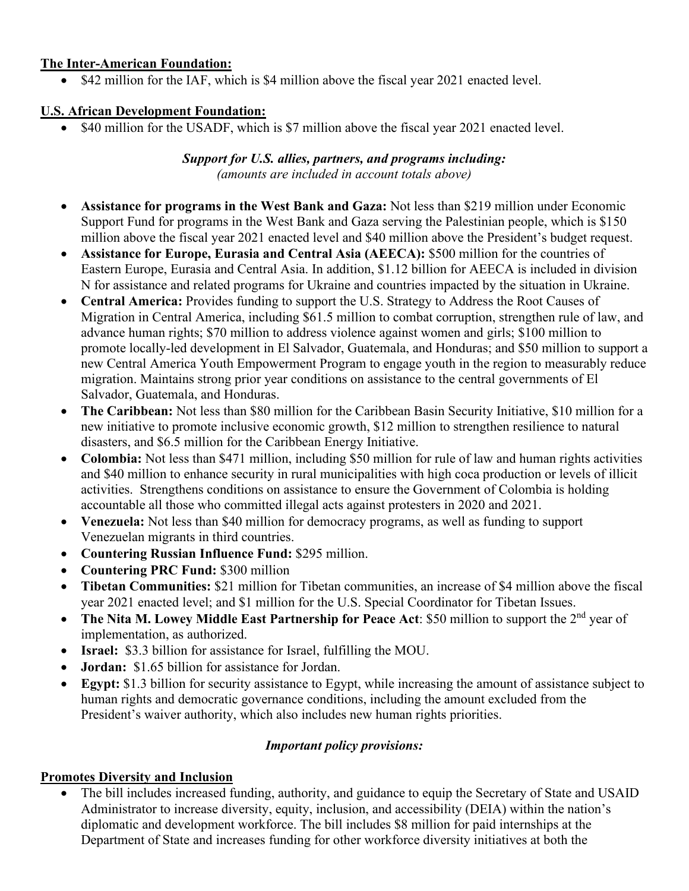#### **The Inter-American Foundation:**

• \$42 million for the IAF, which is \$4 million above the fiscal year 2021 enacted level.

## **U.S. African Development Foundation:**

• \$40 million for the USADF, which is \$7 million above the fiscal year 2021 enacted level.

#### *Support for U.S. allies, partners, and programs including: (amounts are included in account totals above)*

- **Assistance for programs in the West Bank and Gaza:** Not less than \$219 million under Economic Support Fund for programs in the West Bank and Gaza serving the Palestinian people, which is \$150 million above the fiscal year 2021 enacted level and \$40 million above the President's budget request.
- **Assistance for Europe, Eurasia and Central Asia (AEECA):** \$500 million for the countries of Eastern Europe, Eurasia and Central Asia. In addition, \$1.12 billion for AEECA is included in division N for assistance and related programs for Ukraine and countries impacted by the situation in Ukraine.
- **Central America:** Provides funding to support the U.S. Strategy to Address the Root Causes of Migration in Central America, including \$61.5 million to combat corruption, strengthen rule of law, and advance human rights; \$70 million to address violence against women and girls; \$100 million to promote locally-led development in El Salvador, Guatemala, and Honduras; and \$50 million to support a new Central America Youth Empowerment Program to engage youth in the region to measurably reduce migration. Maintains strong prior year conditions on assistance to the central governments of El Salvador, Guatemala, and Honduras.
- **The Caribbean:** Not less than \$80 million for the Caribbean Basin Security Initiative, \$10 million for a new initiative to promote inclusive economic growth, \$12 million to strengthen resilience to natural disasters, and \$6.5 million for the Caribbean Energy Initiative.
- **Colombia:** Not less than \$471 million, including \$50 million for rule of law and human rights activities and \$40 million to enhance security in rural municipalities with high coca production or levels of illicit activities. Strengthens conditions on assistance to ensure the Government of Colombia is holding accountable all those who committed illegal acts against protesters in 2020 and 2021.
- **Venezuela:** Not less than \$40 million for democracy programs, as well as funding to support Venezuelan migrants in third countries.
- **Countering Russian Influence Fund:** \$295 million.
- **Countering PRC Fund:** \$300 million
- **Tibetan Communities:** \$21 million for Tibetan communities, an increase of \$4 million above the fiscal year 2021 enacted level; and \$1 million for the U.S. Special Coordinator for Tibetan Issues.
- **The Nita M. Lowey Middle East Partnership for Peace Act: \$50 million to support the 2<sup>nd</sup> year of** implementation, as authorized.
- **Israel:** \$3.3 billion for assistance for Israel, fulfilling the MOU.
- **Jordan:** \$1.65 billion for assistance for Jordan.
- **Egypt:** \$1.3 billion for security assistance to Egypt, while increasing the amount of assistance subject to human rights and democratic governance conditions, including the amount excluded from the President's waiver authority, which also includes new human rights priorities.

## *Important policy provisions:*

## **Promotes Diversity and Inclusion**

The bill includes increased funding, authority, and guidance to equip the Secretary of State and USAID Administrator to increase diversity, equity, inclusion, and accessibility (DEIA) within the nation's diplomatic and development workforce. The bill includes \$8 million for paid internships at the Department of State and increases funding for other workforce diversity initiatives at both the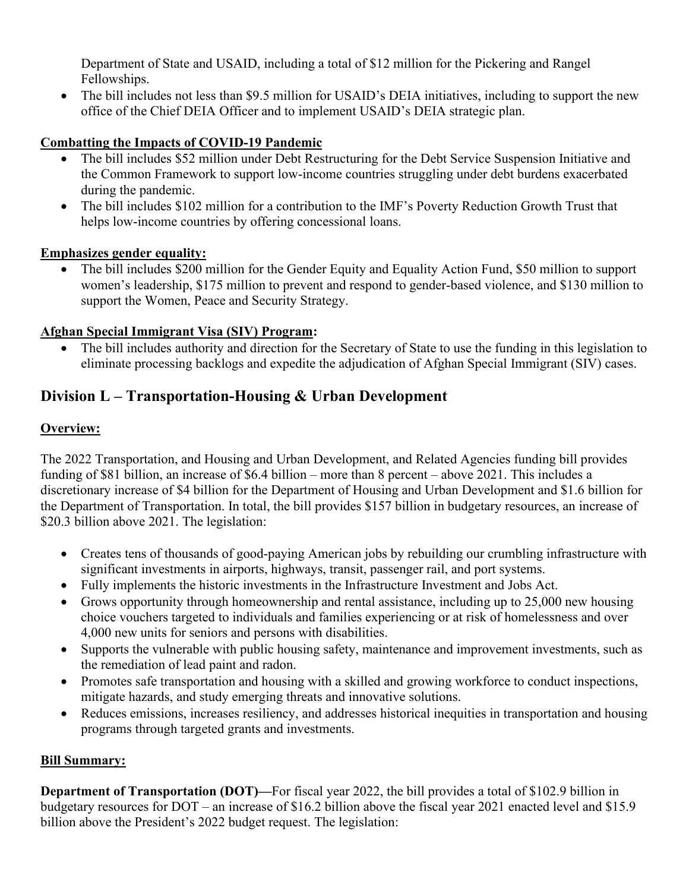Department of State and USAID, including a total of \$12 million for the Pickering and Rangel Fellowships.

• The bill includes not less than \$9.5 million for USAID's DEIA initiatives, including to support the new office of the Chief DEIA Officer and to implement USAID's DEIA strategic plan.

## **Combatting the Impacts of COVID-19 Pandemic**

- The bill includes \$52 million under Debt Restructuring for the Debt Service Suspension Initiative and the Common Framework to support low-income countries struggling under debt burdens exacerbated during the pandemic.
- The bill includes \$102 million for a contribution to the IMF's Poverty Reduction Growth Trust that helps low-income countries by offering concessional loans.

## **Emphasizes gender equality:**

• The bill includes \$200 million for the Gender Equity and Equality Action Fund, \$50 million to support women's leadership, \$175 million to prevent and respond to gender-based violence, and \$130 million to support the Women, Peace and Security Strategy.

## **Afghan Special Immigrant Visa (SIV) Program:**

• The bill includes authority and direction for the Secretary of State to use the funding in this legislation to eliminate processing backlogs and expedite the adjudication of Afghan Special Immigrant (SIV) cases.

# **Division L – Transportation-Housing & Urban Development**

## **Overview:**

The 2022 Transportation, and Housing and Urban Development, and Related Agencies funding bill provides funding of \$81 billion, an increase of \$6.4 billion – more than 8 percent – above 2021. This includes a discretionary increase of \$4 billion for the Department of Housing and Urban Development and \$1.6 billion for the Department of Transportation. In total, the bill provides \$157 billion in budgetary resources, an increase of \$20.3 billion above 2021. The legislation:

- Creates tens of thousands of good-paying American jobs by rebuilding our crumbling infrastructure with significant investments in airports, highways, transit, passenger rail, and port systems.
- Fully implements the historic investments in the Infrastructure Investment and Jobs Act.
- Grows opportunity through homeownership and rental assistance, including up to 25,000 new housing choice vouchers targeted to individuals and families experiencing or at risk of homelessness and over 4,000 new units for seniors and persons with disabilities.
- Supports the vulnerable with public housing safety, maintenance and improvement investments, such as the remediation of lead paint and radon.
- Promotes safe transportation and housing with a skilled and growing workforce to conduct inspections, mitigate hazards, and study emerging threats and innovative solutions.
- Reduces emissions, increases resiliency, and addresses historical inequities in transportation and housing programs through targeted grants and investments.

## **Bill Summary:**

**Department of Transportation (DOT)—For fiscal year 2022, the bill provides a total of \$102.9 billion in** budgetary resources for DOT – an increase of \$16.2 billion above the fiscal year 2021 enacted level and \$15.9 billion above the President's 2022 budget request. The legislation: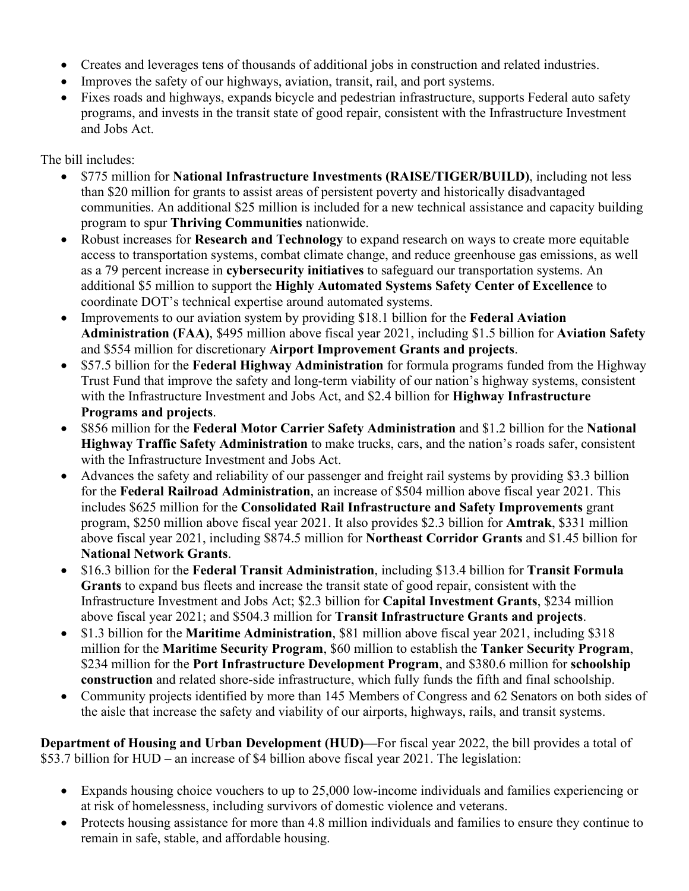- Creates and leverages tens of thousands of additional jobs in construction and related industries.
- Improves the safety of our highways, aviation, transit, rail, and port systems.
- Fixes roads and highways, expands bicycle and pedestrian infrastructure, supports Federal auto safety programs, and invests in the transit state of good repair, consistent with the Infrastructure Investment and Jobs Act.

The bill includes:

- \$775 million for **National Infrastructure Investments (RAISE/TIGER/BUILD)**, including not less than \$20 million for grants to assist areas of persistent poverty and historically disadvantaged communities. An additional \$25 million is included for a new technical assistance and capacity building program to spur **Thriving Communities** nationwide.
- Robust increases for **Research and Technology** to expand research on ways to create more equitable access to transportation systems, combat climate change, and reduce greenhouse gas emissions, as well as a 79 percent increase in **cybersecurity initiatives** to safeguard our transportation systems. An additional \$5 million to support the **Highly Automated Systems Safety Center of Excellence** to coordinate DOT's technical expertise around automated systems.
- Improvements to our aviation system by providing \$18.1 billion for the **Federal Aviation Administration (FAA)**, \$495 million above fiscal year 2021, including \$1.5 billion for **Aviation Safety** and \$554 million for discretionary **Airport Improvement Grants and projects**.
- \$57.5 billion for the **Federal Highway Administration** for formula programs funded from the Highway Trust Fund that improve the safety and long-term viability of our nation's highway systems, consistent with the Infrastructure Investment and Jobs Act, and \$2.4 billion for **Highway Infrastructure Programs and projects**.
- \$856 million for the **Federal Motor Carrier Safety Administration** and \$1.2 billion for the **National Highway Traffic Safety Administration** to make trucks, cars, and the nation's roads safer, consistent with the Infrastructure Investment and Jobs Act.
- Advances the safety and reliability of our passenger and freight rail systems by providing \$3.3 billion for the **Federal Railroad Administration**, an increase of \$504 million above fiscal year 2021. This includes \$625 million for the **Consolidated Rail Infrastructure and Safety Improvements** grant program, \$250 million above fiscal year 2021. It also provides \$2.3 billion for **Amtrak**, \$331 million above fiscal year 2021, including \$874.5 million for **Northeast Corridor Grants** and \$1.45 billion for **National Network Grants**.
- \$16.3 billion for the **Federal Transit Administration**, including \$13.4 billion for **Transit Formula Grants** to expand bus fleets and increase the transit state of good repair, consistent with the Infrastructure Investment and Jobs Act; \$2.3 billion for **Capital Investment Grants**, \$234 million above fiscal year 2021; and \$504.3 million for **Transit Infrastructure Grants and projects**.
- \$1.3 billion for the **Maritime Administration**, \$81 million above fiscal year 2021, including \$318 million for the **Maritime Security Program**, \$60 million to establish the **Tanker Security Program**, \$234 million for the **Port Infrastructure Development Program**, and \$380.6 million for **schoolship construction** and related shore-side infrastructure, which fully funds the fifth and final schoolship.
- Community projects identified by more than 145 Members of Congress and 62 Senators on both sides of the aisle that increase the safety and viability of our airports, highways, rails, and transit systems.

**Department of Housing and Urban Development (HUD)—**For fiscal year 2022, the bill provides a total of \$53.7 billion for HUD – an increase of \$4 billion above fiscal year 2021. The legislation:

- Expands housing choice vouchers to up to 25,000 low-income individuals and families experiencing or at risk of homelessness, including survivors of domestic violence and veterans.
- Protects housing assistance for more than 4.8 million individuals and families to ensure they continue to remain in safe, stable, and affordable housing.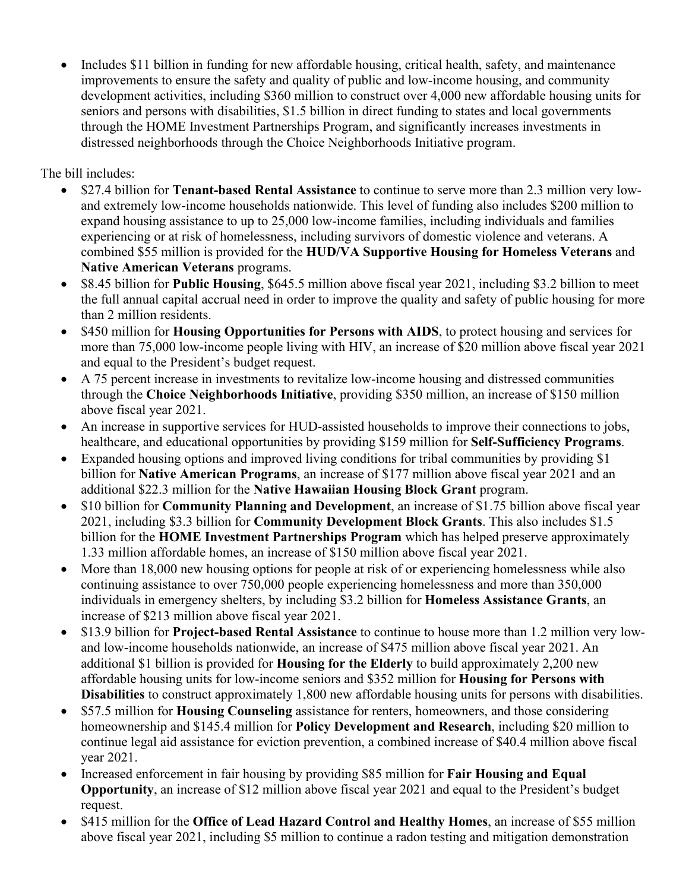• Includes \$11 billion in funding for new affordable housing, critical health, safety, and maintenance improvements to ensure the safety and quality of public and low-income housing, and community development activities, including \$360 million to construct over 4,000 new affordable housing units for seniors and persons with disabilities, \$1.5 billion in direct funding to states and local governments through the HOME Investment Partnerships Program, and significantly increases investments in distressed neighborhoods through the Choice Neighborhoods Initiative program.

The bill includes:

- \$27.4 billion for **Tenant-based Rental Assistance** to continue to serve more than 2.3 million very lowand extremely low-income households nationwide. This level of funding also includes \$200 million to expand housing assistance to up to 25,000 low-income families, including individuals and families experiencing or at risk of homelessness, including survivors of domestic violence and veterans. A combined \$55 million is provided for the **HUD/VA Supportive Housing for Homeless Veterans** and **Native American Veterans** programs.
- \$8.45 billion for **Public Housing**, \$645.5 million above fiscal year 2021, including \$3.2 billion to meet the full annual capital accrual need in order to improve the quality and safety of public housing for more than 2 million residents.
- \$450 million for **Housing Opportunities for Persons with AIDS**, to protect housing and services for more than 75,000 low-income people living with HIV, an increase of \$20 million above fiscal year 2021 and equal to the President's budget request.
- A 75 percent increase in investments to revitalize low-income housing and distressed communities through the **Choice Neighborhoods Initiative**, providing \$350 million, an increase of \$150 million above fiscal year 2021.
- An increase in supportive services for HUD-assisted households to improve their connections to jobs, healthcare, and educational opportunities by providing \$159 million for **Self-Sufficiency Programs**.
- Expanded housing options and improved living conditions for tribal communities by providing \$1 billion for **Native American Programs**, an increase of \$177 million above fiscal year 2021 and an additional \$22.3 million for the **Native Hawaiian Housing Block Grant** program.
- \$10 billion for **Community Planning and Development**, an increase of \$1.75 billion above fiscal year 2021, including \$3.3 billion for **Community Development Block Grants**. This also includes \$1.5 billion for the **HOME Investment Partnerships Program** which has helped preserve approximately 1.33 million affordable homes, an increase of \$150 million above fiscal year 2021.
- More than 18,000 new housing options for people at risk of or experiencing homelessness while also continuing assistance to over 750,000 people experiencing homelessness and more than 350,000 individuals in emergency shelters, by including \$3.2 billion for **Homeless Assistance Grants**, an increase of \$213 million above fiscal year 2021.
- \$13.9 billion for **Project-based Rental Assistance** to continue to house more than 1.2 million very lowand low-income households nationwide, an increase of \$475 million above fiscal year 2021. An additional \$1 billion is provided for **Housing for the Elderly** to build approximately 2,200 new affordable housing units for low-income seniors and \$352 million for **Housing for Persons with Disabilities** to construct approximately 1,800 new affordable housing units for persons with disabilities.
- \$57.5 million for **Housing Counseling** assistance for renters, homeowners, and those considering homeownership and \$145.4 million for **Policy Development and Research**, including \$20 million to continue legal aid assistance for eviction prevention, a combined increase of \$40.4 million above fiscal year 2021.
- Increased enforcement in fair housing by providing \$85 million for **Fair Housing and Equal Opportunity**, an increase of \$12 million above fiscal year 2021 and equal to the President's budget request.
- \$415 million for the **Office of Lead Hazard Control and Healthy Homes**, an increase of \$55 million above fiscal year 2021, including \$5 million to continue a radon testing and mitigation demonstration